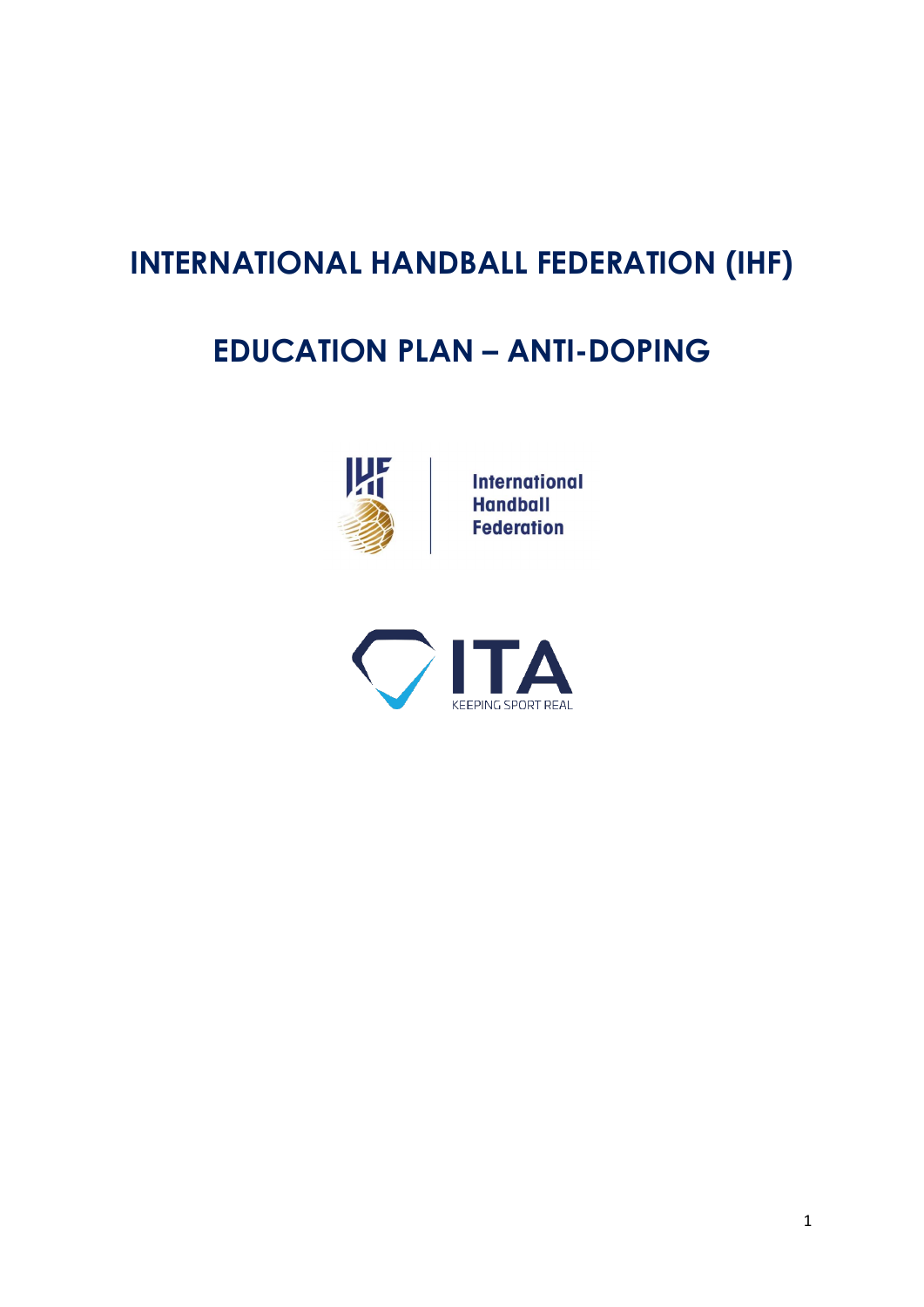# **INTERNATIONAL HANDBALL FEDERATION (IHF)**

# **EDUCATION PLAN – ANTI-DOPING**



**International Handball Federation** 

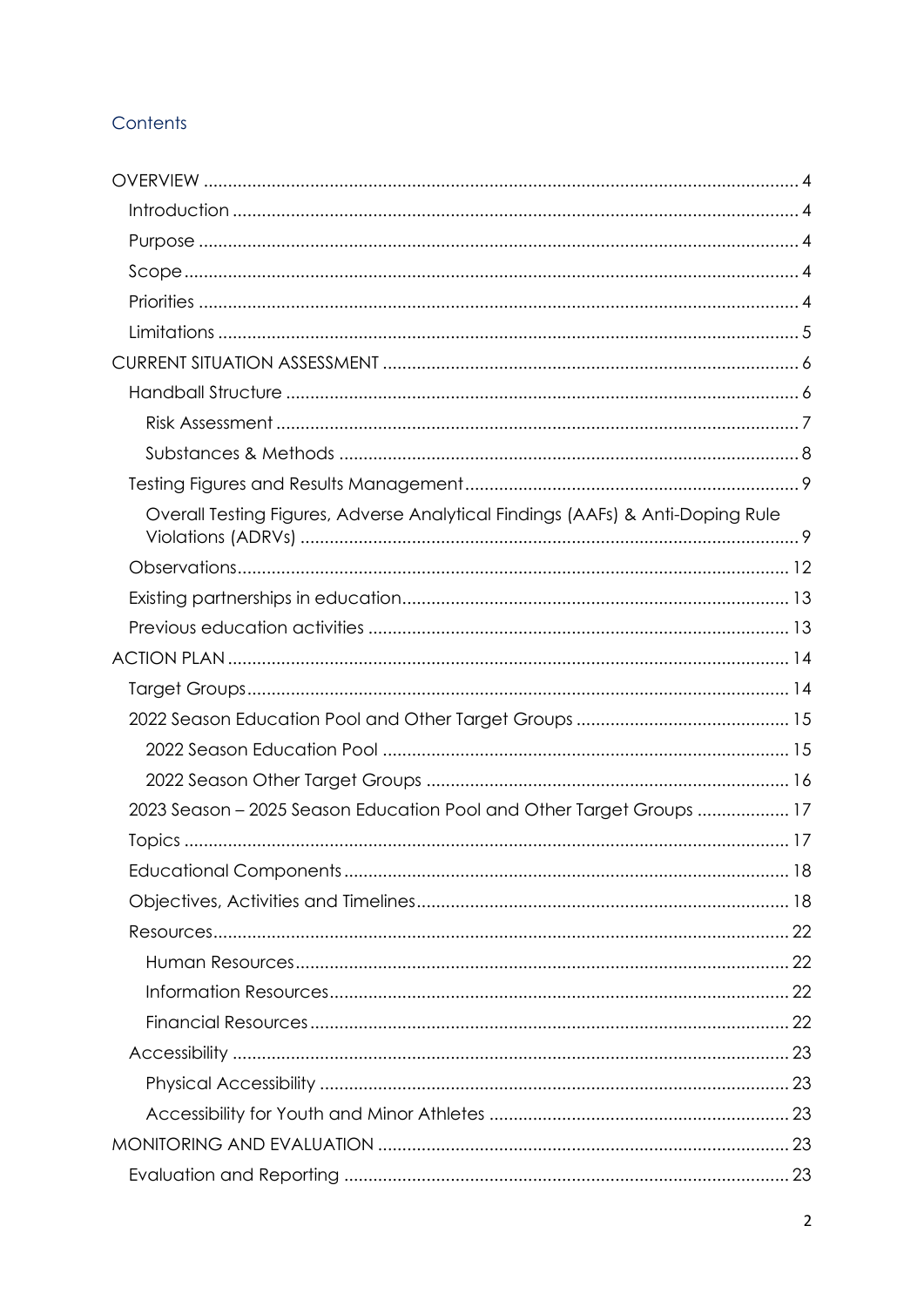## Contents

| Overall Testing Figures, Adverse Analytical Findings (AAFs) & Anti-Doping Rule |  |
|--------------------------------------------------------------------------------|--|
|                                                                                |  |
|                                                                                |  |
|                                                                                |  |
|                                                                                |  |
|                                                                                |  |
|                                                                                |  |
|                                                                                |  |
|                                                                                |  |
| 2023 Season - 2025 Season Education Pool and Other Target Groups  17           |  |
|                                                                                |  |
|                                                                                |  |
|                                                                                |  |
|                                                                                |  |
|                                                                                |  |
|                                                                                |  |
|                                                                                |  |
|                                                                                |  |
|                                                                                |  |
|                                                                                |  |
|                                                                                |  |
|                                                                                |  |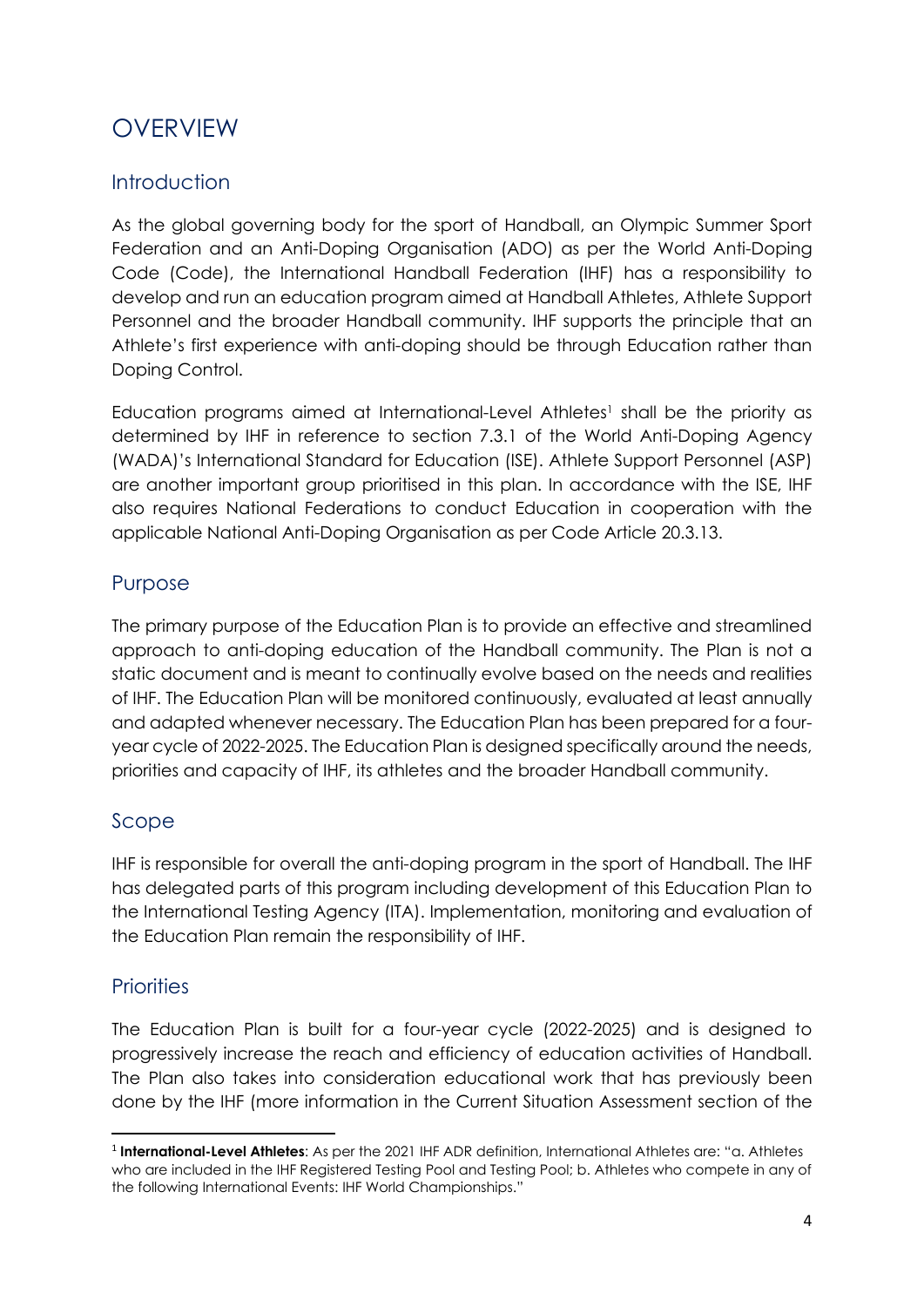## <span id="page-3-0"></span>**OVERVIEW**

## <span id="page-3-1"></span>Introduction

As the global governing body for the sport of Handball, an Olympic Summer Sport Federation and an Anti-Doping Organisation (ADO) as per the World Anti-Doping Code (Code), the International Handball Federation (IHF) has a responsibility to develop and run an education program aimed at Handball Athletes, Athlete Support Personnel and the broader Handball community. IHF supports the principle that an Athlete's first experience with anti-doping should be through Education rather than Doping Control.

Education programs aimed at International-Level Athletes<sup>1</sup> shall be the priority as determined by IHF in reference to section 7.3.1 of the World Anti-Doping Agency (WADA)'s International Standard for Education (ISE). Athlete Support Personnel (ASP) are another important group prioritised in this plan. In accordance with the ISE, IHF also requires National Federations to conduct Education in cooperation with the applicable National Anti-Doping Organisation as per Code Article 20.3.13.

## <span id="page-3-2"></span>Purpose

The primary purpose of the Education Plan is to provide an effective and streamlined approach to anti-doping education of the Handball community. The Plan is not a static document and is meant to continually evolve based on the needs and realities of IHF. The Education Plan will be monitored continuously, evaluated at least annually and adapted whenever necessary. The Education Plan has been prepared for a fouryear cycle of 2022-2025. The Education Plan is designed specifically around the needs, priorities and capacity of IHF, its athletes and the broader Handball community.

### <span id="page-3-3"></span>Scope

IHF is responsible for overall the anti-doping program in the sport of Handball. The IHF has delegated parts of this program including development of this Education Plan to the International Testing Agency (ITA). Implementation, monitoring and evaluation of the Education Plan remain the responsibility of IHF.

### <span id="page-3-4"></span>**Priorities**

The Education Plan is built for a four-year cycle (2022-2025) and is designed to progressively increase the reach and efficiency of education activities of Handball. The Plan also takes into consideration educational work that has previously been done by the IHF (more information in the Current Situation Assessment section of the

<sup>1</sup> **International-Level Athletes**: As per the 2021 IHF ADR definition, International Athletes are: "a. Athletes who are included in the IHF Registered Testing Pool and Testing Pool; b. Athletes who compete in any of the following International Events: IHF World Championships."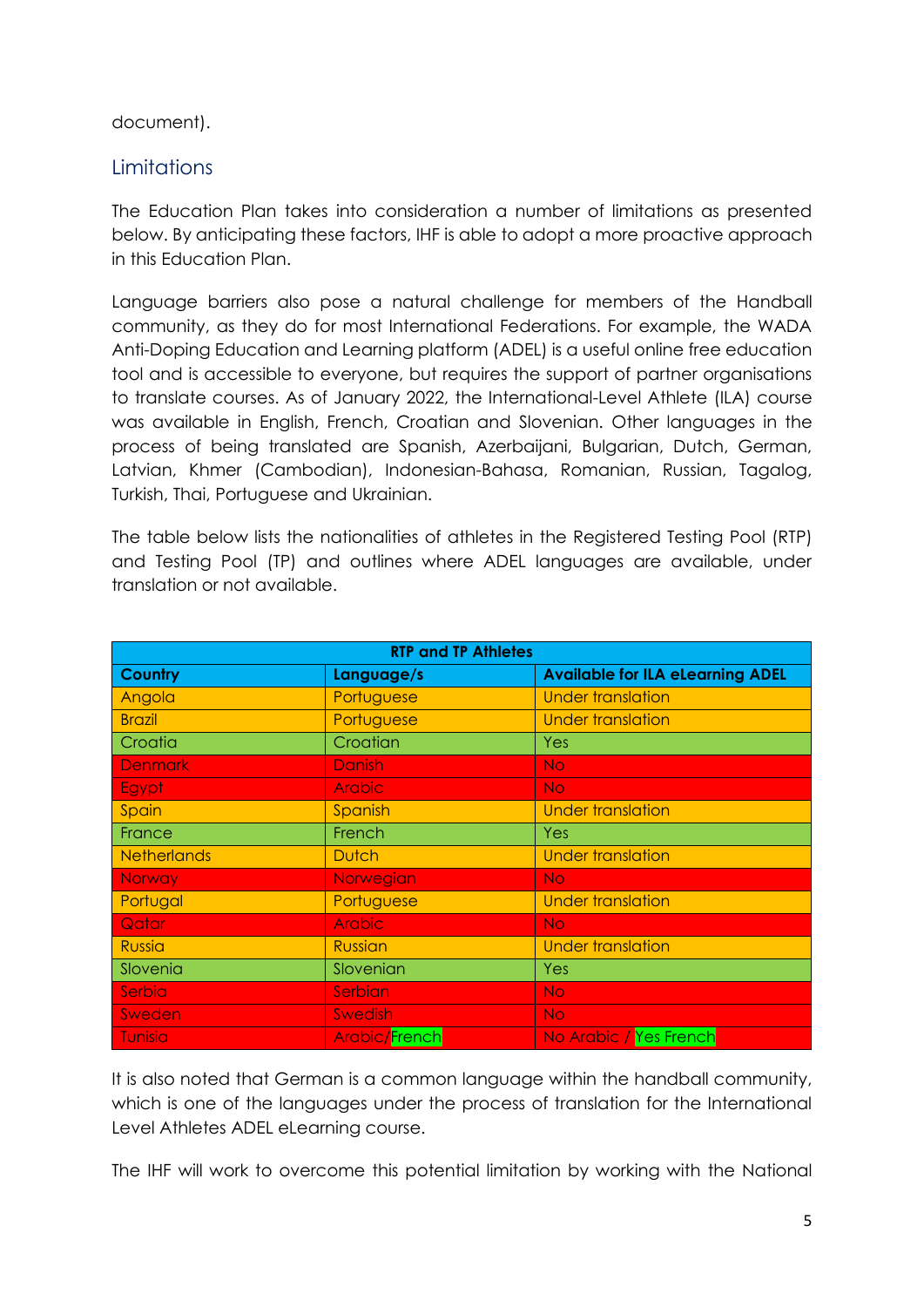#### document).

#### <span id="page-4-0"></span>**Limitations**

The Education Plan takes into consideration a number of limitations as presented below. By anticipating these factors, IHF is able to adopt a more proactive approach in this Education Plan.

Language barriers also pose a natural challenge for members of the Handball community, as they do for most International Federations. For example, the WADA Anti-Doping Education and Learning platform (ADEL) is a useful online free education tool and is accessible to everyone, but requires the support of partner organisations to translate courses. As of January 2022, the International-Level Athlete (ILA) course was available in English, French, Croatian and Slovenian. Other languages in the process of being translated are Spanish, Azerbaijani, Bulgarian, Dutch, German, Latvian, Khmer (Cambodian), Indonesian-Bahasa, Romanian, Russian, Tagalog, Turkish, Thai, Portuguese and Ukrainian.

The table below lists the nationalities of athletes in the Registered Testing Pool (RTP) and Testing Pool (TP) and outlines where ADEL languages are available, under translation or not available.

| <b>RTP and TP Athletes</b> |                      |                                         |  |  |  |  |
|----------------------------|----------------------|-----------------------------------------|--|--|--|--|
| <b>Country</b>             | Language/s           | <b>Available for ILA eLearning ADEL</b> |  |  |  |  |
| Angola                     | Portuguese           | <b>Under translation</b>                |  |  |  |  |
| <b>Brazil</b>              | Portuguese           | <b>Under translation</b>                |  |  |  |  |
| Croatia                    | Croatian             | Yes                                     |  |  |  |  |
| <b>Denmark</b>             | <b>Danish</b>        | <b>No</b>                               |  |  |  |  |
| Egypt                      | <b>Arabic</b>        | N <sub>O</sub>                          |  |  |  |  |
| Spain                      | Spanish              | <b>Under translation</b>                |  |  |  |  |
| France                     | French               | Yes                                     |  |  |  |  |
| <b>Netherlands</b>         | <b>Dutch</b>         | <b>Under translation</b>                |  |  |  |  |
| <b>Norway</b>              | Norwegian            | N <sub>O</sub>                          |  |  |  |  |
| Portugal                   | Portuguese           | <b>Under translation</b>                |  |  |  |  |
| Qatar                      | <b>Arabic</b>        | <b>No</b>                               |  |  |  |  |
| <b>Russia</b>              | <b>Russian</b>       | <b>Under translation</b>                |  |  |  |  |
| Slovenia                   | Slovenian            | Yes                                     |  |  |  |  |
| Serbia                     | Serbian              | <b>No</b>                               |  |  |  |  |
| Sweden                     | <b>Swedish</b>       | <b>No</b>                               |  |  |  |  |
| Tunisia                    | <b>Arabic/French</b> | No Arabic / Yes French                  |  |  |  |  |

It is also noted that German is a common language within the handball community, which is one of the languages under the process of translation for the International Level Athletes ADEL eLearning course.

The IHF will work to overcome this potential limitation by working with the National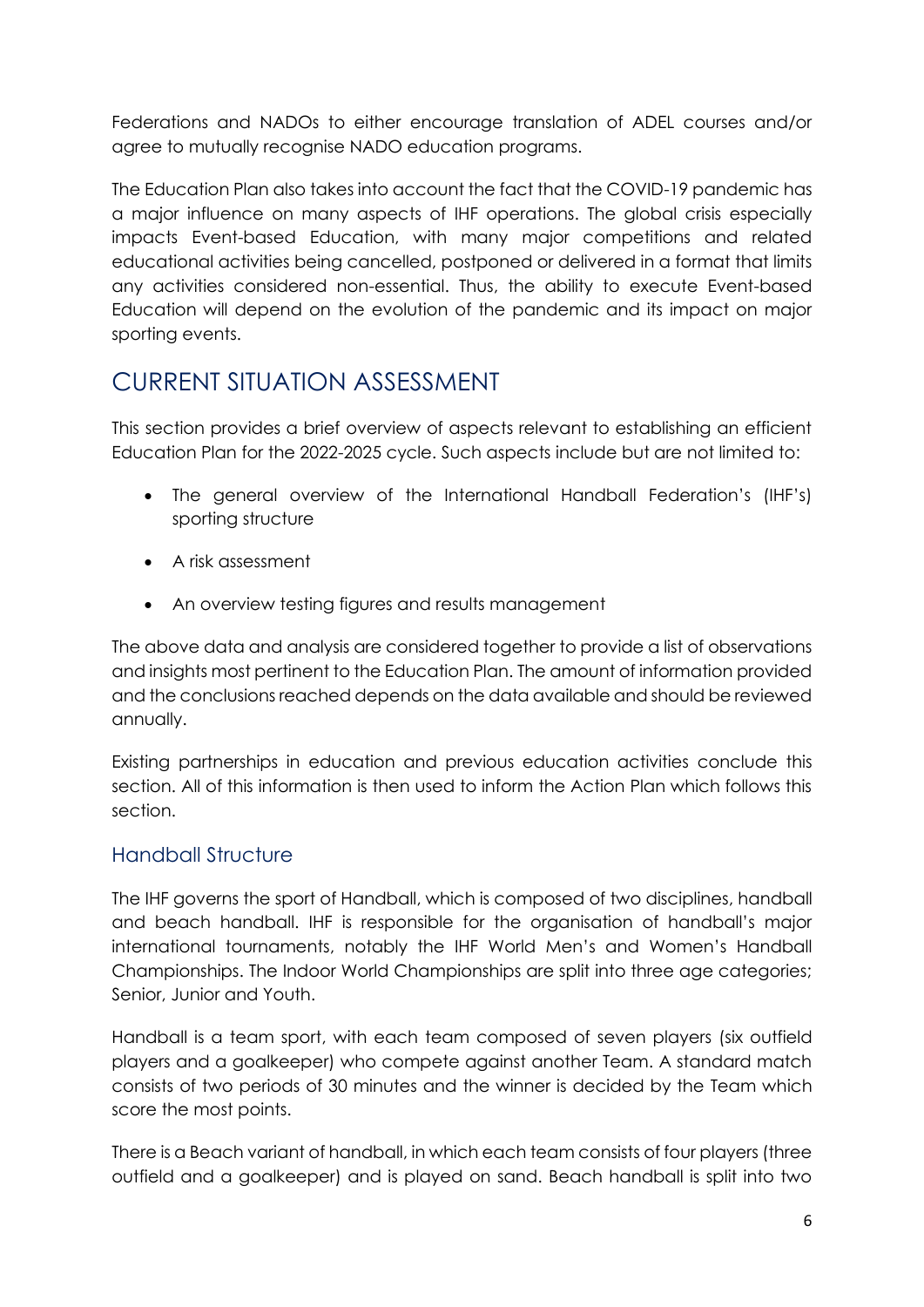Federations and NADOs to either encourage translation of ADEL courses and/or agree to mutually recognise NADO education programs.

The Education Plan also takes into account the fact that the COVID-19 pandemic has a major influence on many aspects of IHF operations. The global crisis especially impacts Event-based Education, with many major competitions and related educational activities being cancelled, postponed or delivered in a format that limits any activities considered non-essential. Thus, the ability to execute Event-based Education will depend on the evolution of the pandemic and its impact on major sporting events.

## <span id="page-5-0"></span>CURRENT SITUATION ASSESSMENT

This section provides a brief overview of aspects relevant to establishing an efficient Education Plan for the 2022-2025 cycle. Such aspects include but are not limited to:

- The general overview of the International Handball Federation's (IHF's) sporting structure
- A risk assessment
- An overview testing figures and results management

The above data and analysis are considered together to provide a list of observations and insights most pertinent to the Education Plan. The amount of information provided and the conclusions reached depends on the data available and should be reviewed annually.

Existing partnerships in education and previous education activities conclude this section. All of this information is then used to inform the Action Plan which follows this section.

## <span id="page-5-1"></span>Handball Structure

The IHF governs the sport of Handball, which is composed of two disciplines, handball and beach handball. IHF is responsible for the organisation of handball's major international tournaments, notably the IHF World Men's and Women's Handball Championships. The Indoor World Championships are split into three age categories; Senior, Junior and Youth.

Handball is a team sport, with each team composed of seven players (six outfield players and a goalkeeper) who compete against another Team. A standard match consists of two periods of 30 minutes and the winner is decided by the Team which score the most points.

There is a Beach variant of handball, in which each team consists of four players (three outfield and a goalkeeper) and is played on sand. Beach handball is split into two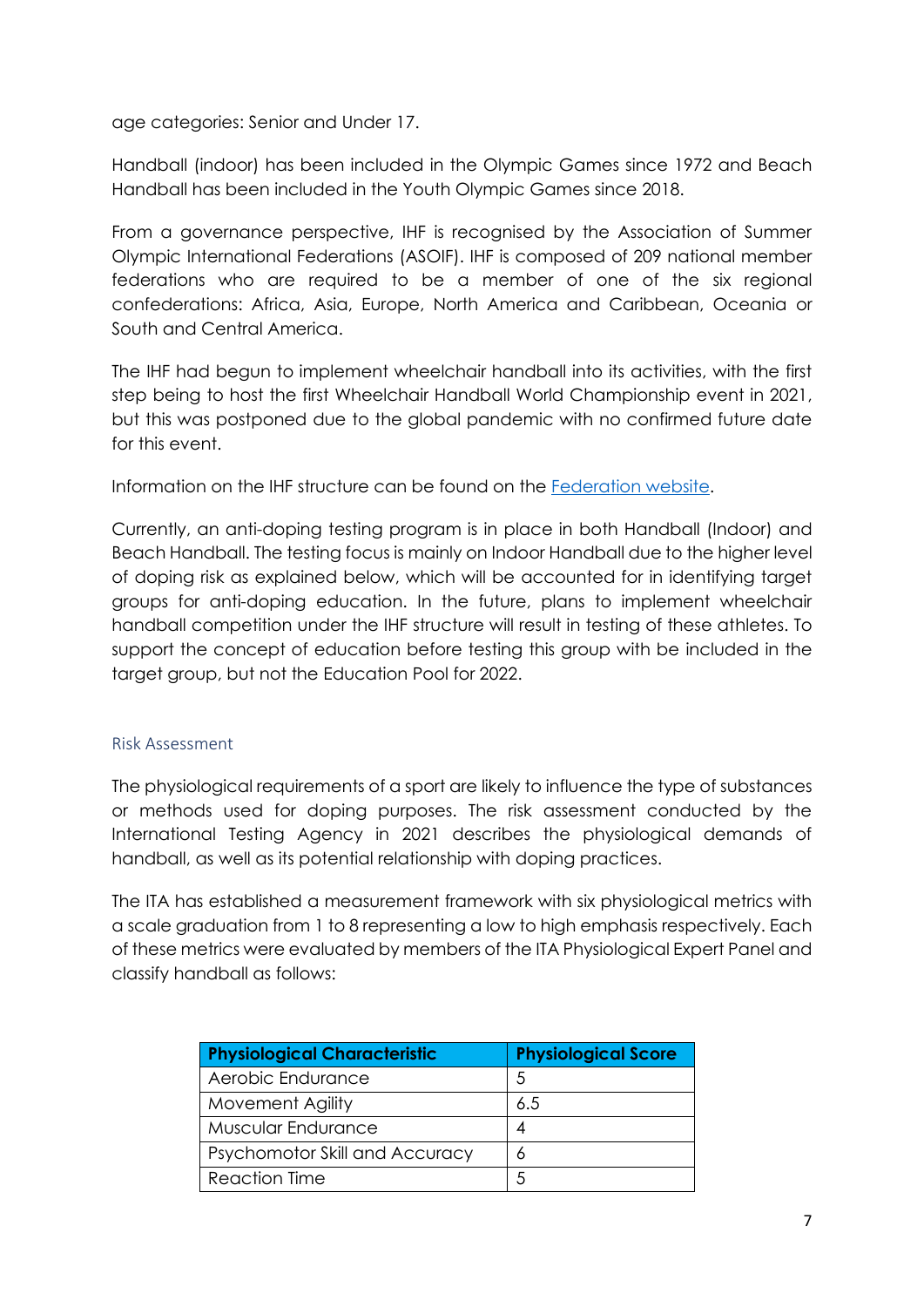age categories: Senior and Under 17.

Handball (indoor) has been included in the Olympic Games since 1972 and Beach Handball has been included in the Youth Olympic Games since 2018.

From a governance perspective, IHF is recognised by the Association of Summer Olympic International Federations (ASOIF). IHF is composed of 209 national member federations who are required to be a member of one of the six regional confederations: Africa, Asia, Europe, North America and Caribbean, Oceania or South and Central America.

The IHF had begun to implement wheelchair handball into its activities, with the first step being to host the first Wheelchair Handball World Championship event in 2021, but this was postponed due to the global pandemic with no confirmed future date for this event.

Information on the IHF structure can be found on the [Federation website.](https://www.ihf.info/)

Currently, an anti-doping testing program is in place in both Handball (Indoor) and Beach Handball. The testing focus is mainly on Indoor Handball due to the higher level of doping risk as explained below, which will be accounted for in identifying target groups for anti-doping education. In the future, plans to implement wheelchair handball competition under the IHF structure will result in testing of these athletes. To support the concept of education before testing this group with be included in the target group, but not the Education Pool for 2022.

#### <span id="page-6-0"></span>Risk Assessment

The physiological requirements of a sport are likely to influence the type of substances or methods used for doping purposes. The risk assessment conducted by the International Testing Agency in 2021 describes the physiological demands of handball, as well as its potential relationship with doping practices.

The ITA has established a measurement framework with six physiological metrics with a scale graduation from 1 to 8 representing a low to high emphasis respectively. Each of these metrics were evaluated by members of the ITA Physiological Expert Panel and classify handball as follows:

| <b>Physiological Characteristic</b> | <b>Physiological Score</b> |
|-------------------------------------|----------------------------|
| Aerobic Endurance                   | 5                          |
| Movement Agility                    | 6.5                        |
| Muscular Endurance                  | 4                          |
| Psychomotor Skill and Accuracy      | 6                          |
| <b>Reaction Time</b>                | 5                          |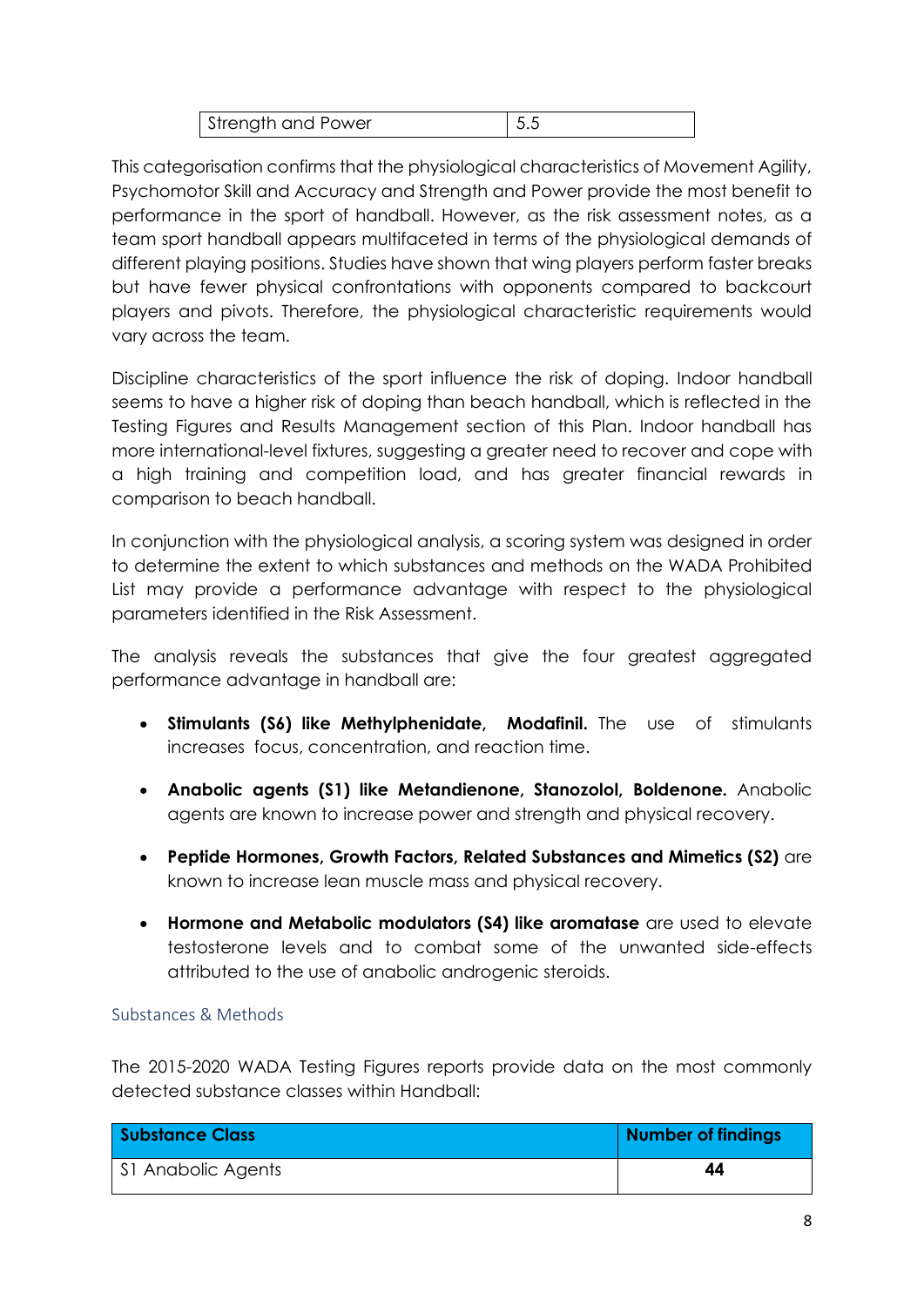| Strength and Power | $\vert 5.5$ |
|--------------------|-------------|

This categorisation confirms that the physiological characteristics of Movement Agility, Psychomotor Skill and Accuracy and Strength and Power provide the most benefit to performance in the sport of handball. However, as the risk assessment notes, as a team sport handball appears multifaceted in terms of the physiological demands of different playing positions. Studies have shown that wing players perform faster breaks but have fewer physical confrontations with opponents compared to backcourt players and pivots. Therefore, the physiological characteristic requirements would vary across the team.

Discipline characteristics of the sport influence the risk of doping. Indoor handball seems to have a higher risk of doping than beach handball, which is reflected in the Testing Figures and Results Management section of this Plan. Indoor handball has more international-level fixtures, suggesting a greater need to recover and cope with a high training and competition load, and has greater financial rewards in comparison to beach handball.

In conjunction with the physiological analysis, a scoring system was designed in order to determine the extent to which substances and methods on the WADA Prohibited List may provide a performance advantage with respect to the physiological parameters identified in the Risk Assessment.

The analysis reveals the substances that give the four greatest aggregated performance advantage in handball are:

- **Stimulants (S6) like Methylphenidate, Modafinil.** The use of stimulants increases focus, concentration, and reaction time.
- **Anabolic agents (S1) like Metandienone, Stanozolol, Boldenone.** Anabolic agents are known to increase power and strength and physical recovery.
- **Peptide Hormones, Growth Factors, Related Substances and Mimetics (S2)** are known to increase lean muscle mass and physical recovery.
- **Hormone and Metabolic modulators (S4) like aromatase** are used to elevate testosterone levels and to combat some of the unwanted side-effects attributed to the use of anabolic androgenic steroids.

#### <span id="page-7-0"></span>Substances & Methods

The 2015-2020 WADA Testing Figures reports provide data on the most commonly detected substance classes within Handball:

| Substance Class    | <b>Number of findings</b> |
|--------------------|---------------------------|
| SI Anabolic Agents | 44                        |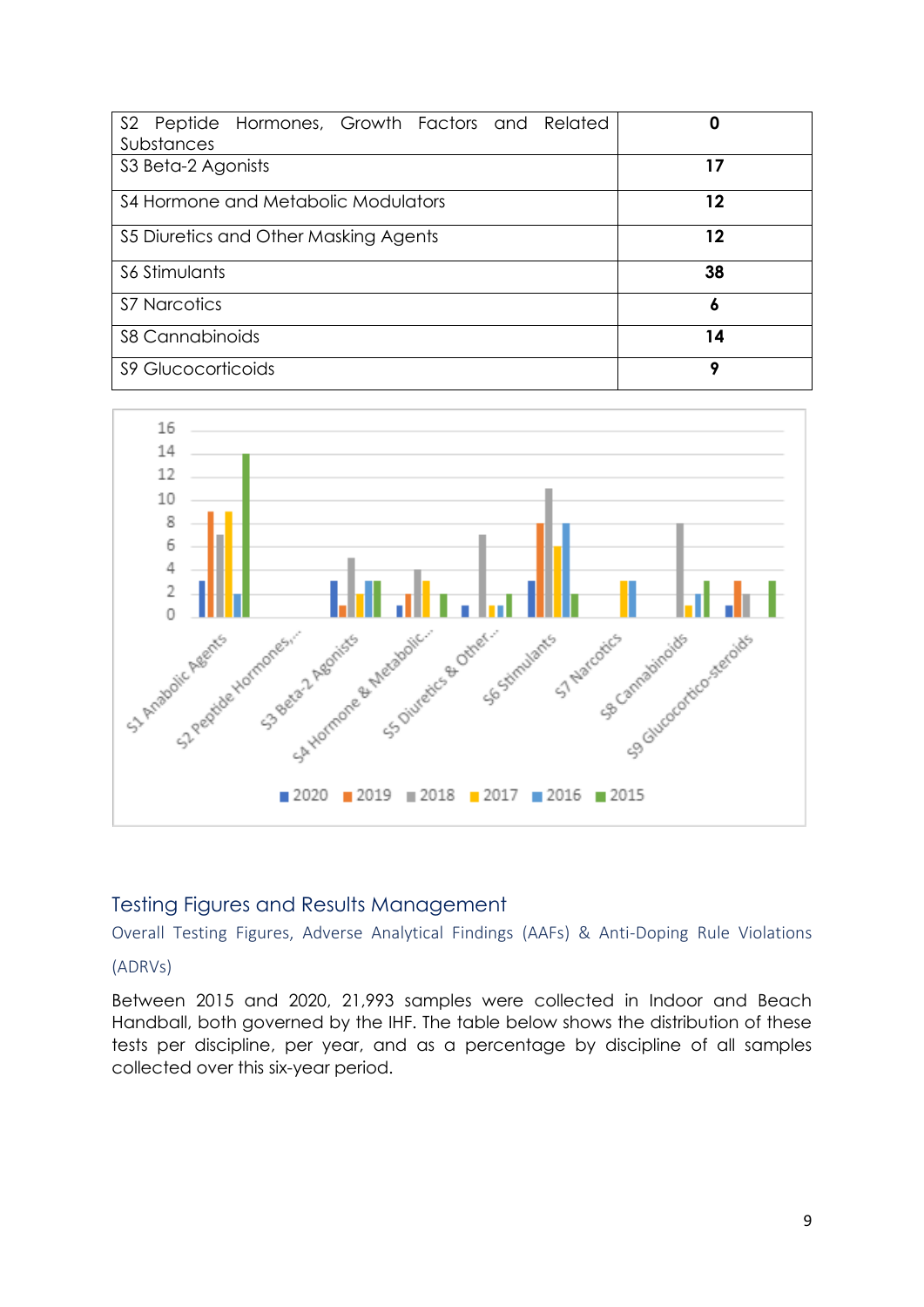| S2 Peptide Hormones, Growth Factors and Related<br>Substances | 0  |
|---------------------------------------------------------------|----|
| S3 Beta-2 Agonists                                            | 17 |
| S4 Hormone and Metabolic Modulators                           | 12 |
| S5 Diuretics and Other Masking Agents                         | 12 |
| S6 Stimulants                                                 | 38 |
| <b>S7 Narcotics</b>                                           | 6  |
| <b>S8 Cannabinoids</b>                                        | 14 |
| <b>S9 Glucocorticoids</b>                                     | q  |



#### <span id="page-8-0"></span>Testing Figures and Results Management

<span id="page-8-1"></span>Overall Testing Figures, Adverse Analytical Findings (AAFs) & Anti-Doping Rule Violations

#### (ADRVs)

Between 2015 and 2020, 21,993 samples were collected in Indoor and Beach Handball, both governed by the IHF. The table below shows the distribution of these tests per discipline, per year, and as a percentage by discipline of all samples collected over this six-year period.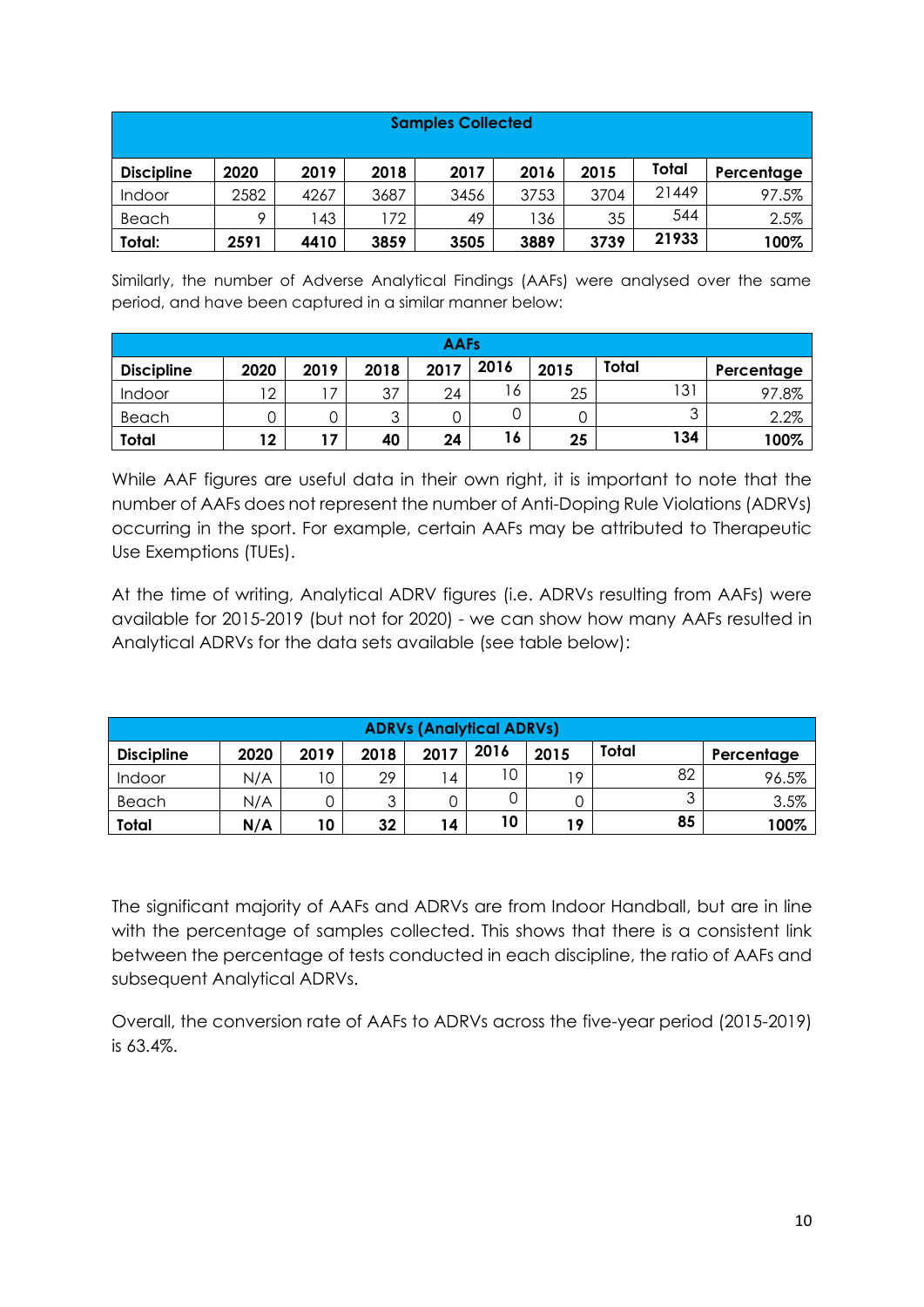| <b>Samples Collected</b> |      |      |      |      |      |      |       |            |
|--------------------------|------|------|------|------|------|------|-------|------------|
| <b>Discipline</b>        | 2020 | 2019 | 2018 | 2017 | 2016 | 2015 | Total | Percentage |
| Indoor                   | 2582 | 4267 | 3687 | 3456 | 3753 | 3704 | 21449 | 97.5%      |
| Beach                    | Q    | 43   | 72   | 49   | 136  | 35   | 544   | 2.5%       |
| Total:                   | 2591 | 4410 | 3859 | 3505 | 3889 | 3739 | 21933 | 100%       |

Similarly, the number of Adverse Analytical Findings (AAFs) were analysed over the same period, and have been captured in a similar manner below:

| <b>AAFs</b>       |      |                |        |      |      |      |        |            |
|-------------------|------|----------------|--------|------|------|------|--------|------------|
| <b>Discipline</b> | 2020 | 2019           | 2018   | 2017 | 2016 | 2015 | Total  | Percentage |
| Indoor            | 12   | $\sqrt{7}$     | 37     | 24   | 6    | 25   | 131    | 97.8%      |
| Beach             |      |                | ാ<br>ں |      |      |      | ◠<br>ں | 2.2%       |
| Total             | 12   | $\overline{1}$ | 40     | 24   | 16   | 25   | 134    | 100%       |

While AAF figures are useful data in their own right, it is important to note that the number of AAFs does not represent the number of Anti-Doping Rule Violations (ADRVs) occurring in the sport. For example, certain AAFs may be attributed to Therapeutic Use Exemptions (TUEs).

At the time of writing, Analytical ADRV figures (i.e. ADRVs resulting from AAFs) were available for 2015-2019 (but not for 2020) - we can show how many AAFs resulted in Analytical ADRVs for the data sets available (see table below):

| <b>ADRVs (Analytical ADRVs)</b> |      |      |      |      |      |      |        |            |
|---------------------------------|------|------|------|------|------|------|--------|------------|
| <b>Discipline</b>               | 2020 | 2019 | 2018 | 2017 | 2016 | 2015 | Total  | Percentage |
| Indoor                          | N/A  | 1 ∩  | 29   | 4    | 10   | 19   | 82     | 96.5%      |
| Beach                           | N/A  |      | ્ર   |      |      |      | ⌒<br>ີ | 3.5%       |
| Total                           | N/A  | 10   | 32   | 14   | 10   | 19   | 85     | 100%       |

The significant majority of AAFs and ADRVs are from Indoor Handball, but are in line with the percentage of samples collected. This shows that there is a consistent link between the percentage of tests conducted in each discipline, the ratio of AAFs and subsequent Analytical ADRVs.

Overall, the conversion rate of AAFs to ADRVs across the five-year period (2015-2019) is 63.4%.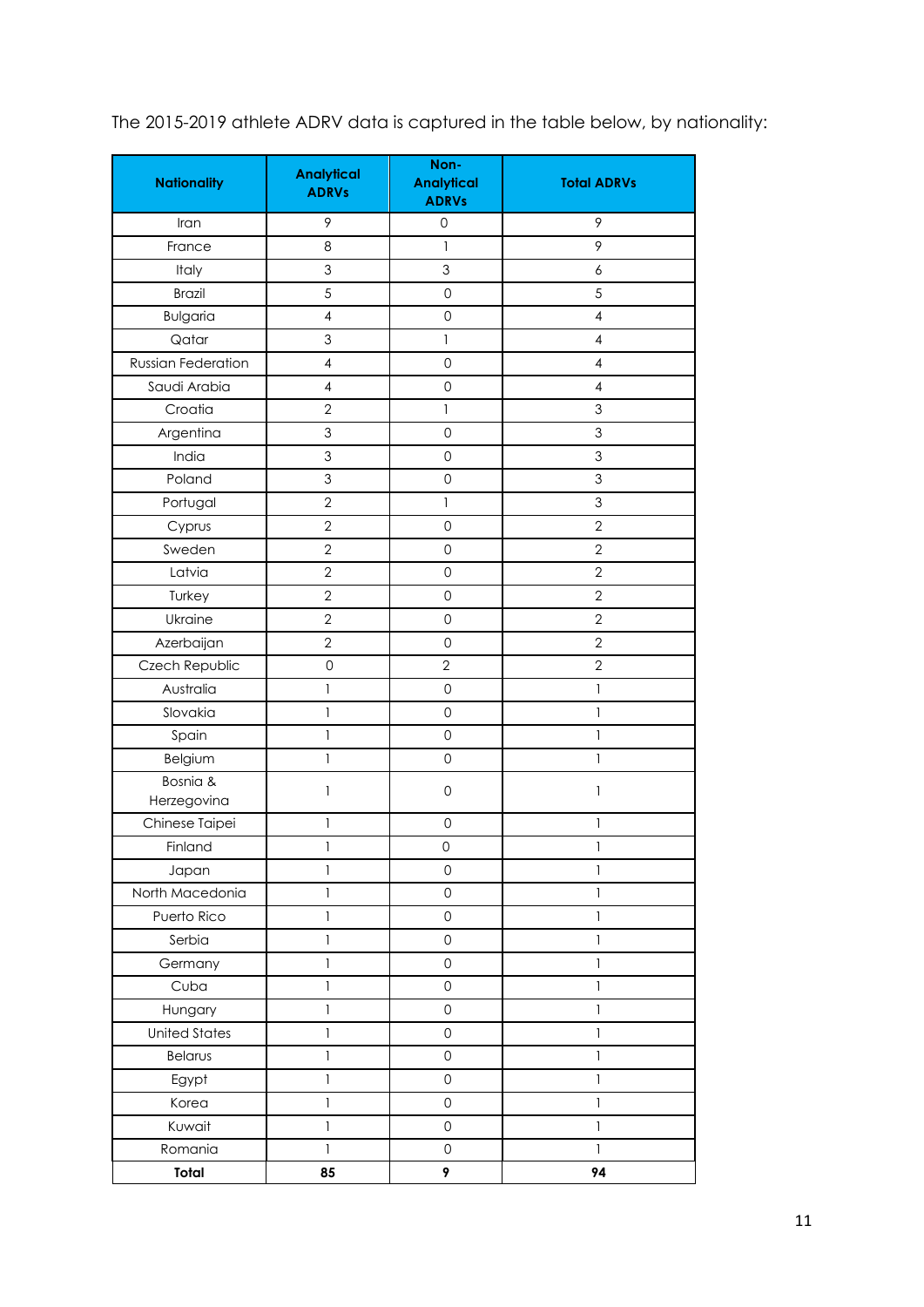| <b>Nationality</b>        | <b>Analytical</b><br><b>ADRVs</b> | Non-<br><b>Analytical</b><br><b>ADRVs</b> | <b>Total ADRVs</b>        |
|---------------------------|-----------------------------------|-------------------------------------------|---------------------------|
| Iran                      | 9                                 | 0                                         | 9                         |
| France                    | 8                                 | $\mathbf{1}$                              | 9                         |
| Italy                     | 3                                 | 3                                         | 6                         |
| <b>Brazil</b>             | $\overline{5}$                    | $\mathsf{O}\xspace$                       | 5                         |
| <b>Bulgaria</b>           | $\overline{4}$                    | $\mathsf{O}\xspace$                       | $\overline{4}$            |
| Qatar                     | $\mathfrak 3$                     | $\mathbf{1}$                              | $\overline{4}$            |
| <b>Russian Federation</b> | $\overline{4}$                    | $\mathsf{O}\xspace$                       | $\overline{4}$            |
| Saudi Arabia              | $\overline{4}$                    | $\mathsf{O}\xspace$                       | $\overline{4}$            |
| Croatia                   | $\overline{2}$                    | $\mathbf{1}$                              | $\mathfrak{S}$            |
| Argentina                 | $\mathfrak 3$                     | $\mathsf{O}\xspace$                       | $\mathfrak 3$             |
| India                     | $\mathsf 3$                       | $\mathsf{O}\xspace$                       | 3                         |
| Poland                    | $\ensuremath{\mathsf{3}}$         | $\mathsf{O}\xspace$                       | $\mathfrak 3$             |
| Portugal                  | $\overline{2}$                    | $\mathbf{1}$                              | $\ensuremath{\mathsf{3}}$ |
| Cyprus                    | $\overline{2}$                    | $\mathsf{O}\xspace$                       | $\overline{2}$            |
| Sweden                    | $\overline{2}$                    | $\mathbf 0$                               | $\overline{2}$            |
| Latvia                    | $\overline{2}$                    | $\mathsf{O}\xspace$                       | $\overline{2}$            |
| Turkey                    | $\overline{2}$                    | $\mathsf{O}\xspace$                       | $\overline{2}$            |
| Ukraine                   | $\overline{2}$                    | $\mathsf{O}\xspace$                       | $\overline{2}$            |
| Azerbaijan                | $\overline{2}$                    | $\mathsf{O}\xspace$                       | $\overline{2}$            |
| Czech Republic            | $\mathbf 0$                       | $\overline{2}$                            | $\overline{2}$            |
| Australia                 | $\mathbf{1}$                      | $\mathsf{O}\xspace$                       | 1                         |
| Slovakia                  | $\mathbf{1}$                      | $\mathsf{O}\xspace$                       | $\mathbf{I}$              |
| Spain                     | $\mathbf{1}$                      | $\mathsf{O}\xspace$                       | $\mathbf{1}$              |
| Belgium                   | $\mathbf{1}$                      | $\mathsf{O}\xspace$                       | 1                         |
| Bosnia &<br>Herzegovina   | 1                                 | $\mathsf{O}\xspace$                       | 1                         |
| Chinese Taipei            | 1                                 | 0                                         | 1                         |
| Finland                   | $\mathbf{1}$                      | $\mathbf 0$                               | 1                         |
| Japan                     | $\mathbf{1}$                      | $\mathsf{O}\xspace$                       | 1                         |
| North Macedonia           | $\mathbf{1}$                      | $\mathsf{O}\xspace$                       | $\mathbf{1}$              |
| Puerto Rico               | 1                                 | $\mathsf{O}\xspace$                       | 1                         |
| Serbia                    | $\mathbf{1}$                      | $\mathsf{O}\xspace$                       | $\mathbf{1}$              |
| Germany                   | $\mathbf{I}$                      | $\mathsf{O}\xspace$                       | $\mathbf{1}$              |
| Cuba                      | $\mathbf{1}$                      | $\mathsf{O}\xspace$                       | $\mathbf{1}$              |
| Hungary                   | 1                                 | $\mathsf{O}\xspace$                       | 1                         |
| <b>United States</b>      | $\mathbf{1}$                      | $\mathsf{O}\xspace$                       | $\mathbf{1}$              |
| Belarus                   | $\mathbf{I}$                      | $\mathsf{O}\xspace$                       | $\mathbf{1}$              |
| Egypt                     | $\mathbf{1}$                      | $\mathsf{O}\xspace$                       | $\mathbf{1}$              |
| Korea                     | 1                                 | $\mathsf{O}\xspace$                       | 1                         |
| Kuwait                    | $\mathbf{1}$                      | $\mathsf{O}\xspace$                       | $\mathbf{1}$              |
| Romania                   | $\mathbf{1}$                      | $\mathsf{O}\xspace$                       | $\mathbf{1}$              |
| Total                     | 85                                | 9                                         | 94                        |

The 2015-2019 athlete ADRV data is captured in the table below, by nationality: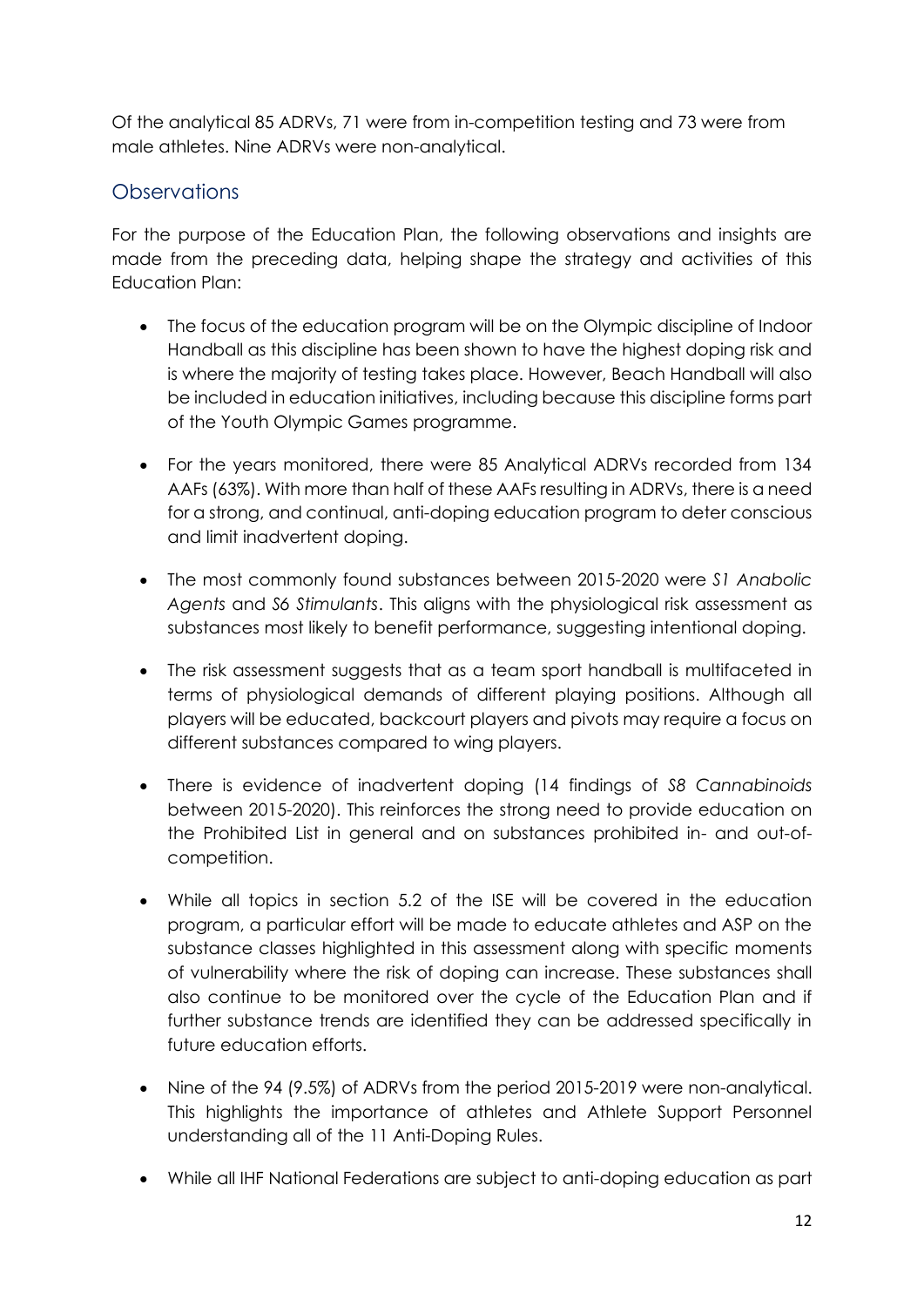Of the analytical 85 ADRVs, 71 were from in-competition testing and 73 were from male athletes. Nine ADRVs were non-analytical.

## <span id="page-11-0"></span>Observations

For the purpose of the Education Plan, the following observations and insights are made from the preceding data, helping shape the strategy and activities of this Education Plan:

- The focus of the education program will be on the Olympic discipline of Indoor Handball as this discipline has been shown to have the highest doping risk and is where the majority of testing takes place. However, Beach Handball will also be included in education initiatives, including because this discipline forms part of the Youth Olympic Games programme.
- For the years monitored, there were 85 Analytical ADRVs recorded from 134 AAFs (63%). With more than half of these AAFs resulting in ADRVs, there is a need for a strong, and continual, anti-doping education program to deter conscious and limit inadvertent doping.
- The most commonly found substances between 2015-2020 were *S1 Anabolic Agents* and *S6 Stimulants*. This aligns with the physiological risk assessment as substances most likely to benefit performance, suggesting intentional doping.
- The risk assessment suggests that as a team sport handball is multifaceted in terms of physiological demands of different playing positions. Although all players will be educated, backcourt players and pivots may require a focus on different substances compared to wing players.
- There is evidence of inadvertent doping (14 findings of *S8 Cannabinoids* between 2015-2020). This reinforces the strong need to provide education on the Prohibited List in general and on substances prohibited in- and out-ofcompetition.
- While all topics in section 5.2 of the ISE will be covered in the education program, a particular effort will be made to educate athletes and ASP on the substance classes highlighted in this assessment along with specific moments of vulnerability where the risk of doping can increase. These substances shall also continue to be monitored over the cycle of the Education Plan and if further substance trends are identified they can be addressed specifically in future education efforts.
- Nine of the 94 (9.5%) of ADRVs from the period 2015-2019 were non-analytical. This highlights the importance of athletes and Athlete Support Personnel understanding all of the 11 Anti-Doping Rules.
- While all IHF National Federations are subject to anti-doping education as part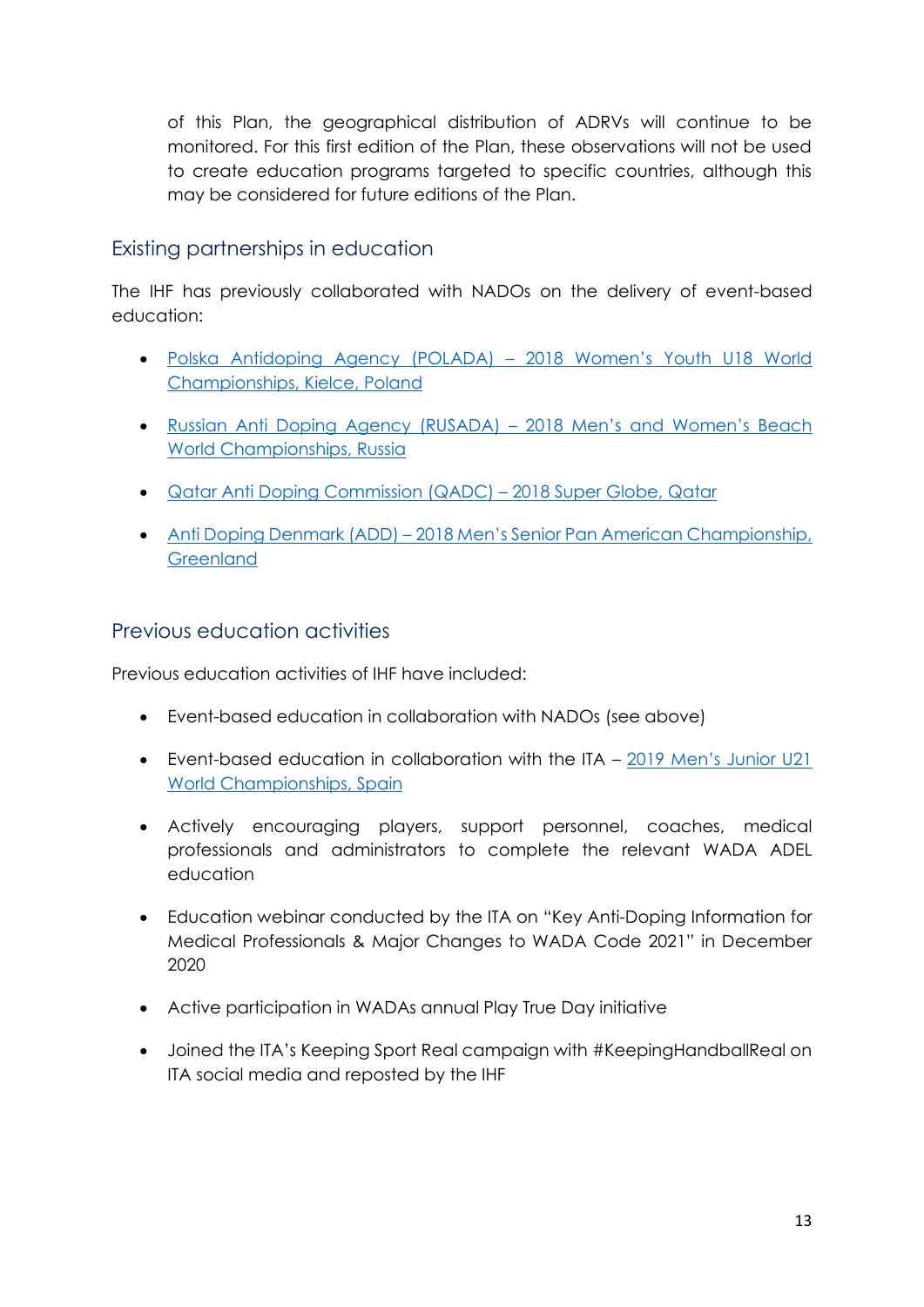of this Plan, the geographical distribution of ADRVs will continue to be monitored. For this first edition of the Plan, these observations will not be used to create education programs targeted to specific countries, although this may be considered for future editions of the Plan.

### <span id="page-12-0"></span>Existing partnerships in education

The IHF has previously collaborated with NADOs on the delivery of event-based education:

- [Polska Antidoping Agency \(POLADA\)](https://www.ihf.info/sites/default/files/2020-06/2018%20Women%E2%80%99s%20Youth%20U18%20World%20Championship%2C%20Kielce.pdf) 2018 Women's Youth U18 World [Championships, Kielce, Poland](https://www.ihf.info/sites/default/files/2020-06/2018%20Women%E2%80%99s%20Youth%20U18%20World%20Championship%2C%20Kielce.pdf)
- [Russian Anti Doping Agency \(RUSADA\)](https://www.ihf.info/sites/default/files/2019-05/11294_RUSADA%20Kazan_0.pdf) 2018 Men's and Women's Beach [World Championships, Russia](https://www.ihf.info/sites/default/files/2019-05/11294_RUSADA%20Kazan_0.pdf)
- [Qatar Anti Doping Commission \(QADC\)](https://www.ihf.info/sites/default/files/2019-05/11294_QADC%26%20IHF%20Education%20Session%2018%20October%202018.pdf) 2018 Super Globe, Qatar
- Anti Doping Denmark (ADD) 2018 Men's Senior Pan American Championship, **[Greenland](https://www.ihf.info/sites/default/files/2019-05/11294_2018%20Men%20PanAm%20GRL%20AD%20Education%20photos.pdf)**

### <span id="page-12-1"></span>Previous education activities

Previous education activities of IHF have included:

- Event-based education in collaboration with NADOs (see above)
- Event-based education in collaboration with the ITA [2019 Men's Junior U21](https://www.ihf.info/sites/default/files/2020-06/2019-07-23%20ITA%20outreach%20report%20-%20OAbasolo%20v2_0.pdf)  [World Championships, Spain](https://www.ihf.info/sites/default/files/2020-06/2019-07-23%20ITA%20outreach%20report%20-%20OAbasolo%20v2_0.pdf)
- Actively encouraging players, support personnel, coaches, medical professionals and administrators to complete the relevant WADA ADEL education
- Education webinar conducted by the ITA on "Key Anti-Doping Information for Medical Professionals & Major Changes to WADA Code 2021" in December 2020
- Active participation in WADAs annual Play True Day initiative
- Joined the ITA's Keeping Sport Real campaign with #KeepingHandballReal on ITA social media and reposted by the IHF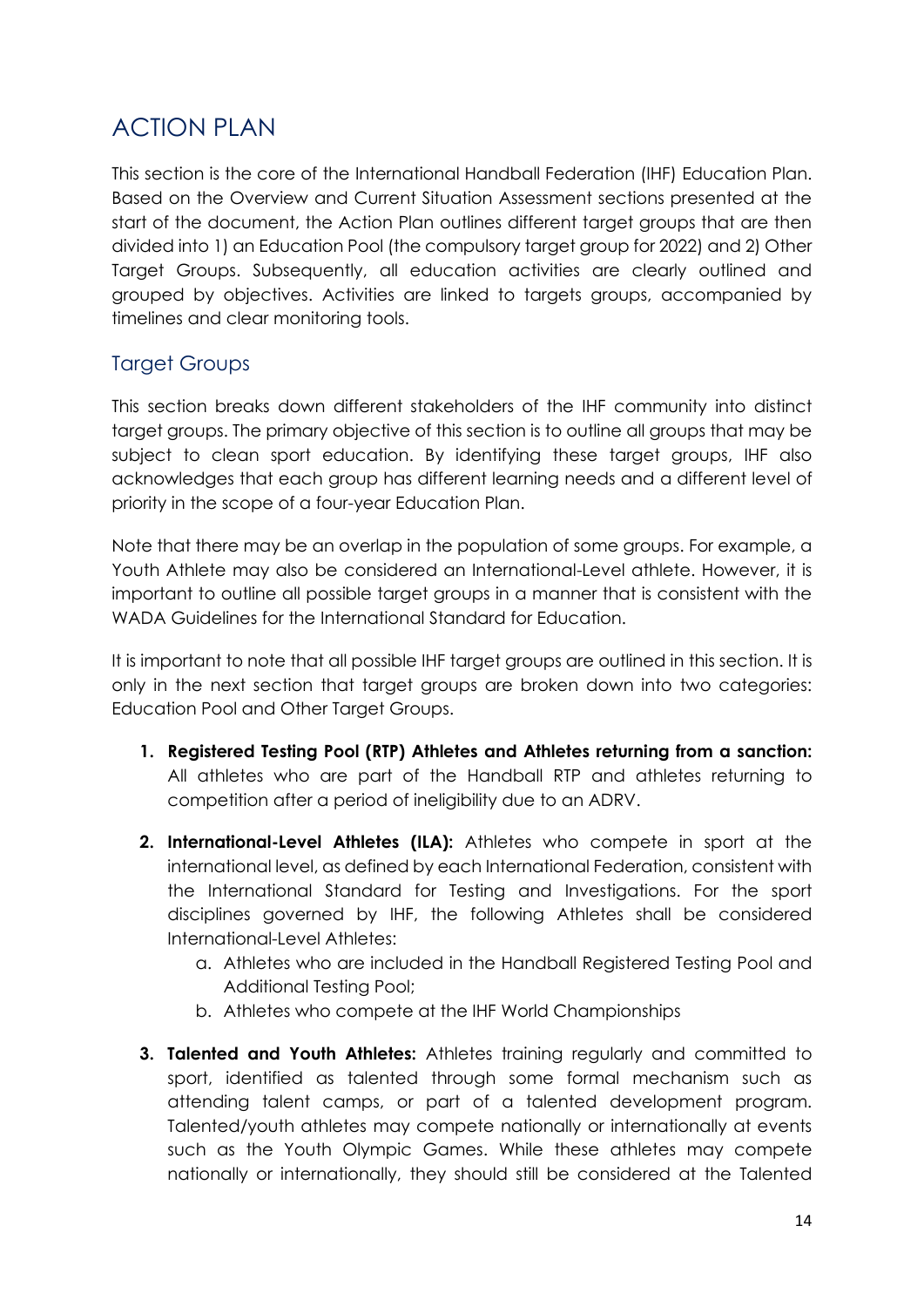## <span id="page-13-0"></span>ACTION PLAN

This section is the core of the International Handball Federation (IHF) Education Plan. Based on the Overview and Current Situation Assessment sections presented at the start of the document, the Action Plan outlines different target groups that are then divided into 1) an Education Pool (the compulsory target group for 2022) and 2) Other Target Groups. Subsequently, all education activities are clearly outlined and grouped by objectives. Activities are linked to targets groups, accompanied by timelines and clear monitoring tools.

## <span id="page-13-1"></span>Target Groups

This section breaks down different stakeholders of the IHF community into distinct target groups. The primary objective of this section is to outline all groups that may be subject to clean sport education. By identifying these target groups, IHF also acknowledges that each group has different learning needs and a different level of priority in the scope of a four-year Education Plan.

Note that there may be an overlap in the population of some groups. For example, a Youth Athlete may also be considered an International-Level athlete. However, it is important to outline all possible target groups in a manner that is consistent with the WADA Guidelines for the International Standard for Education.

It is important to note that all possible IHF target groups are outlined in this section. It is only in the next section that target groups are broken down into two categories: Education Pool and Other Target Groups.

- **1. Registered Testing Pool (RTP) Athletes and Athletes returning from a sanction:**  All athletes who are part of the Handball RTP and athletes returning to competition after a period of ineligibility due to an ADRV.
- **2. International-Level Athletes (ILA):** Athletes who compete in sport at the international level, as defined by each International Federation, consistent with the International Standard for Testing and Investigations. For the sport disciplines governed by IHF, the following Athletes shall be considered International-Level Athletes:
	- a. Athletes who are included in the Handball Registered Testing Pool and Additional Testing Pool;
	- b. Athletes who compete at the IHF World Championships
- **3. Talented and Youth Athletes:** Athletes training regularly and committed to sport, identified as talented through some formal mechanism such as attending talent camps, or part of a talented development program. Talented/youth athletes may compete nationally or internationally at events such as the Youth Olympic Games. While these athletes may compete nationally or internationally, they should still be considered at the Talented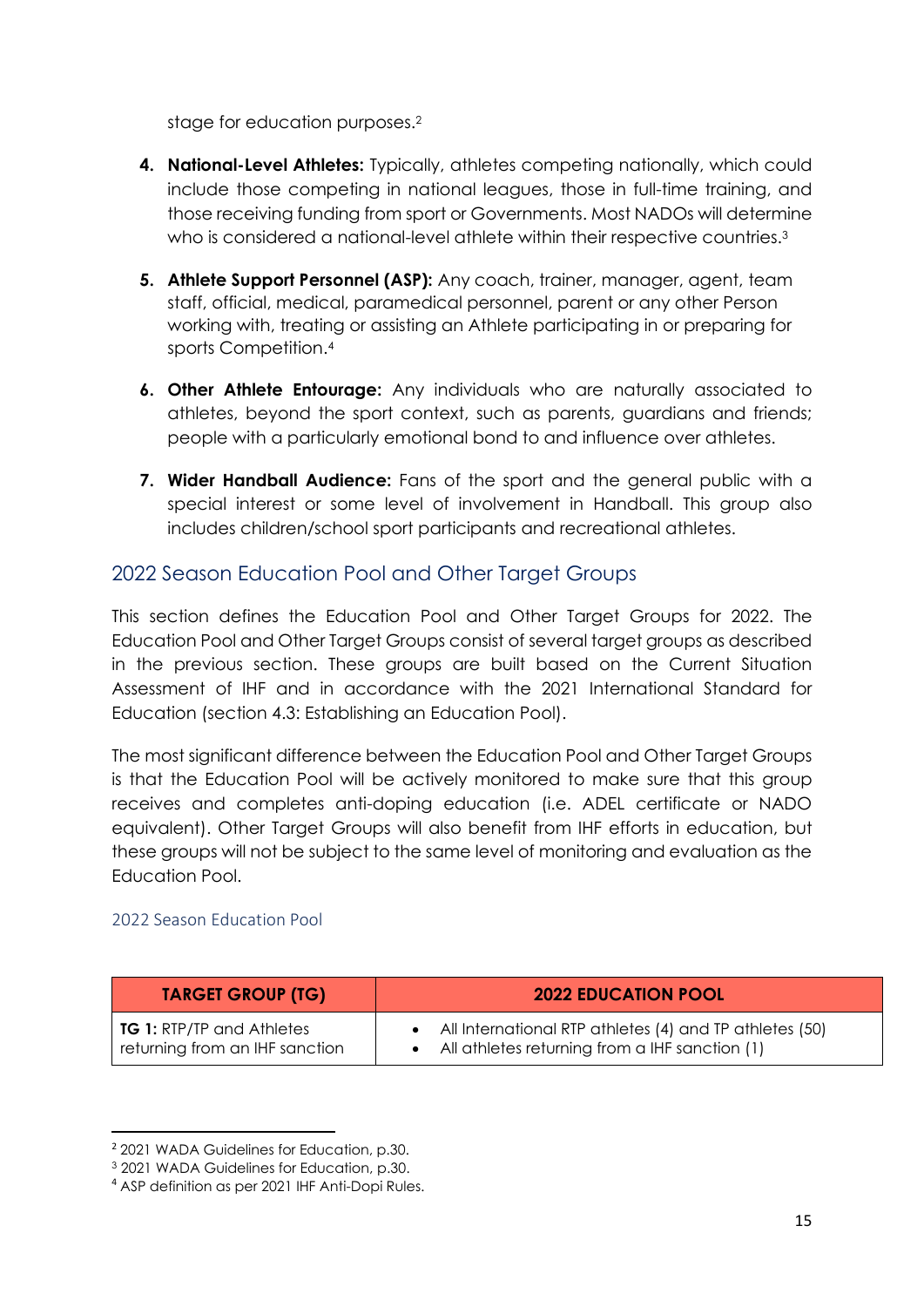stage for education purposes.<sup>2</sup>

- **4. National-Level Athletes:** Typically, athletes competing nationally, which could include those competing in national leagues, those in full-time training, and those receiving funding from sport or Governments. Most NADOs will determine who is considered a national-level athlete within their respective countries.<sup>3</sup>
- **5. Athlete Support Personnel (ASP):** Any coach, trainer, manager, agent, team staff, official, medical, paramedical personnel, parent or any other Person working with, treating or assisting an Athlete participating in or preparing for sports Competition. 4
- **6. Other Athlete Entourage:** Any individuals who are naturally associated to athletes, beyond the sport context, such as parents, guardians and friends; people with a particularly emotional bond to and influence over athletes.
- **7. Wider Handball Audience:** Fans of the sport and the general public with a special interest or some level of involvement in Handball. This group also includes children/school sport participants and recreational athletes.

### <span id="page-14-0"></span>2022 Season Education Pool and Other Target Groups

This section defines the Education Pool and Other Target Groups for 2022. The Education Pool and Other Target Groups consist of several target groups as described in the previous section. These groups are built based on the Current Situation Assessment of IHF and in accordance with the 2021 International Standard for Education (section 4.3: Establishing an Education Pool).

The most significant difference between the Education Pool and Other Target Groups is that the Education Pool will be actively monitored to make sure that this group receives and completes anti-doping education (i.e. ADEL certificate or NADO equivalent). Other Target Groups will also benefit from IHF efforts in education, but these groups will not be subject to the same level of monitoring and evaluation as the Education Pool.

#### <span id="page-14-1"></span>2022 Season Education Pool

### **TARGET GROUP (TG) 2022 EDUCATION POOL**

| <b>TG 1:</b> RTP/TP and Athletes |  |
|----------------------------------|--|
| returning from an IHF sanction   |  |

- All International RTP athletes (4) and TP athletes (50)
- All athletes returning from a IHF sanction (1)

<sup>2</sup> 2021 WADA Guidelines for Education, p.30.

<sup>3</sup> 2021 WADA Guidelines for Education, p.30.

<sup>4</sup> ASP definition as per 2021 IHF Anti-Dopi Rules.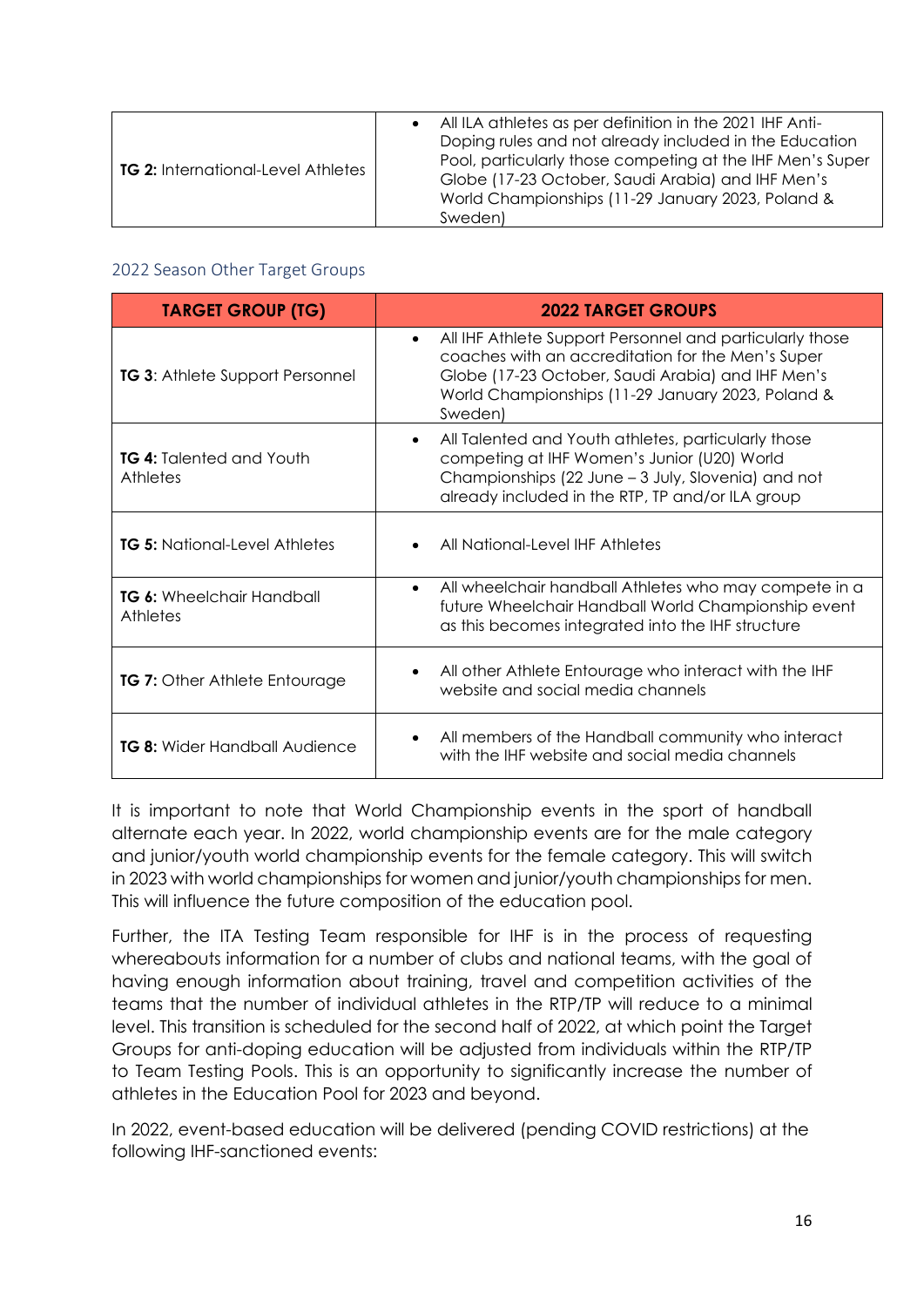| <b>TG 2: International-Level Athletes</b> | • All ILA athletes as per definition in the 2021 IHF Anti-<br>Doping rules and not already included in the Education<br>Pool, particularly those competing at the IHF Men's Super<br>Globe (17-23 October, Saudi Arabia) and IHF Men's<br>World Championships (11-29 January 2023, Poland &<br>Sweden) |
|-------------------------------------------|--------------------------------------------------------------------------------------------------------------------------------------------------------------------------------------------------------------------------------------------------------------------------------------------------------|
|-------------------------------------------|--------------------------------------------------------------------------------------------------------------------------------------------------------------------------------------------------------------------------------------------------------------------------------------------------------|

#### <span id="page-15-0"></span>2022 Season Other Target Groups

| <b>TARGET GROUP (TG)</b>                     | <b>2022 TARGET GROUPS</b>                                                                                                                                                                                                                       |
|----------------------------------------------|-------------------------------------------------------------------------------------------------------------------------------------------------------------------------------------------------------------------------------------------------|
| <b>TG 3: Athlete Support Personnel</b>       | All IHF Athlete Support Personnel and particularly those<br>$\bullet$<br>coaches with an accreditation for the Men's Super<br>Globe (17-23 October, Saudi Arabia) and IHF Men's<br>World Championships (11-29 January 2023, Poland &<br>Sweden) |
| <b>TG 4:</b> Talented and Youth<br>Athletes  | All Talented and Youth athletes, particularly those<br>$\bullet$<br>competing at IHF Women's Junior (U20) World<br>Championships (22 June - 3 July, Slovenia) and not<br>already included in the RTP, TP and/or ILA group                       |
| <b>TG 5: National-Level Athletes</b>         | All National-Level IHF Athletes<br>$\bullet$                                                                                                                                                                                                    |
| <b>TG 6:</b> Wheelchair Handball<br>Athletes | All wheelchair handball Athletes who may compete in a<br>$\bullet$<br>future Wheelchair Handball World Championship event<br>as this becomes integrated into the IHF structure                                                                  |
| <b>TG 7:</b> Other Athlete Entourage         | All other Athlete Entourage who interact with the IHF<br>$\bullet$<br>website and social media channels                                                                                                                                         |
| <b>TG 8:</b> Wider Handball Audience         | All members of the Handball community who interact<br>$\bullet$<br>with the IHF website and social media channels                                                                                                                               |

It is important to note that World Championship events in the sport of handball alternate each year. In 2022, world championship events are for the male category and junior/youth world championship events for the female category. This will switch in 2023 with world championships for women and junior/youth championships for men. This will influence the future composition of the education pool.

Further, the ITA Testing Team responsible for IHF is in the process of requesting whereabouts information for a number of clubs and national teams, with the goal of having enough information about training, travel and competition activities of the teams that the number of individual athletes in the RTP/TP will reduce to a minimal level. This transition is scheduled for the second half of 2022, at which point the Target Groups for anti-doping education will be adjusted from individuals within the RTP/TP to Team Testing Pools. This is an opportunity to significantly increase the number of athletes in the Education Pool for 2023 and beyond.

In 2022, event-based education will be delivered (pending COVID restrictions) at the following IHF-sanctioned events: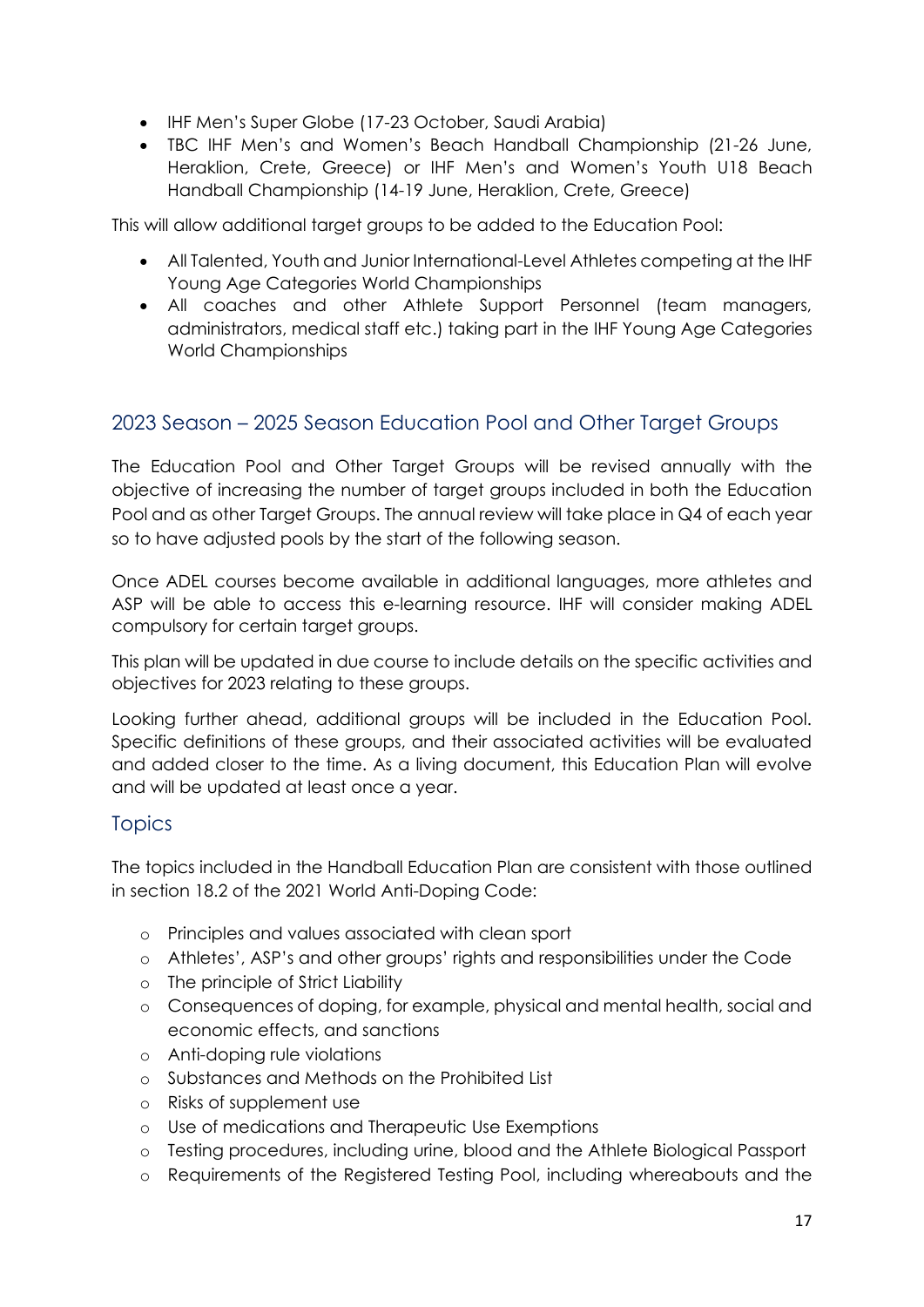- IHF Men's Super Globe (17-23 October, Saudi Arabia)
- TBC IHF Men's and Women's Beach Handball Championship (21-26 June, Heraklion, Crete, Greece) or IHF Men's and Women's Youth U18 Beach Handball Championship (14-19 June, Heraklion, Crete, Greece)

This will allow additional target groups to be added to the Education Pool:

- All Talented, Youth and Junior International-Level Athletes competing at the IHF Young Age Categories World Championships
- All coaches and other Athlete Support Personnel (team managers, administrators, medical staff etc.) taking part in the IHF Young Age Categories World Championships

#### <span id="page-16-0"></span>2023 Season – 2025 Season Education Pool and Other Target Groups

The Education Pool and Other Target Groups will be revised annually with the objective of increasing the number of target groups included in both the Education Pool and as other Target Groups. The annual review will take place in Q4 of each year so to have adjusted pools by the start of the following season.

Once ADEL courses become available in additional languages, more athletes and ASP will be able to access this e-learning resource. IHF will consider making ADEL compulsory for certain target groups.

This plan will be updated in due course to include details on the specific activities and objectives for 2023 relating to these groups.

Looking further ahead, additional groups will be included in the Education Pool. Specific definitions of these groups, and their associated activities will be evaluated and added closer to the time. As a living document, this Education Plan will evolve and will be updated at least once a year.

#### <span id="page-16-1"></span>**Topics**

The topics included in the Handball Education Plan are consistent with those outlined in section 18.2 of the 2021 World Anti-Doping Code:

- o Principles and values associated with clean sport
- o Athletes', ASP's and other groups' rights and responsibilities under the Code
- o The principle of Strict Liability
- o Consequences of doping, for example, physical and mental health, social and economic effects, and sanctions
- o Anti-doping rule violations
- o Substances and Methods on the Prohibited List
- o Risks of supplement use
- o Use of medications and Therapeutic Use Exemptions
- o Testing procedures, including urine, blood and the Athlete Biological Passport
- o Requirements of the Registered Testing Pool, including whereabouts and the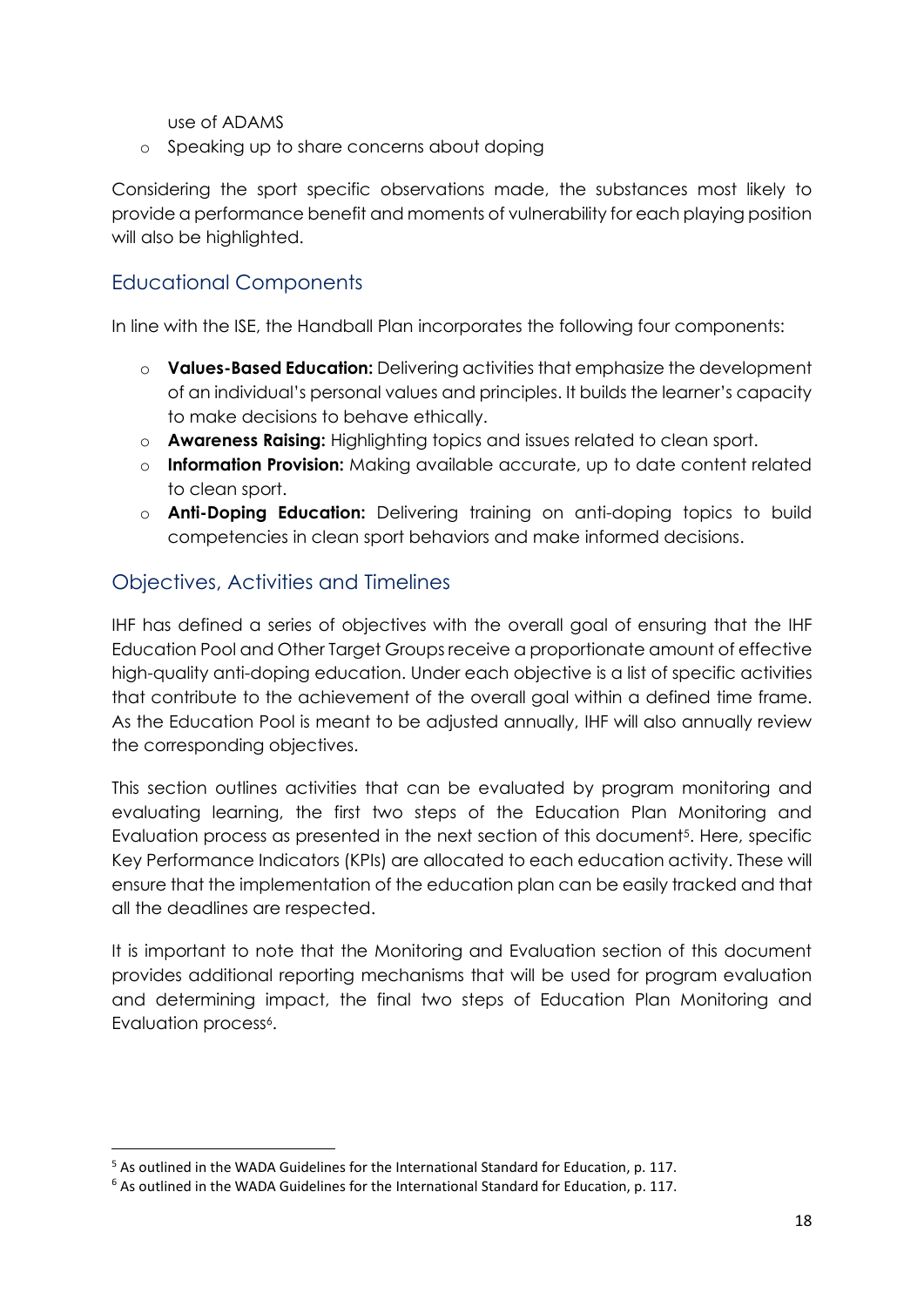use of ADAMS

o Speaking up to share concerns about doping

Considering the sport specific observations made, the substances most likely to provide a performance benefit and moments of vulnerability for each playing position will also be highlighted.

## <span id="page-17-0"></span>Educational Components

In line with the ISE, the Handball Plan incorporates the following four components:

- o **Values-Based Education:** Delivering activities that emphasize the development of an individual's personal values and principles. It builds the learner's capacity to make decisions to behave ethically.
- o **Awareness Raising:** Highlighting topics and issues related to clean sport.
- o **Information Provision:** Making available accurate, up to date content related to clean sport.
- o **Anti-Doping Education:** Delivering training on anti-doping topics to build competencies in clean sport behaviors and make informed decisions.

## <span id="page-17-1"></span>Objectives, Activities and Timelines

IHF has defined a series of objectives with the overall goal of ensuring that the IHF Education Pool and Other Target Groups receive a proportionate amount of effective high-quality anti-doping education. Under each objective is a list of specific activities that contribute to the achievement of the overall goal within a defined time frame. As the Education Pool is meant to be adjusted annually, IHF will also annually review the corresponding objectives.

This section outlines activities that can be evaluated by program monitoring and evaluating learning, the first two steps of the Education Plan Monitoring and Evaluation process as presented in the next section of this document<sup>5</sup>. Here, specific Key Performance Indicators (KPIs) are allocated to each education activity. These will ensure that the implementation of the education plan can be easily tracked and that all the deadlines are respected.

It is important to note that the Monitoring and Evaluation section of this document provides additional reporting mechanisms that will be used for program evaluation and determining impact, the final two steps of Education Plan Monitoring and Evaluation process<sup>6</sup>.

<sup>5</sup> As outlined in the WADA Guidelines for the International Standard for Education, p. 117.

<sup>6</sup> As outlined in the WADA Guidelines for the International Standard for Education, p. 117.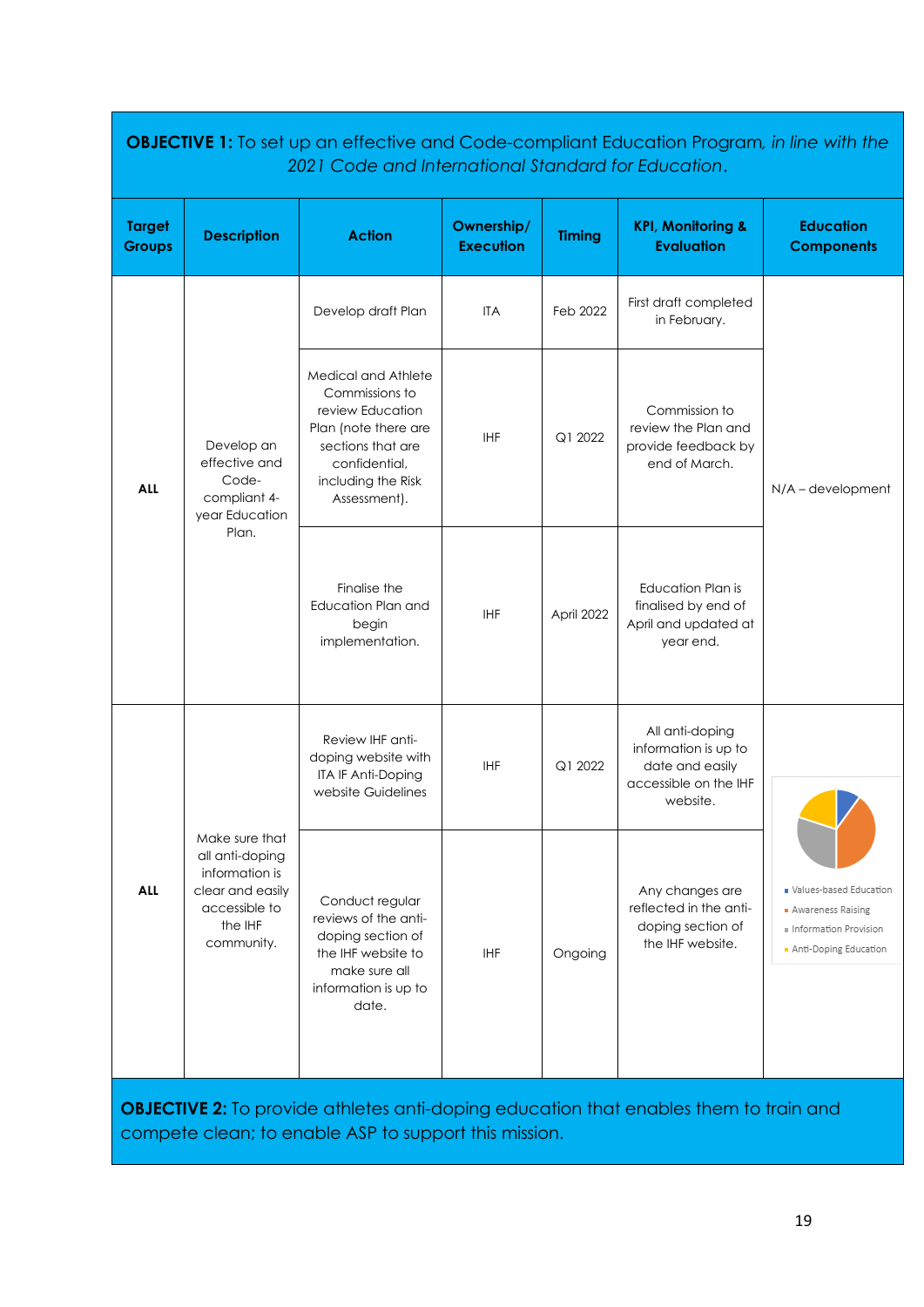|                                |                                                                                                                   | 2021 Code and International Standard for Education.                                                                                                           |                                |               | <b>OBJECTIVE 1:</b> To set up an effective and Code-compliant Education Program, in line with the |                                                                                                 |
|--------------------------------|-------------------------------------------------------------------------------------------------------------------|---------------------------------------------------------------------------------------------------------------------------------------------------------------|--------------------------------|---------------|---------------------------------------------------------------------------------------------------|-------------------------------------------------------------------------------------------------|
| <b>Target</b><br><b>Groups</b> | <b>Description</b>                                                                                                | <b>Action</b>                                                                                                                                                 | Ownership/<br><b>Execution</b> | <b>Timing</b> | <b>KPI, Monitoring &amp;</b><br><b>Evaluation</b>                                                 | <b>Education</b><br><b>Components</b>                                                           |
| <b>ALL</b>                     |                                                                                                                   | Develop draft Plan                                                                                                                                            | <b>ITA</b>                     | Feb 2022      | First draft completed<br>in February.                                                             |                                                                                                 |
|                                | Develop an<br>effective and<br>Code-<br>compliant 4-<br>year Education<br>Plan.                                   | Medical and Athlete<br>Commissions to<br>review Education<br>Plan (note there are<br>sections that are<br>confidential,<br>including the Risk<br>Assessment). | <b>IHF</b>                     | Q1 2022       | Commission to<br>review the Plan and<br>provide feedback by<br>end of March.                      | $N/A$ – development                                                                             |
|                                |                                                                                                                   | Finalise the<br>Education Plan and<br>begin<br>implementation.                                                                                                | <b>IHF</b>                     | April 2022    | Education Plan is<br>finalised by end of<br>April and updated at<br>year end.                     |                                                                                                 |
|                                |                                                                                                                   | Review IHF anti-<br>doping website with<br>ITA IF Anti-Doping<br>website Guidelines                                                                           | IHF                            | Q1 2022       | All anti-doping<br>information is up to<br>date and easily<br>accessible on the IHF<br>website.   |                                                                                                 |
| <b>ALL</b>                     | Make sure that<br>all anti-doping<br>information is<br>clear and easily<br>accessible to<br>the IHF<br>community. | Conduct regular<br>reviews of the anti-<br>doping section of<br>the IHF website to<br>make sure all<br>information is up to<br>date.                          | <b>IHF</b>                     | Ongoing       | Any changes are<br>reflected in the anti-<br>doping section of<br>the IHF website.                | Values-based Education<br>• Awareness Raising<br>Information Provision<br>Anti-Doping Education |

**OBJECTIVE 2:** To provide athletes anti-doping education that enables them to train and compete clean; to enable ASP to support this mission.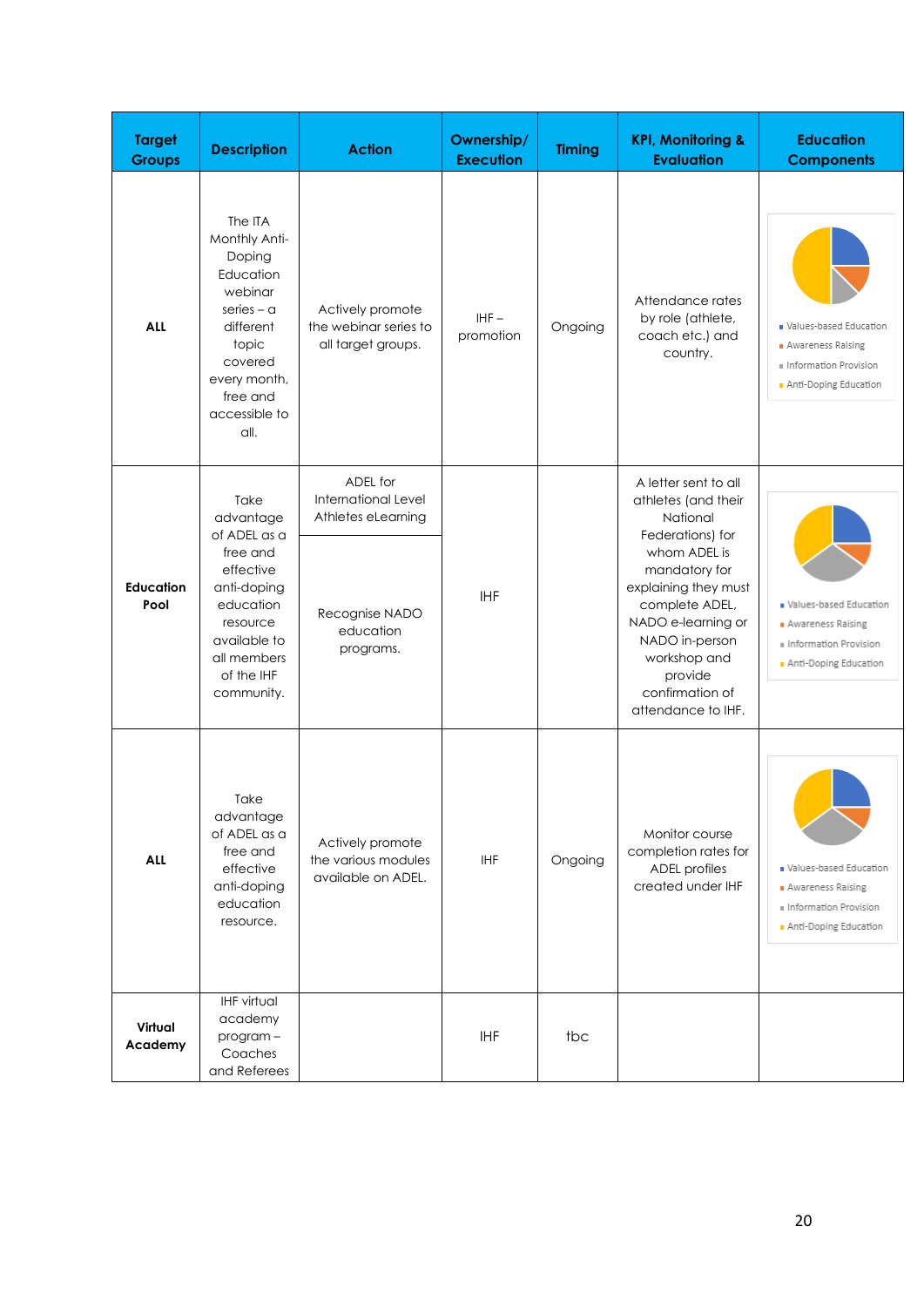| <b>Target</b><br><b>Groups</b> | <b>Description</b>                                                                                                                                               | <b>Action</b>                                                   | Ownership/<br><b>Execution</b> | <b>Timing</b> | <b>KPI, Monitoring &amp;</b><br><b>Evaluation</b>                                                                                                                                   | <b>Education</b><br><b>Components</b>                                                                |
|--------------------------------|------------------------------------------------------------------------------------------------------------------------------------------------------------------|-----------------------------------------------------------------|--------------------------------|---------------|-------------------------------------------------------------------------------------------------------------------------------------------------------------------------------------|------------------------------------------------------------------------------------------------------|
| <b>ALL</b>                     | The ITA<br>Monthly Anti-<br>Doping<br>Education<br>webinar<br>series – $a$<br>different<br>topic<br>covered<br>every month,<br>free and<br>accessible to<br>all. | Actively promote<br>the webinar series to<br>all target groups. | $IHF -$<br>promotion           | Ongoing       | Attendance rates<br>by role (athlete,<br>coach etc.) and<br>country.                                                                                                                | Values-based Education<br>Awareness Raising<br>II Information Provision<br>Anti-Doping Education     |
|                                | Take<br>advantage<br>of ADEL as a                                                                                                                                | ADEL for<br>International Level<br>Athletes eLearning           |                                |               | A letter sent to all<br>athletes (and their<br>National<br>Federations) for                                                                                                         |                                                                                                      |
| <b>Education</b><br>Pool       | free and<br>effective<br>anti-doping<br>education<br>resource<br>available to<br>all members<br>of the IHF<br>community.                                         | Recognise NADO<br>education<br>programs.                        | <b>IHF</b>                     |               | whom ADEL is<br>mandatory for<br>explaining they must<br>complete ADEL,<br>NADO e-learning or<br>NADO in-person<br>workshop and<br>provide<br>confirmation of<br>attendance to IHF. | Values-based Education<br><b>Awareness Raising</b><br>Information Provision<br>Anti-Doping Education |
| ALL                            | Take<br>advantage<br>of ADEL as a<br>free and<br>effective<br>anti-doping<br>education<br>resource.                                                              | Actively promote<br>the various modules<br>available on ADEL.   | IHF                            | Ongoing       | Monitor course<br>completion rates for<br><b>ADEL</b> profiles<br>created under IHF                                                                                                 | Values-based Education<br>Awareness Raising<br>Information Provision<br>Anti-Doping Education        |
| Virtual<br>Academy             | <b>IHF virtual</b><br>academy<br>program-<br>Coaches<br>and Referees                                                                                             |                                                                 | <b>IHF</b>                     | tbc           |                                                                                                                                                                                     |                                                                                                      |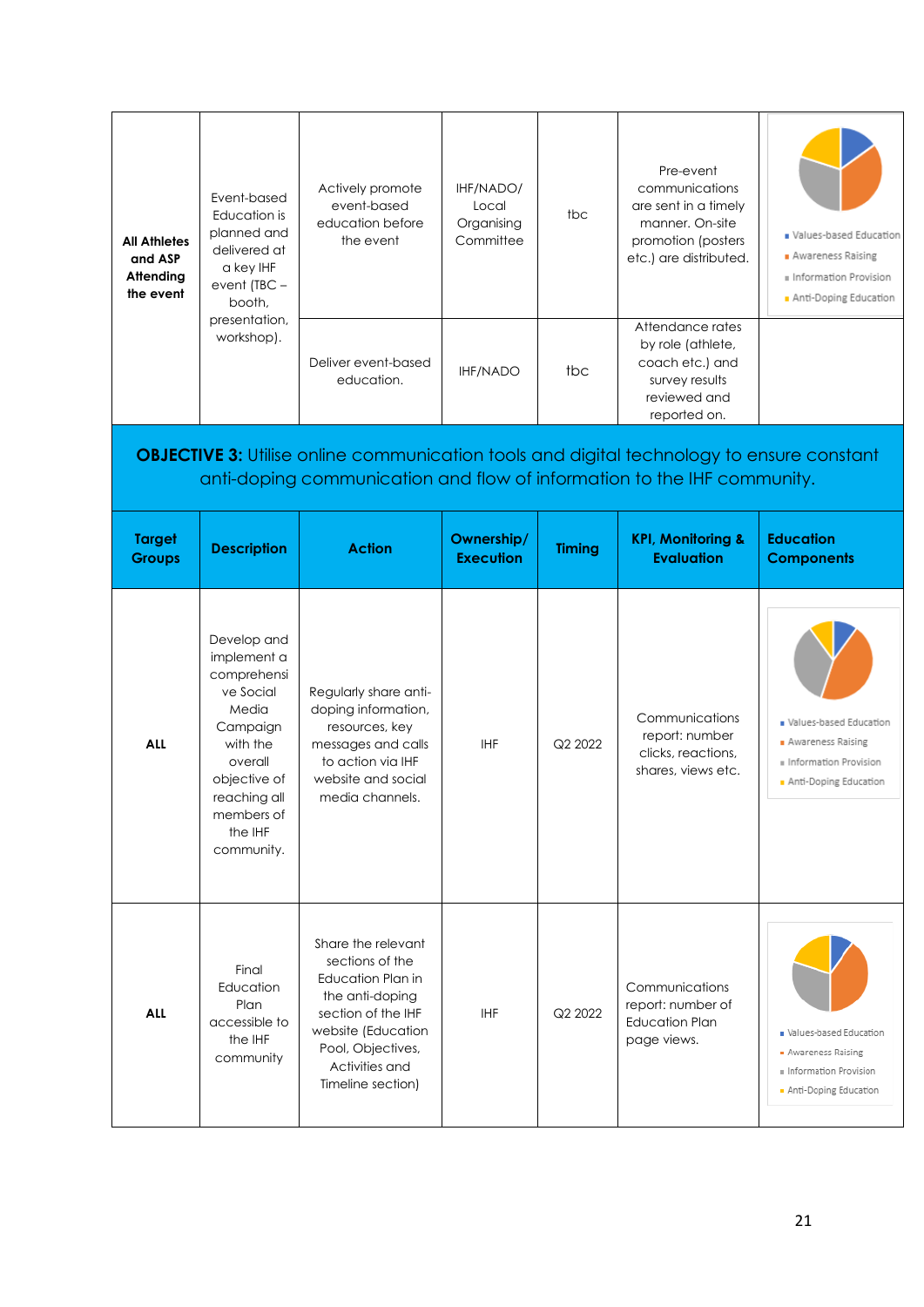| <b>All Athletes</b><br>and ASP<br>Attending<br>the event | Event-based<br>Education is<br>planned and<br>delivered at<br>a key IHF<br>event $(TBC -$<br>booth,<br>presentation,<br>workshop).                                        | Actively promote<br>event-based<br>education before<br>the event                                                                                                            | IHF/NADO/<br>Local<br>Organising<br>Committee | tbc           | Pre-event<br>communications<br>are sent in a timely<br>manner. On-site<br>promotion (posters<br>etc.) are distributed.<br>Attendance rates | Values-based Education<br>Awareness Raising<br>Information Provision<br>Anti-Doping Education        |
|----------------------------------------------------------|---------------------------------------------------------------------------------------------------------------------------------------------------------------------------|-----------------------------------------------------------------------------------------------------------------------------------------------------------------------------|-----------------------------------------------|---------------|--------------------------------------------------------------------------------------------------------------------------------------------|------------------------------------------------------------------------------------------------------|
|                                                          |                                                                                                                                                                           | Deliver event-based<br>education.                                                                                                                                           | <b>IHF/NADO</b>                               | tbc           | by role (athlete,<br>coach etc.) and<br>survey results<br>reviewed and<br>reported on.                                                     |                                                                                                      |
|                                                          |                                                                                                                                                                           | <b>OBJECTIVE 3:</b> Utilise online communication tools and digital technology to ensure constant<br>anti-doping communication and flow of information to the IHF community. |                                               |               |                                                                                                                                            |                                                                                                      |
| <b>Target</b><br><b>Groups</b>                           | <b>Description</b>                                                                                                                                                        | <b>Action</b>                                                                                                                                                               | Ownership/<br><b>Execution</b>                | <b>Timing</b> | <b>KPI, Monitoring &amp;</b><br><b>Evaluation</b>                                                                                          | <b>Education</b><br><b>Components</b>                                                                |
|                                                          |                                                                                                                                                                           |                                                                                                                                                                             |                                               |               |                                                                                                                                            |                                                                                                      |
| <b>ALL</b>                                               | Develop and<br>implement a<br>comprehensi<br>ve Social<br>Media<br>Campaign<br>with the<br>overall<br>objective of<br>reaching all<br>members of<br>the IHF<br>community. | Regularly share anti-<br>doping information,<br>resources, key<br>messages and calls<br>to action via IHF<br>website and social<br>media channels.                          | <b>IHF</b>                                    | Q2 2022       | Communications<br>report: number<br>clicks, reactions,<br>shares, views etc.                                                               | Values-based Education<br><b>Awareness Raising</b><br>Information Provision<br>Anti-Doping Education |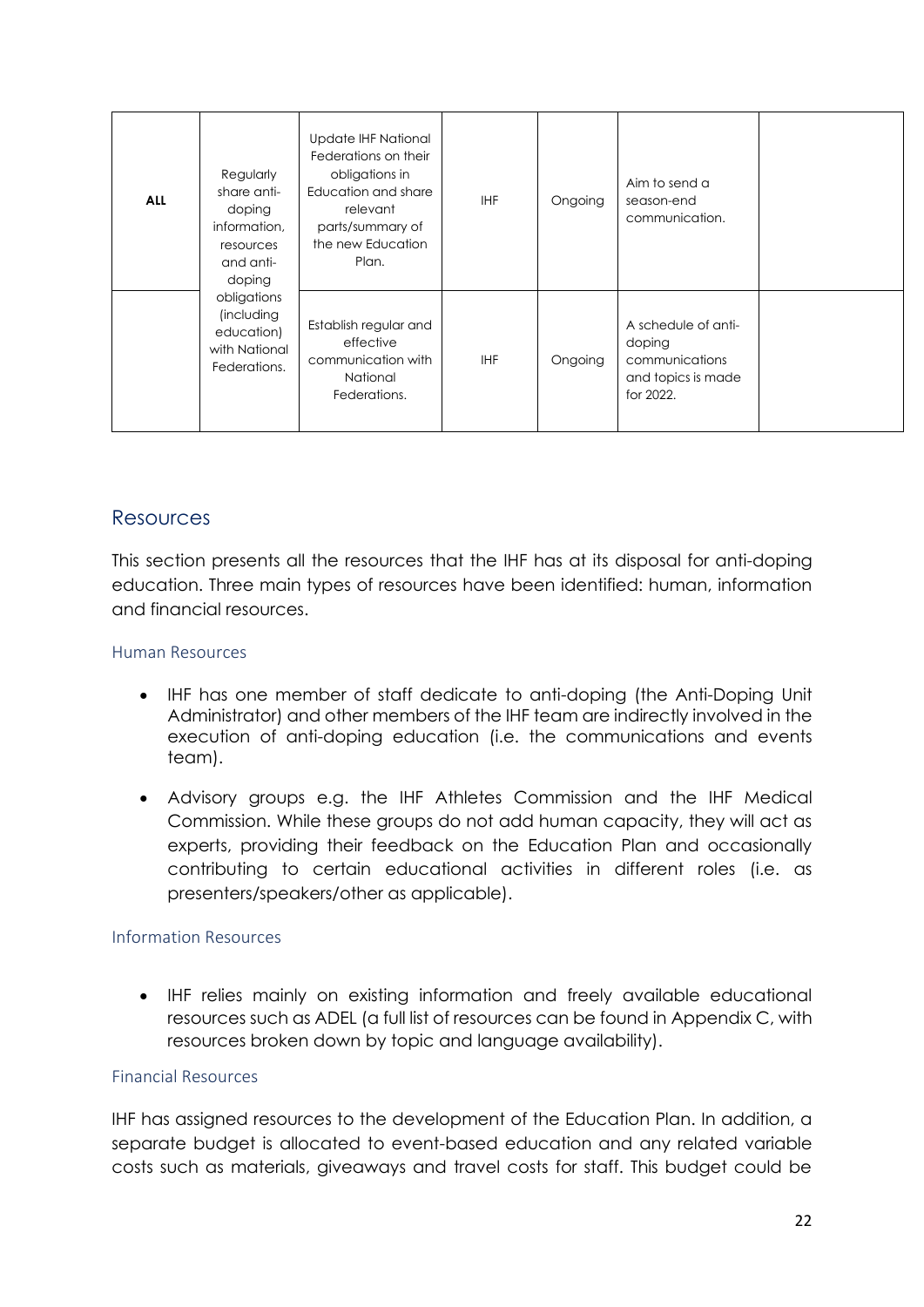| <b>ALL</b> | Regularly<br>share anti-<br>doping<br>information,<br>resources<br>and anti-<br>doping | Update IHF National<br>Federations on their<br>obligations in<br>Education and share<br>relevant<br>parts/summary of<br>the new Education<br>Plan. | <b>IHF</b> | Ongoing | Aim to send a<br>season-end<br>communication.                                      |  |
|------------|----------------------------------------------------------------------------------------|----------------------------------------------------------------------------------------------------------------------------------------------------|------------|---------|------------------------------------------------------------------------------------|--|
|            | obligations<br>(including<br>education)<br>with National<br>Federations.               | Establish regular and<br>effective<br>communication with<br>National<br>Federations.                                                               | <b>IHF</b> | Ongoing | A schedule of anti-<br>doping<br>communications<br>and topics is made<br>for 2022. |  |

### <span id="page-21-0"></span>Resources

This section presents all the resources that the IHF has at its disposal for anti-doping education. Three main types of resources have been identified: human, information and financial resources.

#### <span id="page-21-1"></span>Human Resources

- IHF has one member of staff dedicate to anti-doping (the Anti-Doping Unit Administrator) and other members of the IHF team are indirectly involved in the execution of anti-doping education (i.e. the communications and events team).
- Advisory groups e.g. the IHF Athletes Commission and the IHF Medical Commission. While these groups do not add human capacity, they will act as experts, providing their feedback on the Education Plan and occasionally contributing to certain educational activities in different roles (i.e. as presenters/speakers/other as applicable).

#### <span id="page-21-2"></span>Information Resources

• IHF relies mainly on existing information and freely available educational resources such as ADEL (a full list of resources can be found in Appendix C, with resources broken down by topic and language availability).

#### <span id="page-21-3"></span>Financial Resources

IHF has assigned resources to the development of the Education Plan. In addition, a separate budget is allocated to event-based education and any related variable costs such as materials, giveaways and travel costs for staff. This budget could be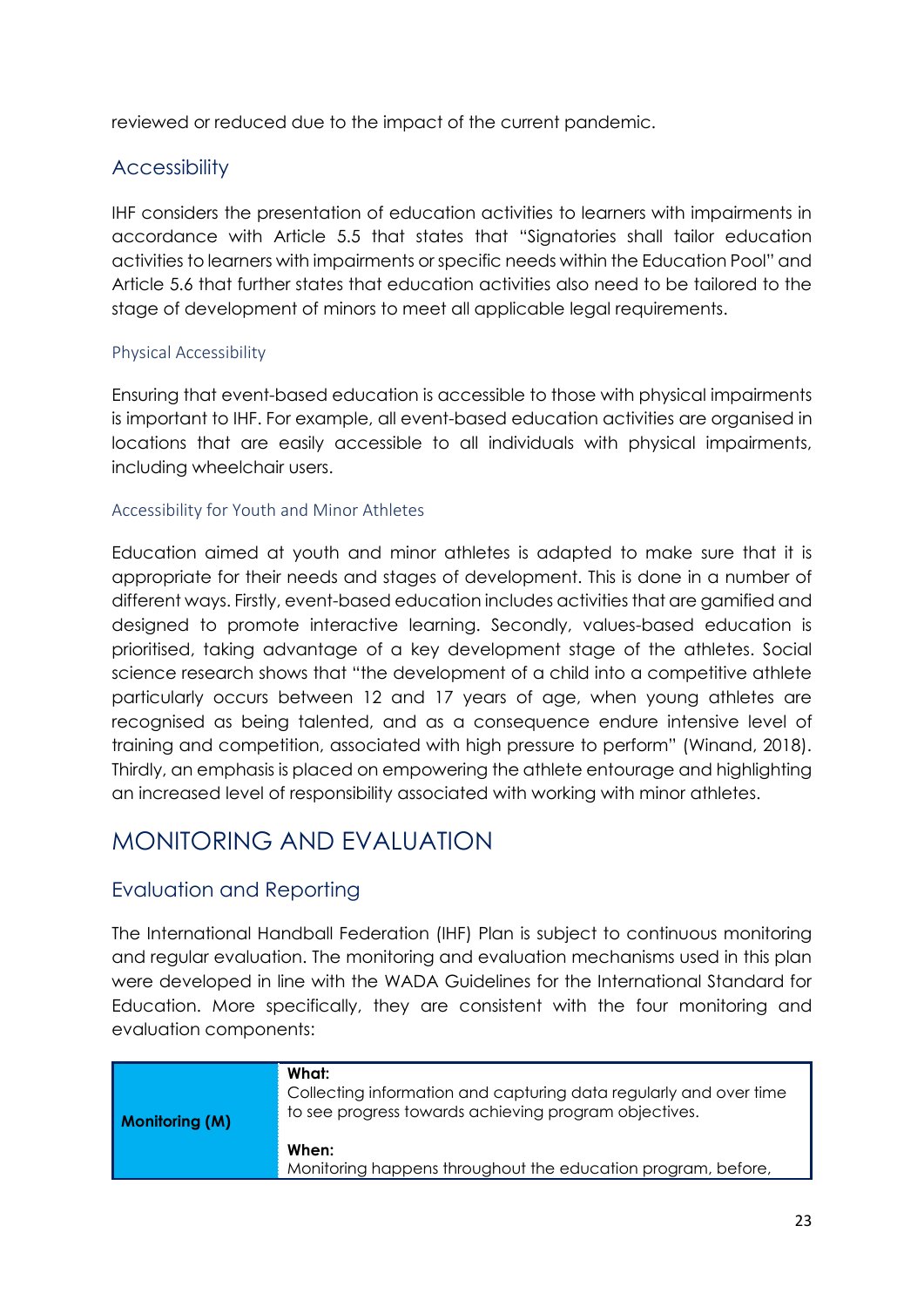reviewed or reduced due to the impact of the current pandemic.

## <span id="page-22-0"></span>**Accessibility**

IHF considers the presentation of education activities to learners with impairments in accordance with Article 5.5 that states that "Signatories shall tailor education activities to learners with impairments or specific needs within the Education Pool" and Article 5.6 that further states that education activities also need to be tailored to the stage of development of minors to meet all applicable legal requirements.

#### <span id="page-22-1"></span>Physical Accessibility

Ensuring that event-based education is accessible to those with physical impairments is important to IHF. For example, all event-based education activities are organised in locations that are easily accessible to all individuals with physical impairments, including wheelchair users.

#### <span id="page-22-2"></span>Accessibility for Youth and Minor Athletes

Education aimed at youth and minor athletes is adapted to make sure that it is appropriate for their needs and stages of development. This is done in a number of different ways. Firstly, event-based education includes activities that are gamified and designed to promote interactive learning. Secondly, values-based education is prioritised, taking advantage of a key development stage of the athletes. Social science research shows that "the development of a child into a competitive athlete particularly occurs between 12 and 17 years of age, when young athletes are recognised as being talented, and as a consequence endure intensive level of training and competition, associated with high pressure to perform" (Winand, 2018). Thirdly, an emphasis is placed on empowering the athlete entourage and highlighting an increased level of responsibility associated with working with minor athletes.

## <span id="page-22-3"></span>MONITORING AND EVALUATION

## <span id="page-22-4"></span>Evaluation and Reporting

The International Handball Federation (IHF) Plan is subject to continuous monitoring and regular evaluation. The monitoring and evaluation mechanisms used in this plan were developed in line with the WADA Guidelines for the International Standard for Education. More specifically, they are consistent with the four monitoring and evaluation components:

| Monitoring (M) | What:<br>Collecting information and capturing data regularly and over time<br>to see progress towards achieving program objectives. |
|----------------|-------------------------------------------------------------------------------------------------------------------------------------|
|                | When:<br>Monitoring happens throughout the education program, before,                                                               |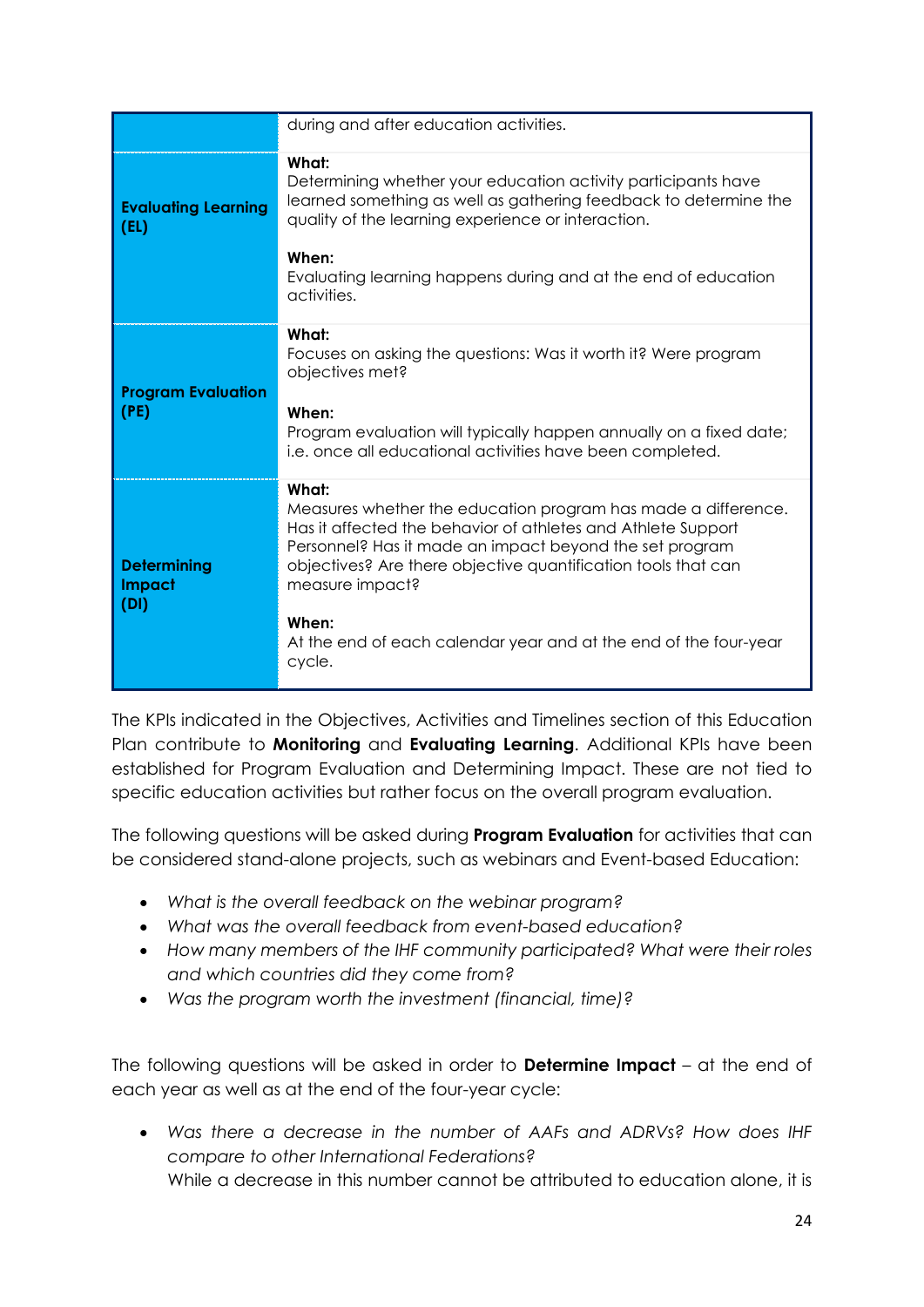|                                             | during and after education activities.                                                                                                                                                                                                                                                                                                                                       |
|---------------------------------------------|------------------------------------------------------------------------------------------------------------------------------------------------------------------------------------------------------------------------------------------------------------------------------------------------------------------------------------------------------------------------------|
| <b>Evaluating Learning</b><br>(EL)          | What:<br>Determining whether your education activity participants have<br>learned something as well as gathering feedback to determine the<br>quality of the learning experience or interaction.                                                                                                                                                                             |
|                                             | When:<br>Evaluating learning happens during and at the end of education<br>activities.                                                                                                                                                                                                                                                                                       |
| <b>Program Evaluation</b><br>(PE)           | What:<br>Focuses on asking the questions: Was it worth it? Were program<br>objectives met?<br>When:<br>Program evaluation will typically happen annually on a fixed date;<br>i.e. once all educational activities have been completed.                                                                                                                                       |
| <b>Determining</b><br><b>Impact</b><br>(DI) | What:<br>Measures whether the education program has made a difference.<br>Has it affected the behavior of athletes and Athlete Support<br>Personnel? Has it made an impact beyond the set program<br>objectives? Are there objective quantification tools that can<br>measure impact?<br>When:<br>At the end of each calendar year and at the end of the four-year<br>cycle. |

The KPIs indicated in the Objectives, Activities and Timelines section of this Education Plan contribute to **Monitoring** and **Evaluating Learning**. Additional KPIs have been established for Program Evaluation and Determining Impact. These are not tied to specific education activities but rather focus on the overall program evaluation.

The following questions will be asked during **Program Evaluation** for activities that can be considered stand-alone projects, such as webinars and Event-based Education:

- *What is the overall feedback on the webinar program?*
- *What was the overall feedback from event-based education?*
- *How many members of the IHF community participated? What were their roles and which countries did they come from?*
- *Was the program worth the investment (financial, time)?*

The following questions will be asked in order to **Determine Impact** – at the end of each year as well as at the end of the four-year cycle:

• *Was there a decrease in the number of AAFs and ADRVs? How does IHF compare to other International Federations?* While a decrease in this number cannot be attributed to education alone, it is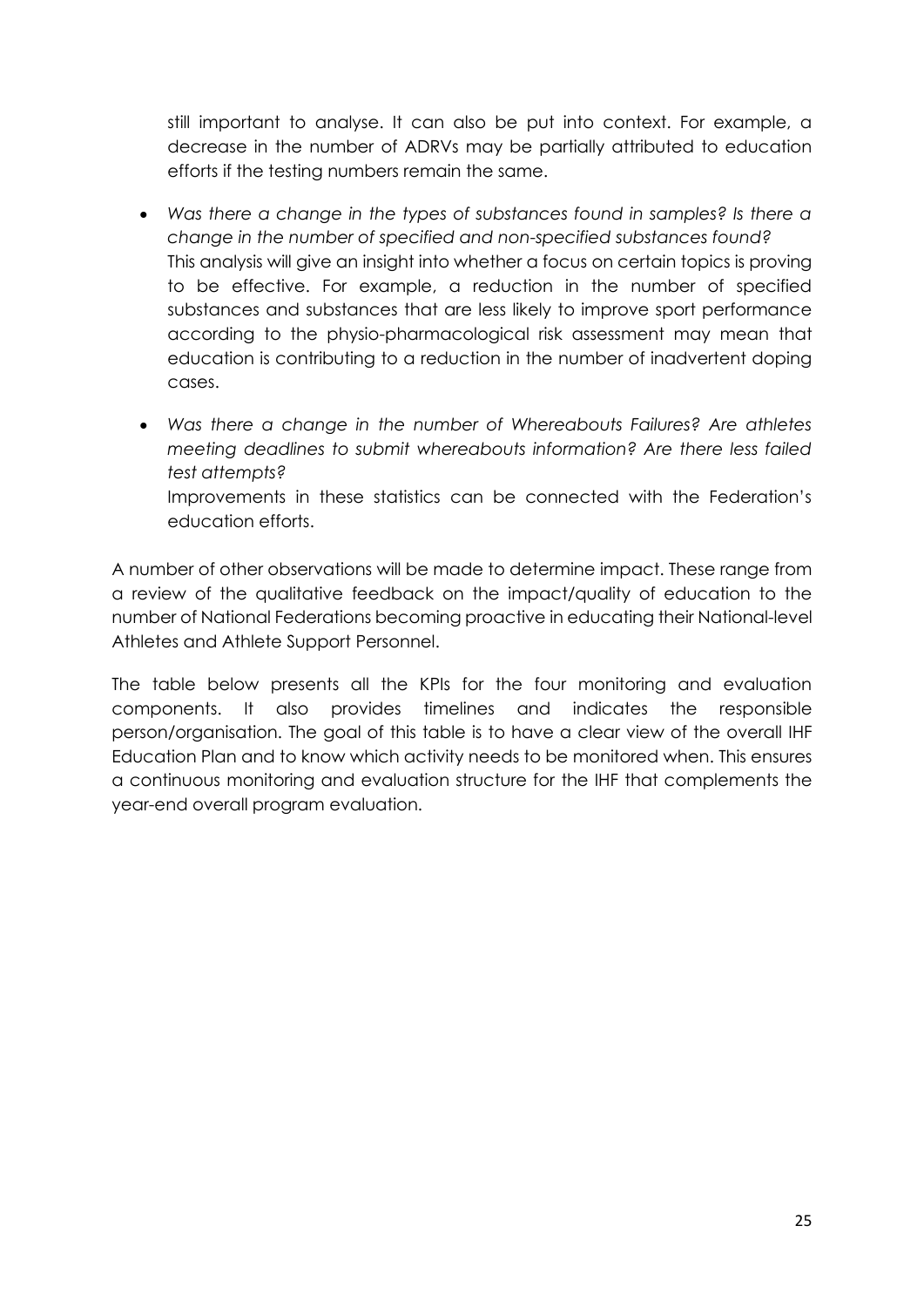still important to analyse. It can also be put into context. For example, a decrease in the number of ADRVs may be partially attributed to education efforts if the testing numbers remain the same.

- *Was there a change in the types of substances found in samples? Is there a change in the number of specified and non-specified substances found?* This analysis will give an insight into whether a focus on certain topics is proving to be effective. For example, a reduction in the number of specified substances and substances that are less likely to improve sport performance according to the physio-pharmacological risk assessment may mean that education is contributing to a reduction in the number of inadvertent doping cases.
- *Was there a change in the number of Whereabouts Failures? Are athletes meeting deadlines to submit whereabouts information? Are there less failed test attempts?* Improvements in these statistics can be connected with the Federation's education efforts.

A number of other observations will be made to determine impact. These range from a review of the qualitative feedback on the impact/quality of education to the number of National Federations becoming proactive in educating their National-level Athletes and Athlete Support Personnel.

The table below presents all the KPIs for the four monitoring and evaluation components. It also provides timelines and indicates the responsible person/organisation. The goal of this table is to have a clear view of the overall IHF Education Plan and to know which activity needs to be monitored when. This ensures a continuous monitoring and evaluation structure for the IHF that complements the year-end overall program evaluation.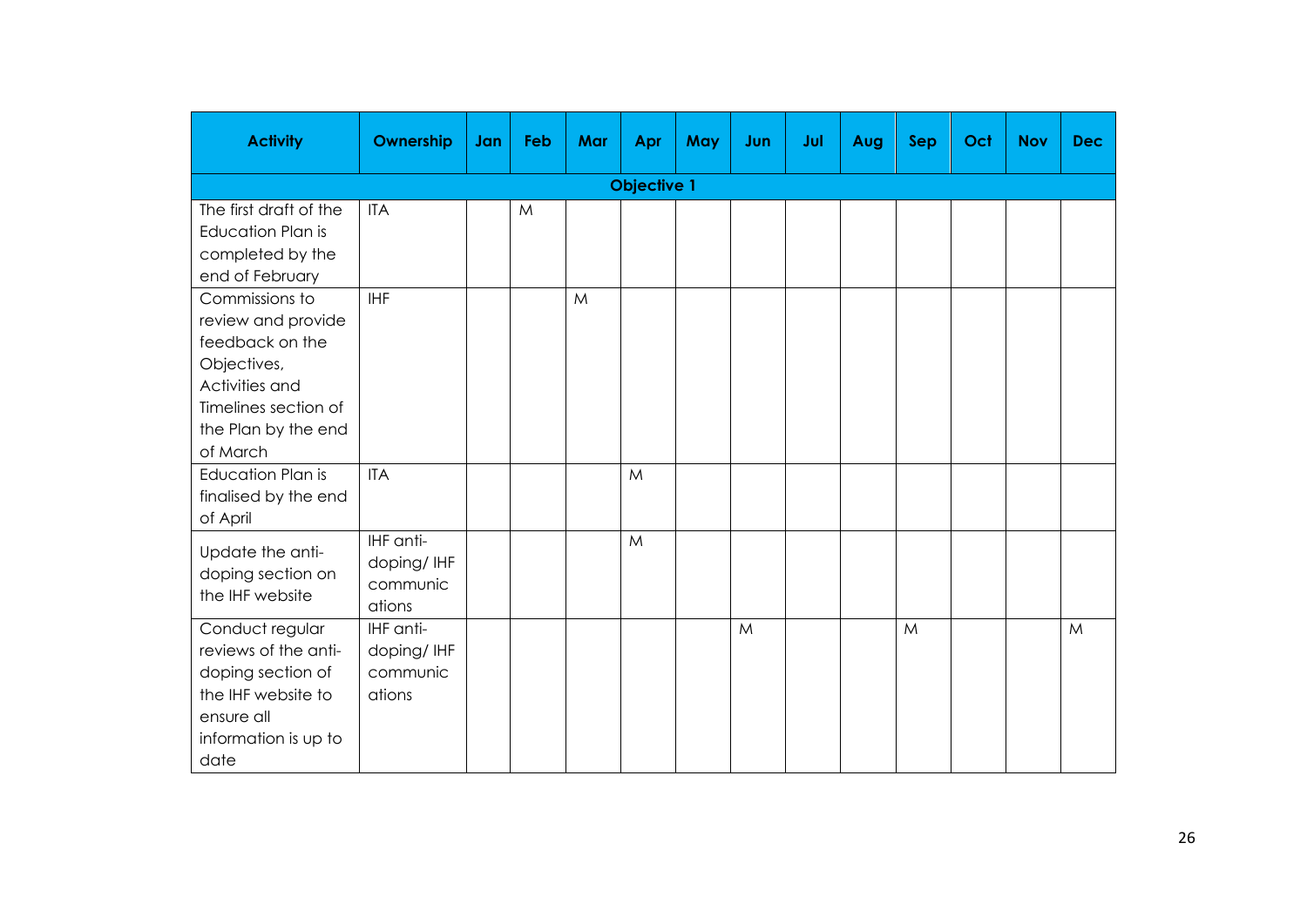| <b>Activity</b>                                                                                                                                     | Ownership                                     | Jan | Feb | Mar | Apr | May | Jun | Jul | Aug | <b>Sep</b> | Oct | <b>Nov</b> | <b>Dec</b> |  |
|-----------------------------------------------------------------------------------------------------------------------------------------------------|-----------------------------------------------|-----|-----|-----|-----|-----|-----|-----|-----|------------|-----|------------|------------|--|
| <b>Objective 1</b>                                                                                                                                  |                                               |     |     |     |     |     |     |     |     |            |     |            |            |  |
| The first draft of the<br><b>Education Plan is</b><br>completed by the<br>end of February                                                           | <b>ITA</b>                                    |     | M   |     |     |     |     |     |     |            |     |            |            |  |
| Commissions to<br>review and provide<br>feedback on the<br>Objectives,<br>Activities and<br>Timelines section of<br>the Plan by the end<br>of March | <b>IHF</b>                                    |     |     | M   |     |     |     |     |     |            |     |            |            |  |
| <b>Education Plan is</b><br>finalised by the end<br>of April                                                                                        | <b>ITA</b>                                    |     |     |     | M   |     |     |     |     |            |     |            |            |  |
| Update the anti-<br>doping section on<br>the IHF website                                                                                            | IHF anti-<br>doping/IHF<br>communic<br>ations |     |     |     | M   |     |     |     |     |            |     |            |            |  |
| Conduct regular<br>reviews of the anti-<br>doping section of<br>the IHF website to<br>ensure all<br>information is up to<br>date                    | IHF anti-<br>doping/IHF<br>communic<br>ations |     |     |     |     |     | M   |     |     | M          |     |            | M          |  |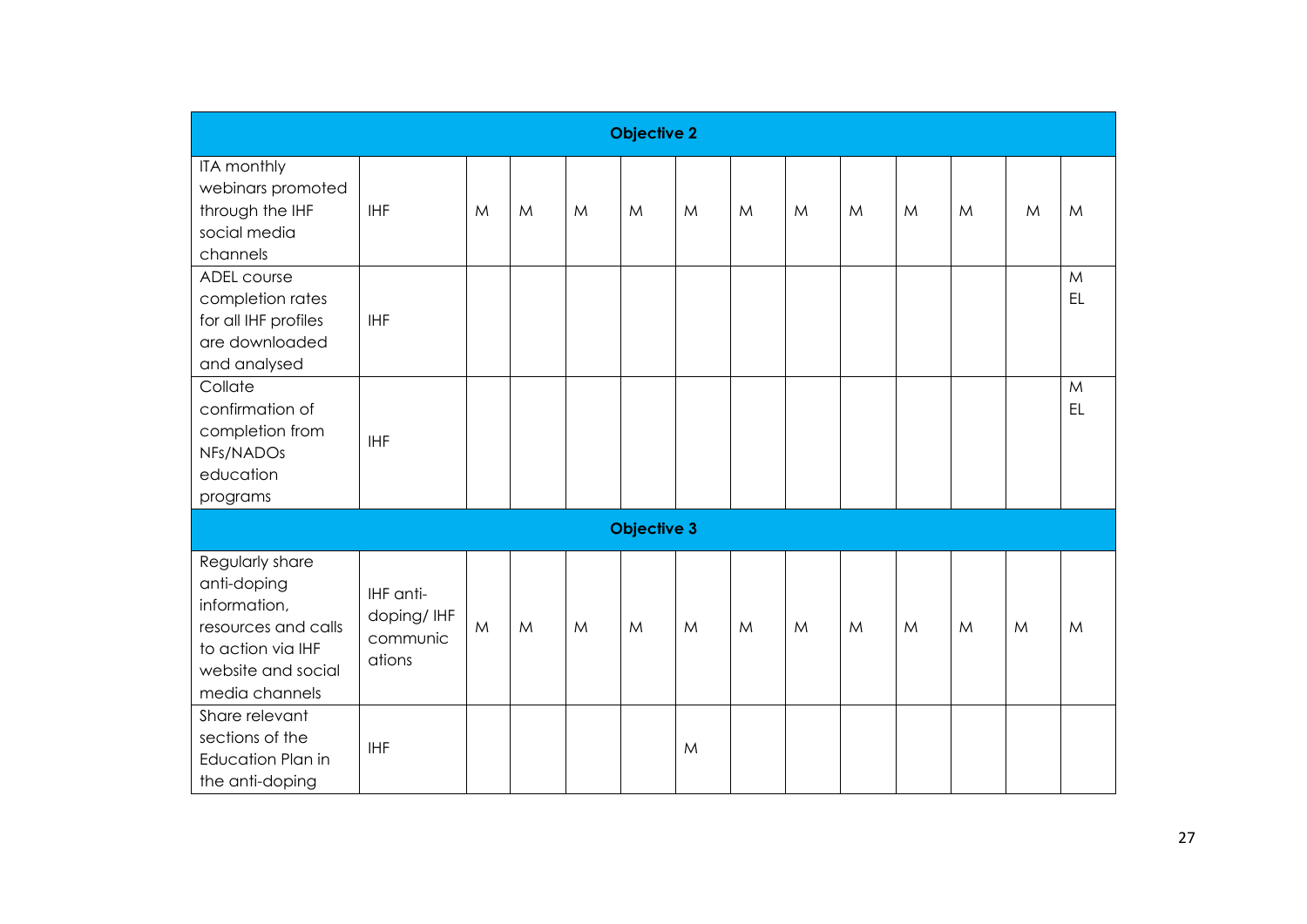| <b>Objective 2</b>                                                                                                                 |                                               |              |   |   |                    |   |   |   |   |   |   |   |         |
|------------------------------------------------------------------------------------------------------------------------------------|-----------------------------------------------|--------------|---|---|--------------------|---|---|---|---|---|---|---|---------|
| ITA monthly<br>webinars promoted<br>through the IHF<br>social media<br>channels                                                    | <b>IHF</b>                                    | M            | M | M | M                  | M | M | M | M | M | M | M | M       |
| ADEL course<br>completion rates<br>for all IHF profiles<br>are downloaded<br>and analysed                                          | <b>IHF</b>                                    |              |   |   |                    |   |   |   |   |   |   |   | M<br>EL |
| Collate<br>confirmation of<br>completion from<br>NFs/NADOs<br>education<br>programs                                                | <b>IHF</b>                                    |              |   |   |                    |   |   |   |   |   |   |   | M<br>EL |
|                                                                                                                                    |                                               |              |   |   | <b>Objective 3</b> |   |   |   |   |   |   |   |         |
| Regularly share<br>anti-doping<br>information,<br>resources and calls<br>to action via IHF<br>website and social<br>media channels | IHF anti-<br>doping/IHF<br>communic<br>ations | $\mathsf{M}$ | M | M | M                  | M | M | M | M | M | M | M | M       |
| Share relevant<br>sections of the<br>Education Plan in<br>the anti-doping                                                          | <b>IHF</b>                                    |              |   |   |                    | M |   |   |   |   |   |   |         |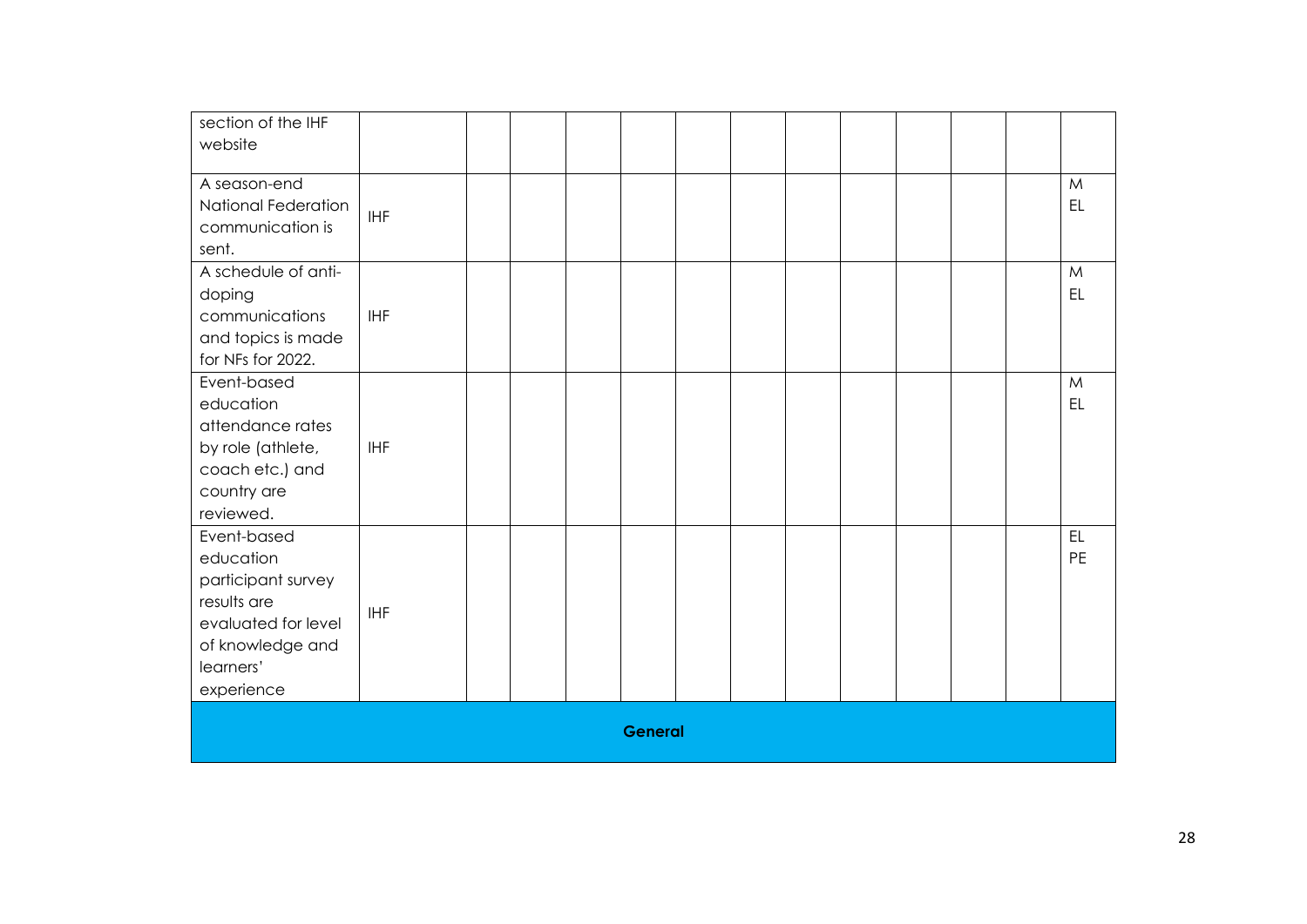| section of the IHF<br>website                                                                                                       |            |  |                |  |  |  |                 |
|-------------------------------------------------------------------------------------------------------------------------------------|------------|--|----------------|--|--|--|-----------------|
| A season-end<br>National Federation<br>communication is<br>sent.                                                                    | <b>IHF</b> |  |                |  |  |  | M<br>EL         |
| A schedule of anti-<br>doping<br>communications<br>and topics is made<br>for NFs for 2022.                                          | <b>IHF</b> |  |                |  |  |  | M<br>EL         |
| Event-based<br>education<br>attendance rates<br>by role (athlete,<br>coach etc.) and<br>country are<br>reviewed.                    | <b>IHF</b> |  |                |  |  |  | M<br>EL         |
| Event-based<br>education<br>participant survey<br>results are<br>evaluated for level<br>of knowledge and<br>learners'<br>experience | <b>IHF</b> |  |                |  |  |  | EL<br><b>PE</b> |
|                                                                                                                                     |            |  | <b>General</b> |  |  |  |                 |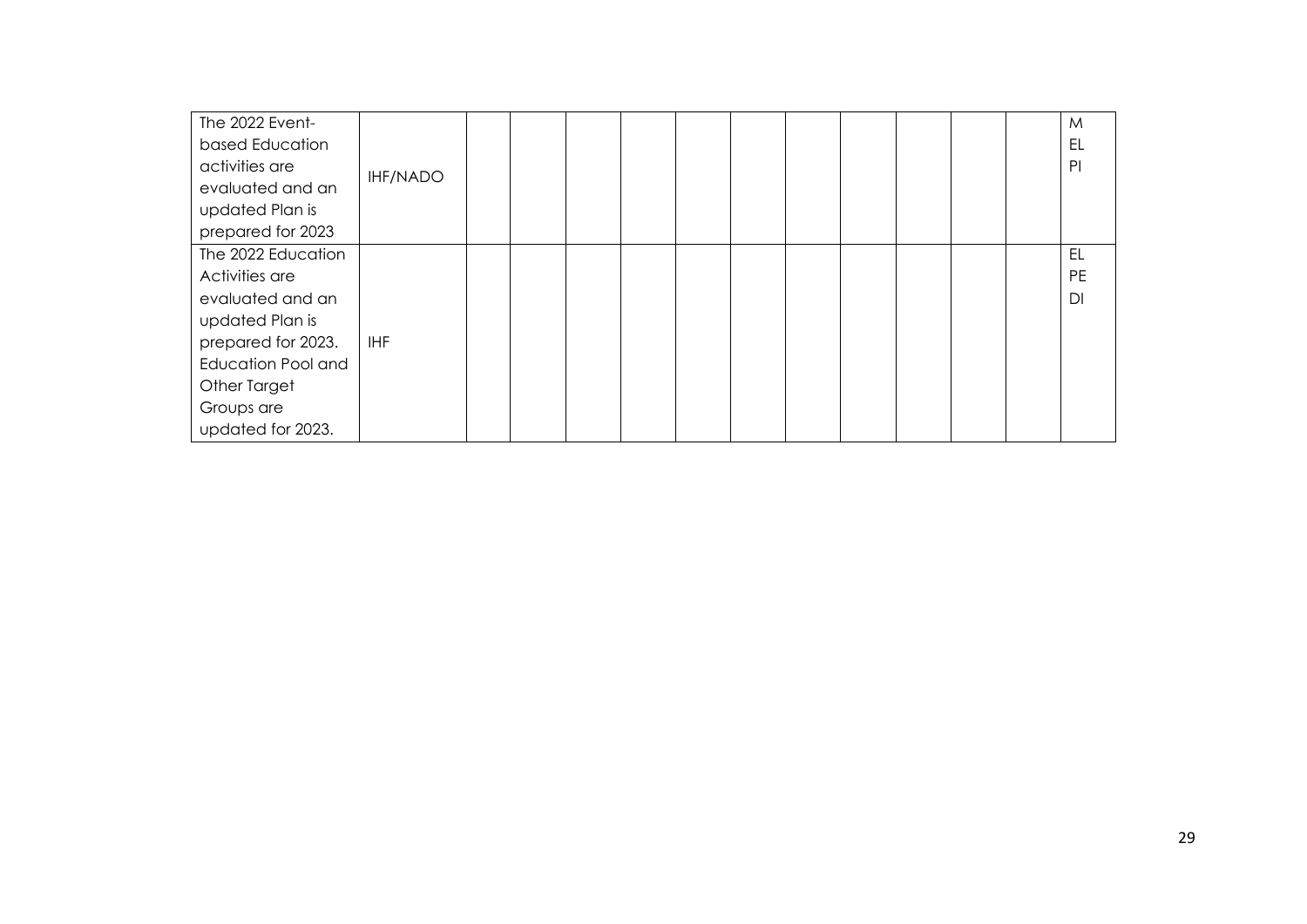| The 2022 Event-           |                 |  |  |  |  |  | M              |
|---------------------------|-----------------|--|--|--|--|--|----------------|
| based Education           |                 |  |  |  |  |  | EL             |
| activities are            | <b>IHF/NADO</b> |  |  |  |  |  | P <sub>1</sub> |
| evaluated and an          |                 |  |  |  |  |  |                |
| updated Plan is           |                 |  |  |  |  |  |                |
| prepared for 2023         |                 |  |  |  |  |  |                |
| The 2022 Education        |                 |  |  |  |  |  | EL             |
| Activities are            |                 |  |  |  |  |  | <b>PE</b>      |
| evaluated and an          |                 |  |  |  |  |  | DI             |
| updated Plan is           |                 |  |  |  |  |  |                |
| prepared for 2023.        | <b>IHF</b>      |  |  |  |  |  |                |
| <b>Education Pool and</b> |                 |  |  |  |  |  |                |
| Other Target              |                 |  |  |  |  |  |                |
| Groups are                |                 |  |  |  |  |  |                |
| updated for 2023.         |                 |  |  |  |  |  |                |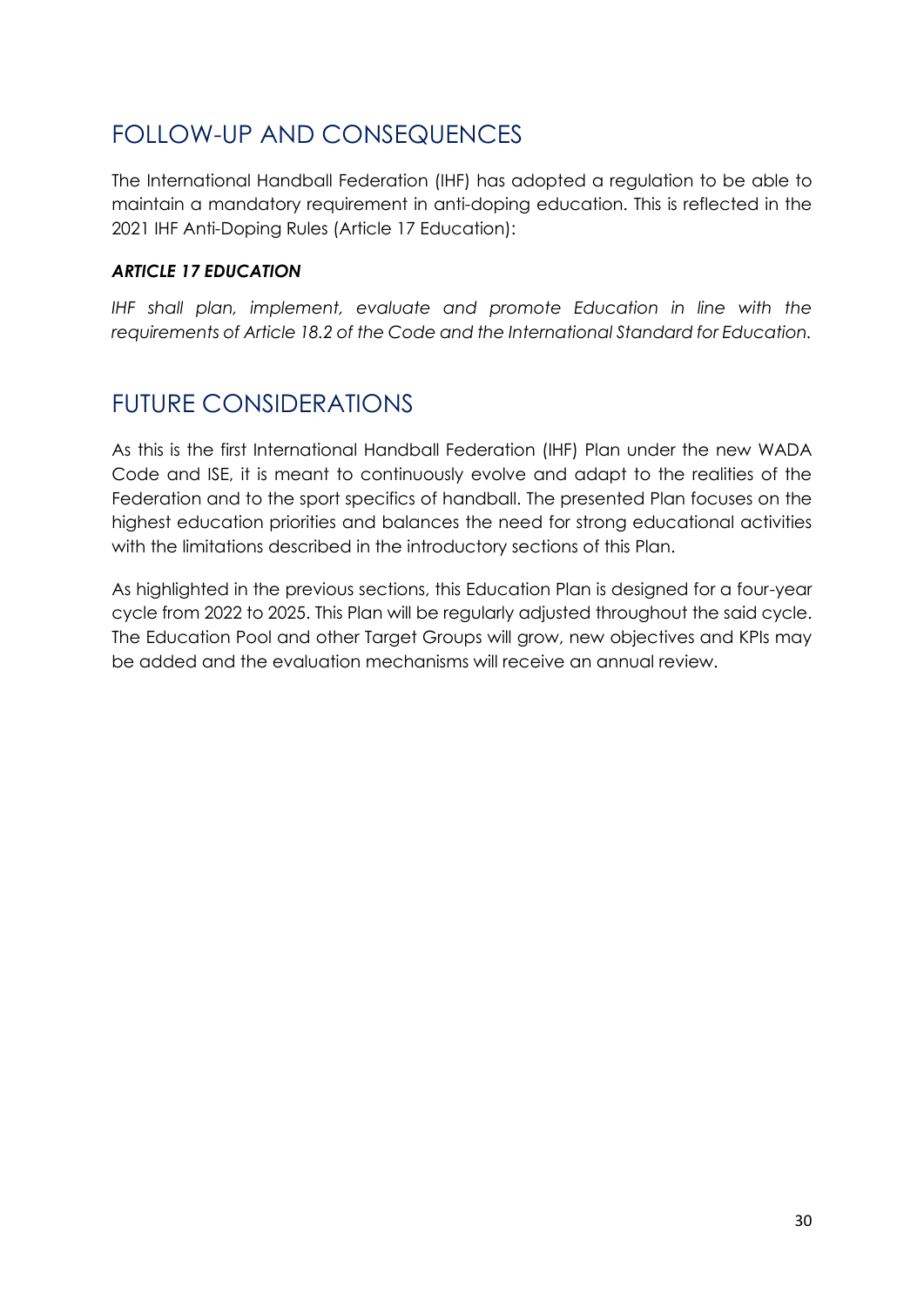## <span id="page-29-0"></span>FOLLOW-UP AND CONSEQUENCES

The International Handball Federation (IHF) has adopted a regulation to be able to maintain a mandatory requirement in anti-doping education. This is reflected in the 2021 IHF Anti-Doping Rules (Article 17 Education):

#### *ARTICLE 17 EDUCATION*

*IHF shall plan, implement, evaluate and promote Education in line with the requirements of Article 18.2 of the Code and the International Standard for Education.* 

## <span id="page-29-1"></span>FUTURE CONSIDERATIONS

As this is the first International Handball Federation (IHF) Plan under the new WADA Code and ISE, it is meant to continuously evolve and adapt to the realities of the Federation and to the sport specifics of handball. The presented Plan focuses on the highest education priorities and balances the need for strong educational activities with the limitations described in the introductory sections of this Plan.

As highlighted in the previous sections, this Education Plan is designed for a four-year cycle from 2022 to 2025. This Plan will be regularly adjusted throughout the said cycle. The Education Pool and other Target Groups will grow, new objectives and KPIs may be added and the evaluation mechanisms will receive an annual review.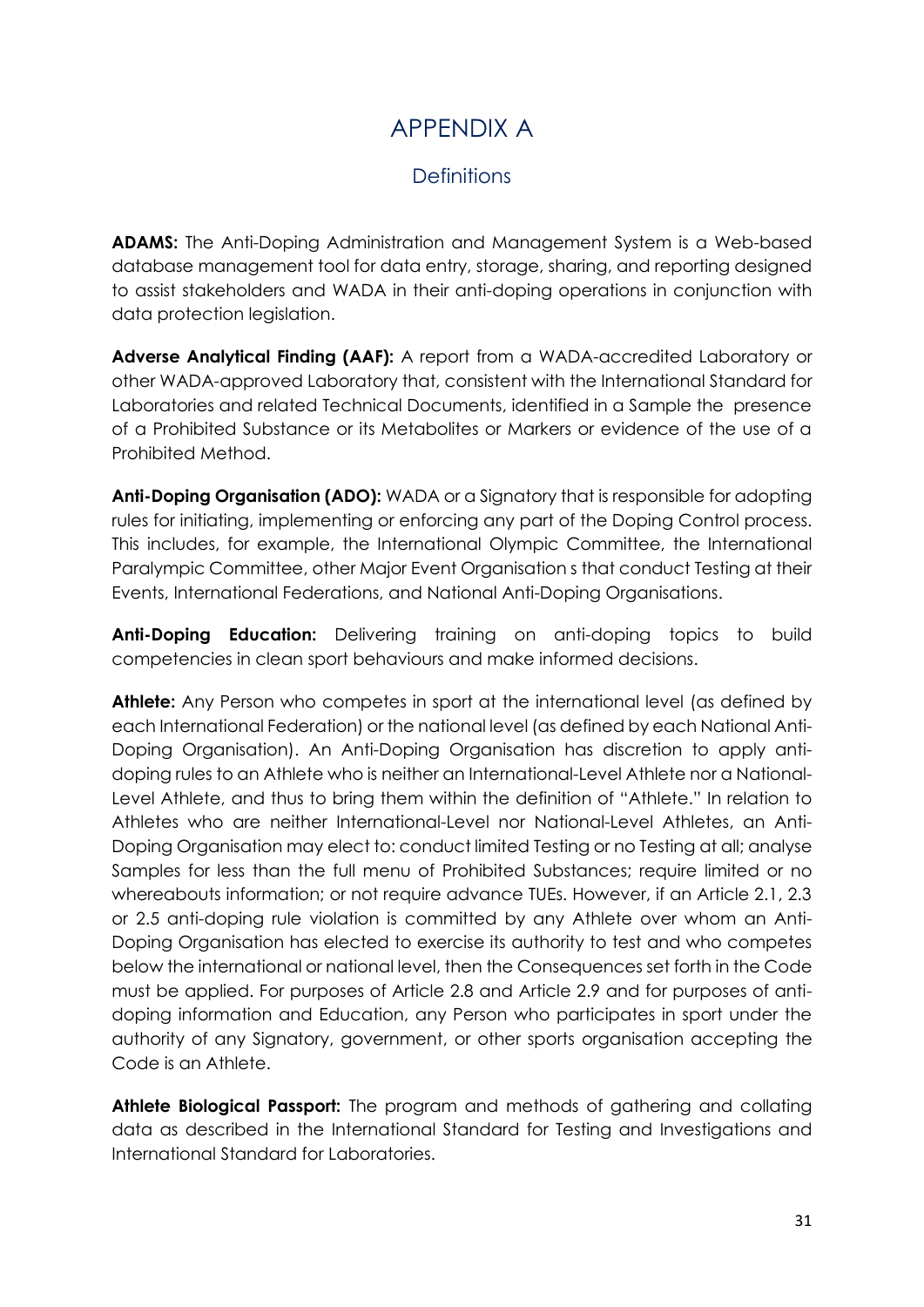## APPENDIX A

## **Definitions**

<span id="page-30-1"></span><span id="page-30-0"></span>**ADAMS:** The Anti-Doping Administration and Management System is a Web-based database management tool for data entry, storage, sharing, and reporting designed to assist stakeholders and WADA in their anti-doping operations in conjunction with data protection legislation.

**Adverse Analytical Finding (AAF):** A report from a WADA-accredited Laboratory or other WADA-approved Laboratory that, consistent with the International Standard for Laboratories and related Technical Documents, identified in a Sample the presence of a Prohibited Substance or its Metabolites or Markers or evidence of the use of a Prohibited Method.

**Anti-Doping Organisation (ADO):** WADA or a Signatory that is responsible for adopting rules for initiating, implementing or enforcing any part of the Doping Control process. This includes, for example, the International Olympic Committee, the International Paralympic Committee, other Major Event Organisation s that conduct Testing at their Events, International Federations, and National Anti-Doping Organisations.

Anti-Doping Education: Delivering training on anti-doping topics to build competencies in clean sport behaviours and make informed decisions.

**Athlete:** Any Person who competes in sport at the international level (as defined by each International Federation) or the national level (as defined by each National Anti-Doping Organisation). An Anti-Doping Organisation has discretion to apply antidoping rules to an Athlete who is neither an International-Level Athlete nor a National-Level Athlete, and thus to bring them within the definition of "Athlete." In relation to Athletes who are neither International-Level nor National-Level Athletes, an Anti-Doping Organisation may elect to: conduct limited Testing or no Testing at all; analyse Samples for less than the full menu of Prohibited Substances; require limited or no whereabouts information; or not require advance TUEs. However, if an Article 2.1, 2.3 or 2.5 anti-doping rule violation is committed by any Athlete over whom an Anti-Doping Organisation has elected to exercise its authority to test and who competes below the international or national level, then the Consequences set forth in the Code must be applied. For purposes of Article 2.8 and Article 2.9 and for purposes of antidoping information and Education, any Person who participates in sport under the authority of any Signatory, government, or other sports organisation accepting the Code is an Athlete.

**Athlete Biological Passport:** The program and methods of gathering and collating data as described in the International Standard for Testing and Investigations and International Standard for Laboratories.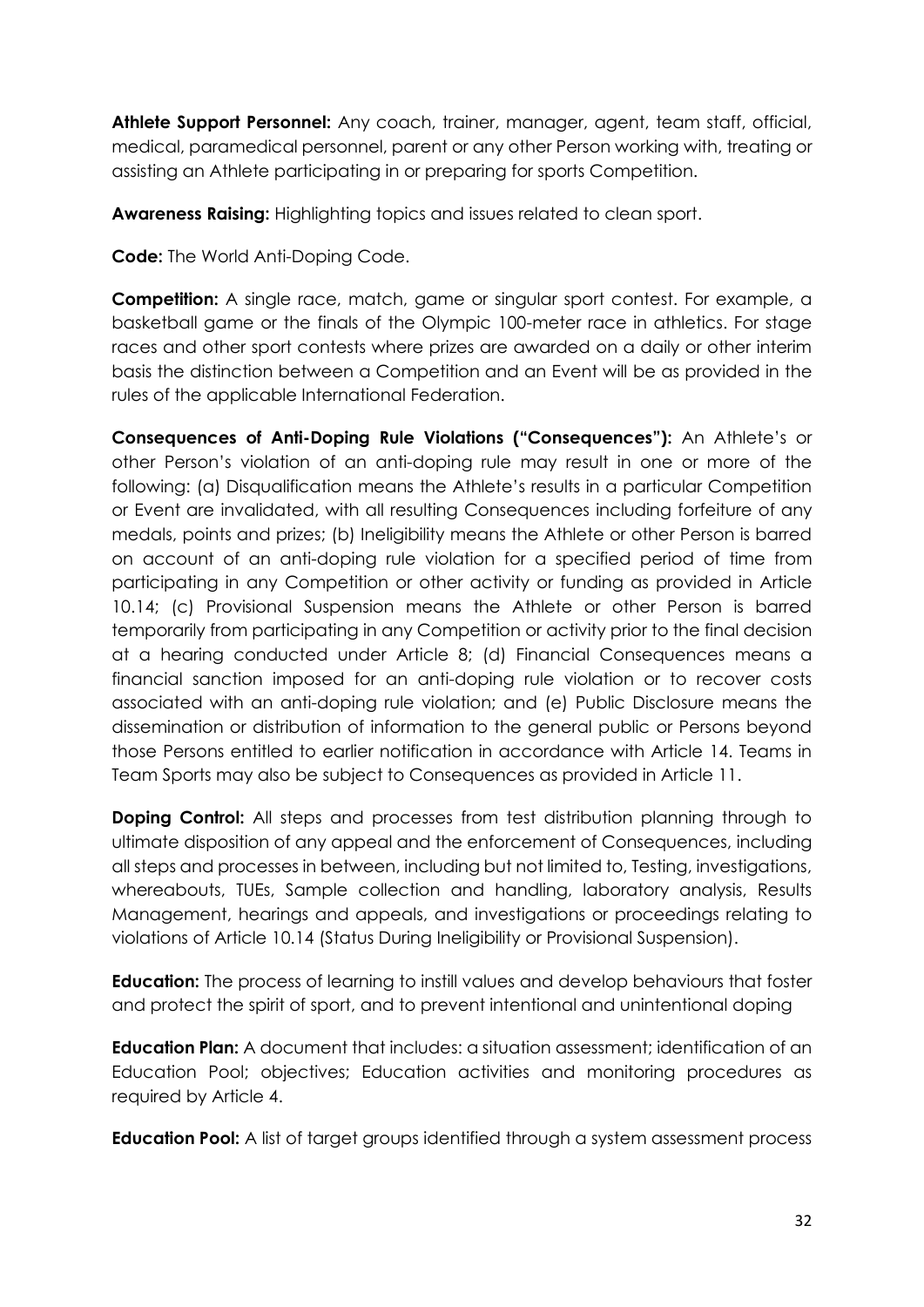**Athlete Support Personnel:** Any coach, trainer, manager, agent, team staff, official, medical, paramedical personnel, parent or any other Person working with, treating or assisting an Athlete participating in or preparing for sports Competition.

**Awareness Raising:** Highlighting topics and issues related to clean sport.

**Code:** The World Anti-Doping Code.

**Competition:** A single race, match, game or singular sport contest. For example, a basketball game or the finals of the Olympic 100-meter race in athletics. For stage races and other sport contests where prizes are awarded on a daily or other interim basis the distinction between a Competition and an Event will be as provided in the rules of the applicable International Federation.

**Consequences of Anti-Doping Rule Violations ("Consequences"):** An Athlete's or other Person's violation of an anti-doping rule may result in one or more of the following: (a) Disqualification means the Athlete's results in a particular Competition or Event are invalidated, with all resulting Consequences including forfeiture of any medals, points and prizes; (b) Ineligibility means the Athlete or other Person is barred on account of an anti-doping rule violation for a specified period of time from participating in any Competition or other activity or funding as provided in Article 10.14; (c) Provisional Suspension means the Athlete or other Person is barred temporarily from participating in any Competition or activity prior to the final decision at a hearing conducted under Article 8; (d) Financial Consequences means a financial sanction imposed for an anti-doping rule violation or to recover costs associated with an anti-doping rule violation; and (e) Public Disclosure means the dissemination or distribution of information to the general public or Persons beyond those Persons entitled to earlier notification in accordance with Article 14. Teams in Team Sports may also be subject to Consequences as provided in Article 11.

**Doping Control:** All steps and processes from test distribution planning through to ultimate disposition of any appeal and the enforcement of Consequences, including all steps and processes in between, including but not limited to, Testing, investigations, whereabouts, TUEs, Sample collection and handling, laboratory analysis, Results Management, hearings and appeals, and investigations or proceedings relating to violations of Article 10.14 (Status During Ineligibility or Provisional Suspension).

**Education:** The process of learning to instill values and develop behaviours that foster and protect the spirit of sport, and to prevent intentional and unintentional doping

**Education Plan:** A document that includes: a situation assessment; identification of an Education Pool; objectives; Education activities and monitoring procedures as required by Article 4.

**Education Pool:** A list of target groups identified through a system assessment process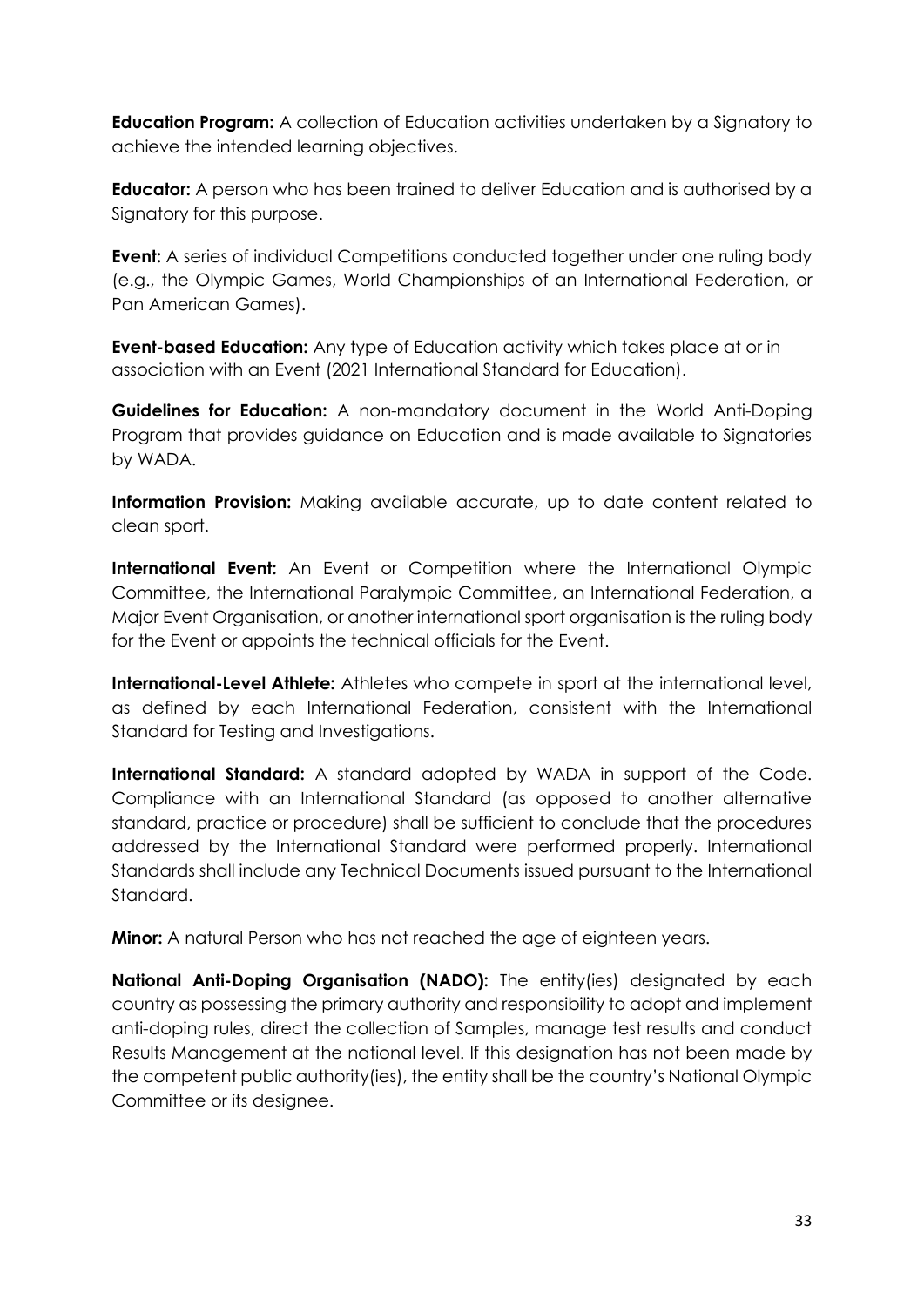**Education Program:** A collection of Education activities undertaken by a Signatory to achieve the intended learning objectives.

**Educator:** A person who has been trained to deliver Education and is authorised by a Signatory for this purpose.

**Event:** A series of individual Competitions conducted together under one ruling body (e.g., the Olympic Games, World Championships of an International Federation, or Pan American Games).

**Event-based Education:** Any type of Education activity which takes place at or in association with an Event (2021 International Standard for Education).

**Guidelines for Education:** A non-mandatory document in the World Anti-Doping Program that provides guidance on Education and is made available to Signatories by WADA.

**Information Provision:** Making available accurate, up to date content related to clean sport.

**International Event:** An Event or Competition where the International Olympic Committee, the International Paralympic Committee, an International Federation, a Major Event Organisation, or another international sport organisation is the ruling body for the Event or appoints the technical officials for the Event.

**International-Level Athlete:** Athletes who compete in sport at the international level, as defined by each International Federation, consistent with the International Standard for Testing and Investigations.

**International Standard:** A standard adopted by WADA in support of the Code. Compliance with an International Standard (as opposed to another alternative standard, practice or procedure) shall be sufficient to conclude that the procedures addressed by the International Standard were performed properly. International Standards shall include any Technical Documents issued pursuant to the International Standard.

**Minor:** A natural Person who has not reached the age of eighteen years.

**National Anti-Doping Organisation (NADO):** The entity(ies) designated by each country as possessing the primary authority and responsibility to adopt and implement anti-doping rules, direct the collection of Samples, manage test results and conduct Results Management at the national level. If this designation has not been made by the competent public authority(ies), the entity shall be the country's National Olympic Committee or its designee.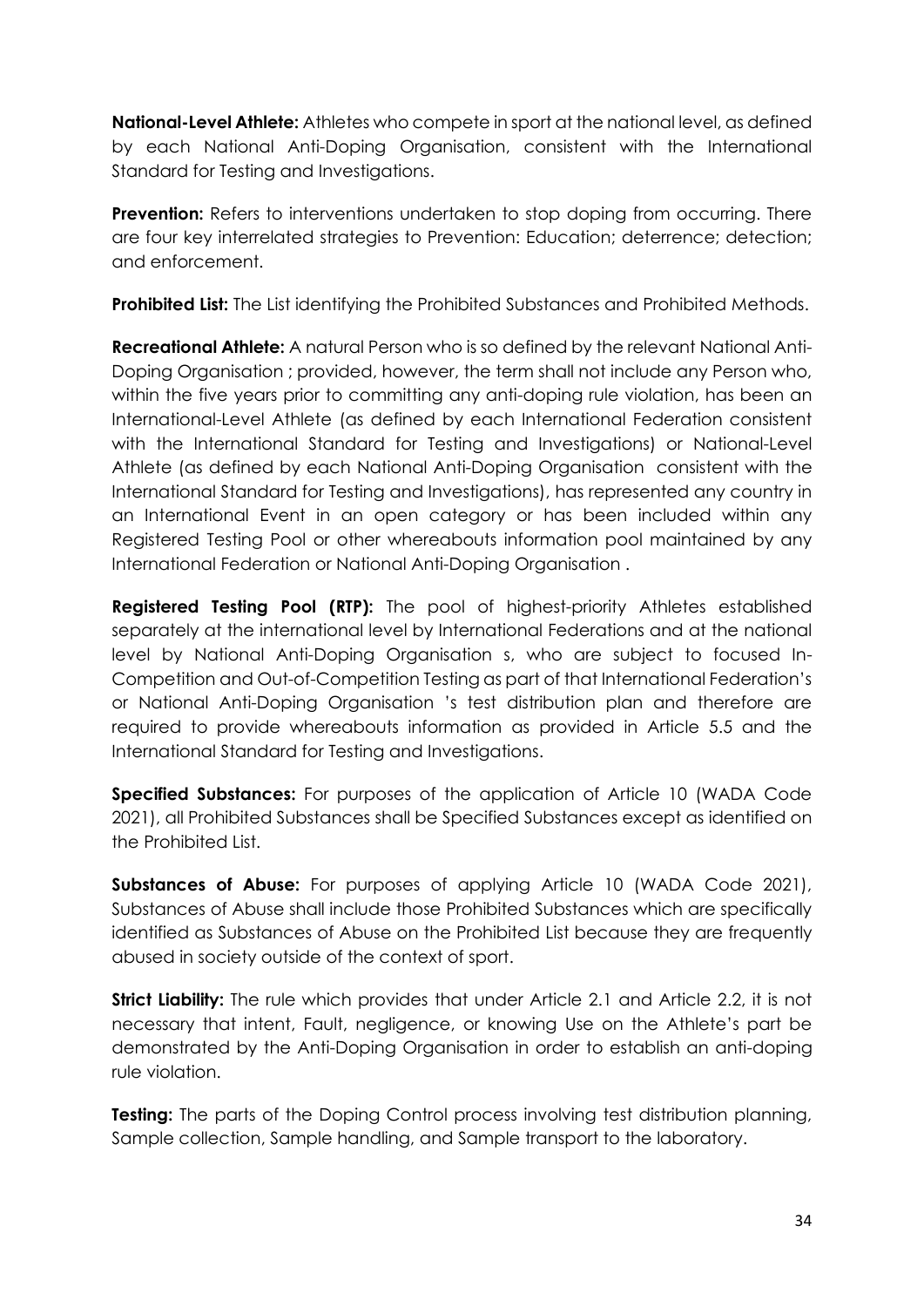**National-Level Athlete:** Athletes who compete in sport at the national level, as defined by each National Anti-Doping Organisation, consistent with the International Standard for Testing and Investigations.

**Prevention:** Refers to interventions undertaken to stop doping from occurring. There are four key interrelated strategies to Prevention: Education; deterrence; detection; and enforcement.

**Prohibited List:** The List identifying the Prohibited Substances and Prohibited Methods.

**Recreational Athlete:** A natural Person who is so defined by the relevant National Anti-Doping Organisation ; provided, however, the term shall not include any Person who, within the five years prior to committing any anti-doping rule violation, has been an International-Level Athlete (as defined by each International Federation consistent with the International Standard for Testing and Investigations) or National-Level Athlete (as defined by each National Anti-Doping Organisation consistent with the International Standard for Testing and Investigations), has represented any country in an International Event in an open category or has been included within any Registered Testing Pool or other whereabouts information pool maintained by any International Federation or National Anti-Doping Organisation .

**Registered Testing Pool (RTP):** The pool of highest-priority Athletes established separately at the international level by International Federations and at the national level by National Anti-Doping Organisation s, who are subject to focused In-Competition and Out-of-Competition Testing as part of that International Federation's or National Anti-Doping Organisation 's test distribution plan and therefore are required to provide whereabouts information as provided in Article 5.5 and the International Standard for Testing and Investigations.

**Specified Substances:** For purposes of the application of Article 10 (WADA Code 2021), all Prohibited Substances shall be Specified Substances except as identified on the Prohibited List.

**Substances of Abuse:** For purposes of applying Article 10 (WADA Code 2021), Substances of Abuse shall include those Prohibited Substances which are specifically identified as Substances of Abuse on the Prohibited List because they are frequently abused in society outside of the context of sport.

**Strict Liability:** The rule which provides that under Article 2.1 and Article 2.2, it is not necessary that intent, Fault, negligence, or knowing Use on the Athlete's part be demonstrated by the Anti-Doping Organisation in order to establish an anti-doping rule violation.

**Testing:** The parts of the Doping Control process involving test distribution planning, Sample collection, Sample handling, and Sample transport to the laboratory.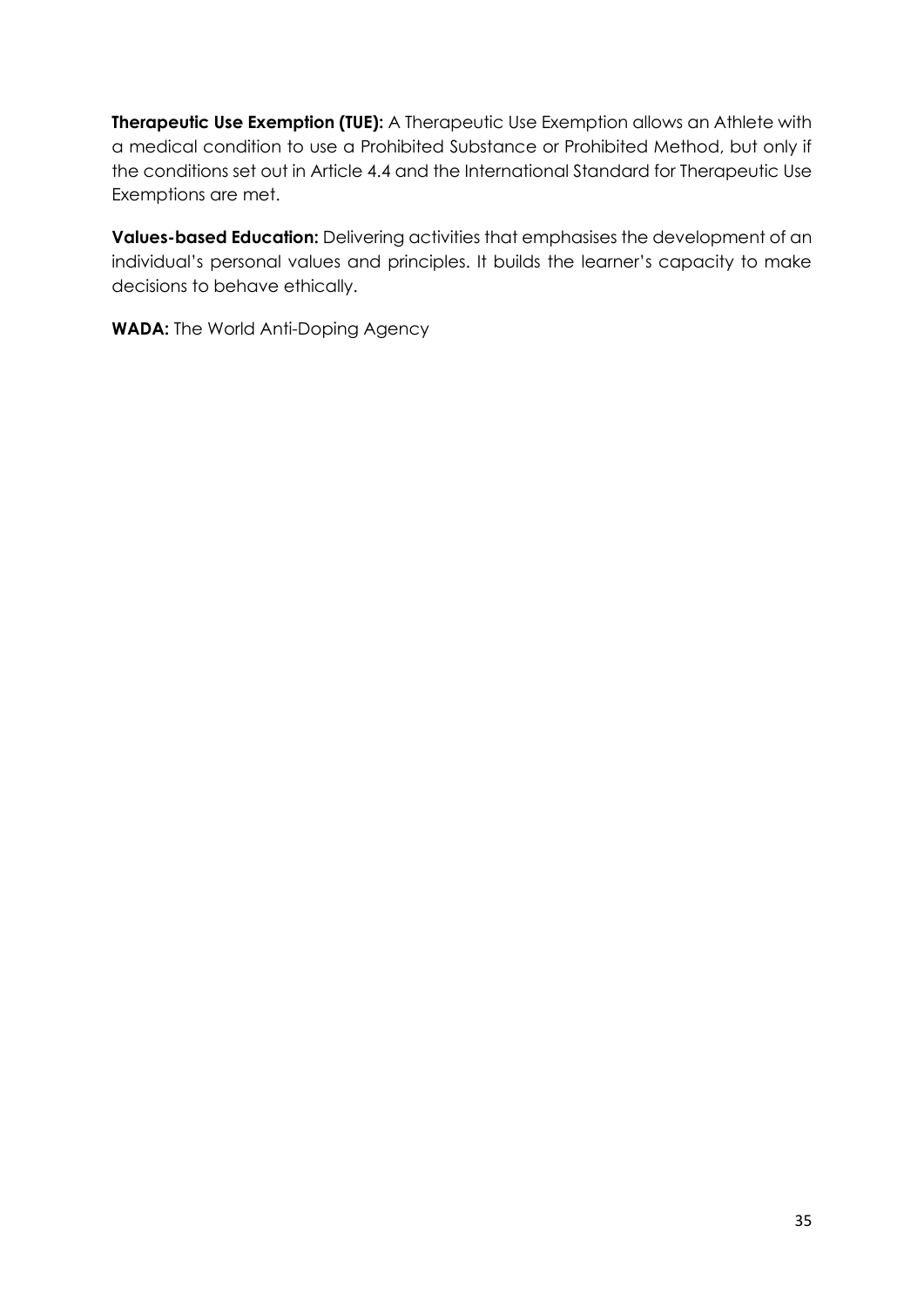**Therapeutic Use Exemption (TUE):** A Therapeutic Use Exemption allows an Athlete with a medical condition to use a Prohibited Substance or Prohibited Method, but only if the conditions set out in Article 4.4 and the International Standard for Therapeutic Use Exemptions are met.

**Values-based Education:** Delivering activities that emphasises the development of an individual's personal values and principles. It builds the learner's capacity to make decisions to behave ethically.

**WADA:** The World Anti-Doping Agency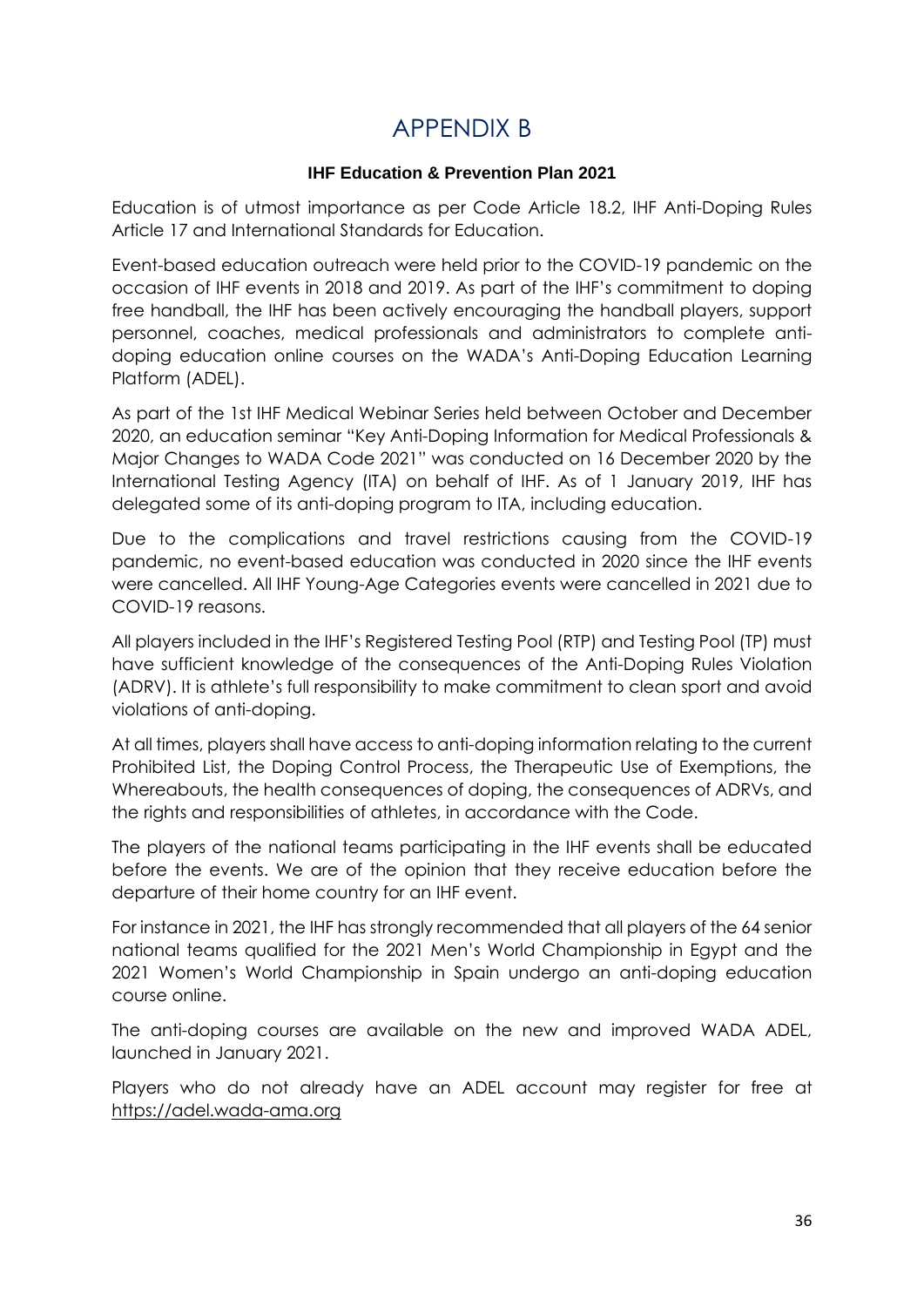## APPENDIX B

#### **IHF Education & Prevention Plan 2021**

<span id="page-35-0"></span>Education is of utmost importance as per Code Article 18.2, IHF Anti-Doping Rules Article 17 and International Standards for Education.

Event-based education outreach were held prior to the COVID-19 pandemic on the occasion of IHF events in 2018 and 2019. As part of the IHF's commitment to doping free handball, the IHF has been actively encouraging the handball players, support personnel, coaches, medical professionals and administrators to complete antidoping education online courses on the WADA's Anti-Doping Education Learning Platform (ADEL).

As part of the 1st IHF Medical Webinar Series held between October and December 2020, an education seminar "Key Anti-Doping Information for Medical Professionals & Major Changes to WADA Code 2021" was conducted on 16 December 2020 by the International Testing Agency (ITA) on behalf of IHF. As of 1 January 2019, IHF has delegated some of its anti-doping program to ITA, including education.

Due to the complications and travel restrictions causing from the COVID-19 pandemic, no event-based education was conducted in 2020 since the IHF events were cancelled. All IHF Young-Age Categories events were cancelled in 2021 due to COVID-19 reasons.

All players included in the IHF's Registered Testing Pool (RTP) and Testing Pool (TP) must have sufficient knowledge of the consequences of the Anti-Doping Rules Violation (ADRV). It is athlete's full responsibility to make commitment to clean sport and avoid violations of anti-doping.

At all times, players shall have access to anti-doping information relating to the current Prohibited List, the Doping Control Process, the Therapeutic Use of Exemptions, the Whereabouts, the health consequences of doping, the consequences of ADRVs, and the rights and responsibilities of athletes, in accordance with the Code.

The players of the national teams participating in the IHF events shall be educated before the events. We are of the opinion that they receive education before the departure of their home country for an IHF event.

For instance in 2021, the IHF has strongly recommended that all players of the 64 senior national teams qualified for the 2021 Men's World Championship in Egypt and the 2021 Women's World Championship in Spain undergo an anti-doping education course online.

The anti-doping courses are available on the new and improved WADA ADEL, launched in January 2021.

Players who do not already have an ADEL account may register for free at [https://adel.wada-ama.org](https://adel.wada-ama.org/)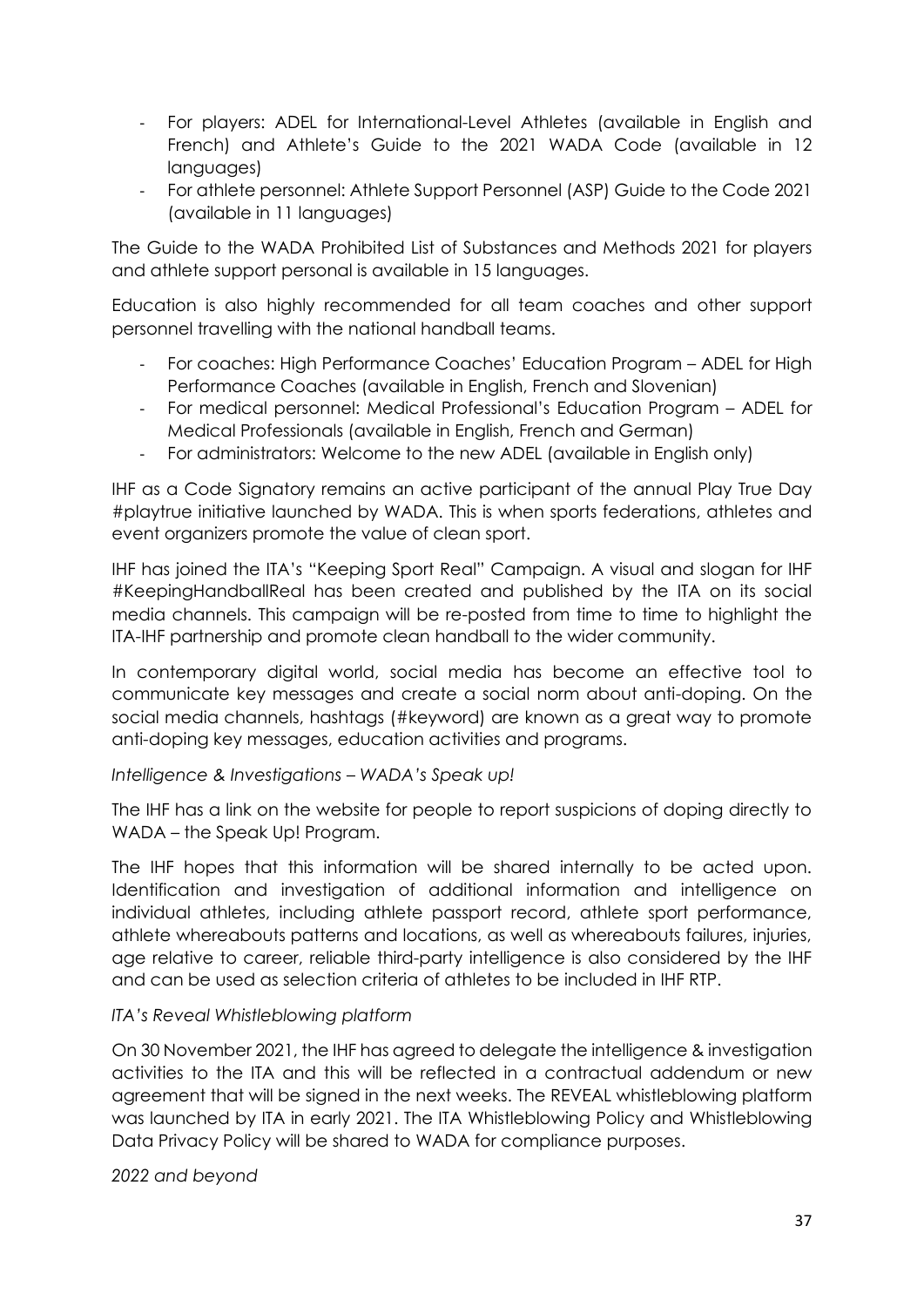- For players: ADEL for International-Level Athletes (available in English and French) and Athlete's Guide to the 2021 WADA Code (available in 12 languages)
- For athlete personnel: Athlete Support Personnel (ASP) Guide to the Code 2021 (available in 11 languages)

The Guide to the WADA Prohibited List of Substances and Methods 2021 for players and athlete support personal is available in 15 languages.

Education is also highly recommended for all team coaches and other support personnel travelling with the national handball teams.

- For coaches: High Performance Coaches' Education Program ADEL for High Performance Coaches (available in English, French and Slovenian)
- For medical personnel: Medical Professional's Education Program ADEL for Medical Professionals (available in English, French and German)
- For administrators: Welcome to the new ADEL (available in English only)

IHF as a Code Signatory remains an active participant of the annual Play True Day #playtrue initiative launched by WADA. This is when sports federations, athletes and event organizers promote the value of clean sport.

IHF has joined the ITA's "Keeping Sport Real" Campaign. A visual and slogan for IHF #KeepingHandballReal has been created and published by the ITA on its social media channels. This campaign will be re-posted from time to time to highlight the ITA-IHF partnership and promote clean handball to the wider community.

In contemporary digital world, social media has become an effective tool to communicate key messages and create a social norm about anti-doping. On the social media channels, hashtags (#keyword) are known as a great way to promote anti-doping key messages, education activities and programs.

#### *Intelligence & Investigations – WADA's Speak up!*

The IHF has a link on the website for people to report suspicions of doping directly to WADA – the Speak Up! Program.

The IHF hopes that this information will be shared internally to be acted upon. Identification and investigation of additional information and intelligence on individual athletes, including athlete passport record, athlete sport performance, athlete whereabouts patterns and locations, as well as whereabouts failures, injuries, age relative to career, reliable third-party intelligence is also considered by the IHF and can be used as selection criteria of athletes to be included in IHF RTP.

#### *ITA's Reveal Whistleblowing platform*

On 30 November 2021, the IHF has agreed to delegate the intelligence & investigation activities to the ITA and this will be reflected in a contractual addendum or new agreement that will be signed in the next weeks. The REVEAL whistleblowing platform was launched by ITA in early 2021. The ITA Whistleblowing Policy and Whistleblowing Data Privacy Policy will be shared to WADA for compliance purposes.

#### *2022 and beyond*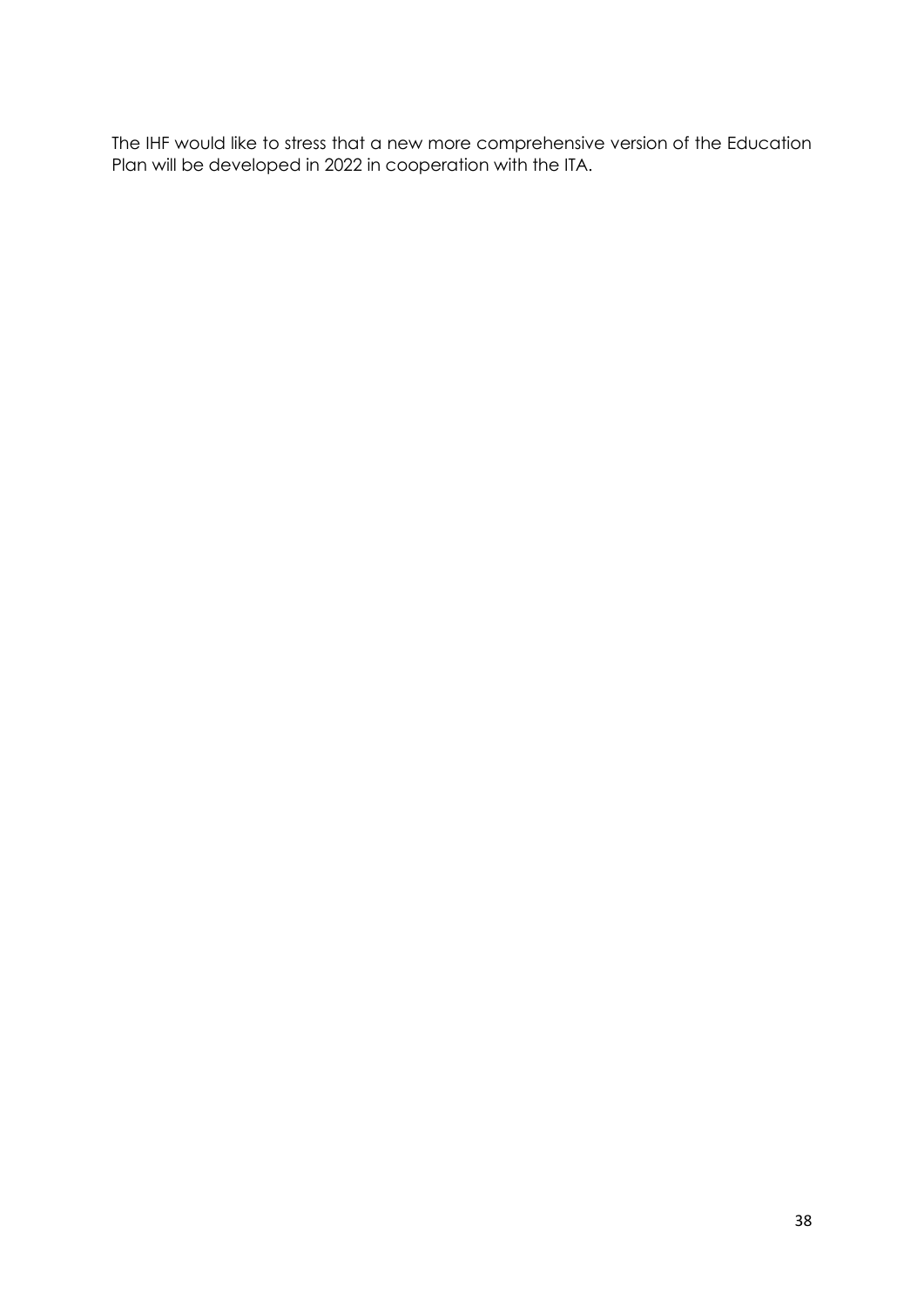The IHF would like to stress that a new more comprehensive version of the Education Plan will be developed in 2022 in cooperation with the ITA.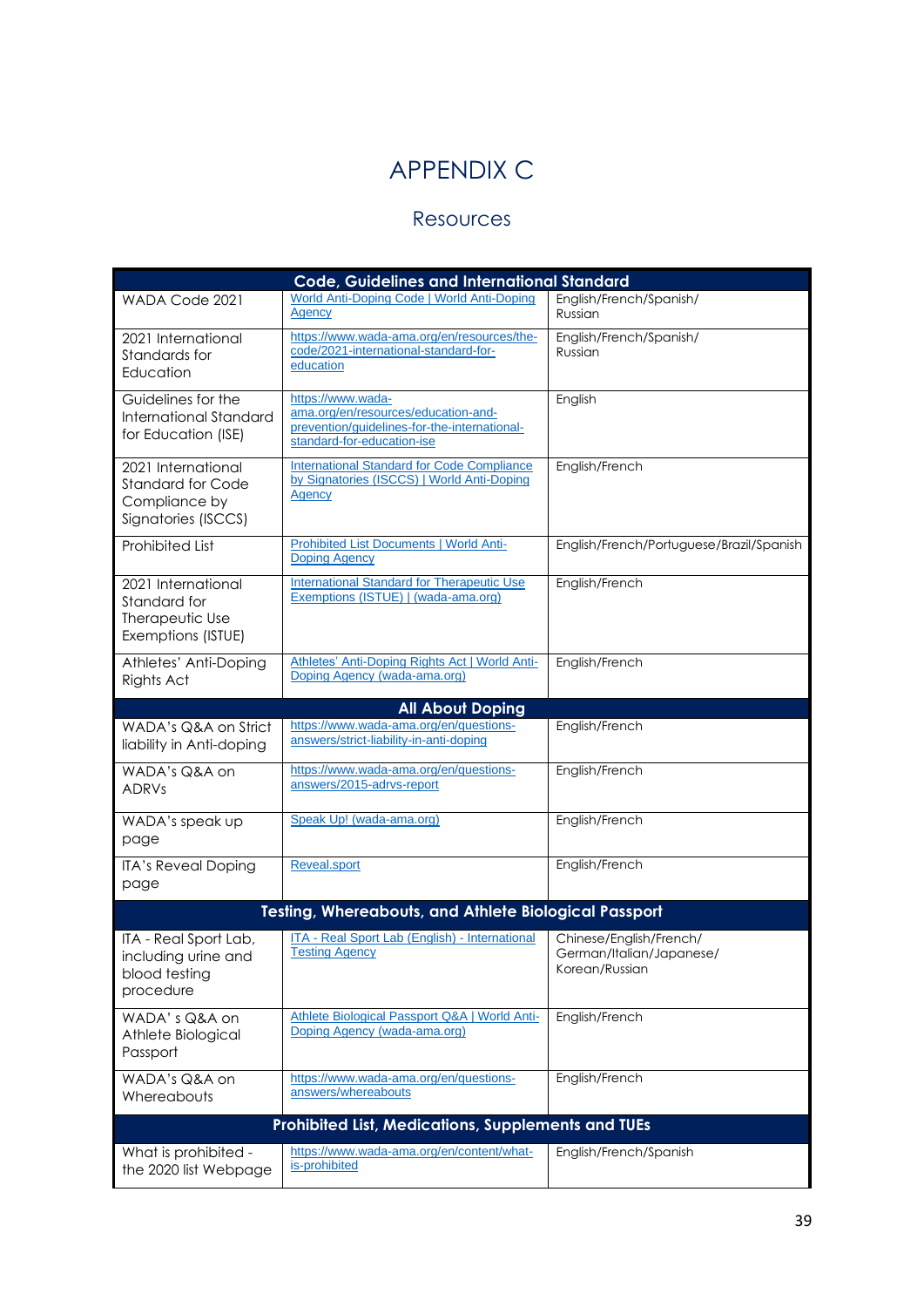# APPENDIX C

## Resources

<span id="page-38-1"></span><span id="page-38-0"></span>

| <b>Code, Guidelines and International Standard</b>                                     |                                                                                                                                        |                                                                       |  |
|----------------------------------------------------------------------------------------|----------------------------------------------------------------------------------------------------------------------------------------|-----------------------------------------------------------------------|--|
| WADA Code 2021                                                                         | World Anti-Doping Code   World Anti-Doping<br>Agency                                                                                   | English/French/Spanish/<br>Russian                                    |  |
| 2021 International<br>Standards for<br>Education                                       | https://www.wada-ama.org/en/resources/the-<br>code/2021-international-standard-for-<br>education                                       | English/French/Spanish/<br>Russian                                    |  |
| Guidelines for the<br><b>International Standard</b><br>for Education (ISE)             | https://www.wada-<br>ama.org/en/resources/education-and-<br>prevention/guidelines-for-the-international-<br>standard-for-education-ise | English                                                               |  |
| 2021 International<br><b>Standard for Code</b><br>Compliance by<br>Signatories (ISCCS) | <b>International Standard for Code Compliance</b><br>by Signatories (ISCCS)   World Anti-Doping<br>Agency                              | English/French                                                        |  |
| <b>Prohibited List</b>                                                                 | <b>Prohibited List Documents   World Anti-</b><br><b>Doping Agency</b>                                                                 | English/French/Portuguese/Brazil/Spanish                              |  |
| 2021 International<br>Standard for<br>Therapeutic Use<br>Exemptions (ISTUE)            | <b>International Standard for Therapeutic Use</b><br>Exemptions (ISTUE)   (wada-ama.org)                                               | English/French                                                        |  |
| Athletes' Anti-Doping<br>Rights Act                                                    | Athletes' Anti-Doping Rights Act   World Anti-<br>Doping Agency (wada-ama.org)                                                         | English/French                                                        |  |
|                                                                                        | <b>All About Doping</b>                                                                                                                |                                                                       |  |
| WADA's Q&A on Strict<br>liability in Anti-doping                                       | https://www.wada-ama.org/en/questions-<br>answers/strict-liability-in-anti-doping                                                      | English/French                                                        |  |
| WADA's Q&A on<br><b>ADRVs</b>                                                          | https://www.wada-ama.org/en/questions-<br>answers/2015-adrvs-report                                                                    | English/French                                                        |  |
| WADA's speak up<br>page                                                                | Speak Up! (wada-ama.org)                                                                                                               | English/French                                                        |  |
| <b>ITA's Reveal Doping</b><br>page                                                     | <b>Reveal.sport</b>                                                                                                                    | English/French                                                        |  |
|                                                                                        | <b>Testing, Whereabouts, and Athlete Biological Passport</b>                                                                           |                                                                       |  |
| ITA - Real Sport Lab,<br>including urine and<br>blood testing<br>procedure             | ITA - Real Sport Lab (English) - International<br><b>Testing Agency</b>                                                                | Chinese/English/French/<br>German/Italian/Japanese/<br>Korean/Russian |  |
| WADA's Q&A on<br>Athlete Biological<br>Passport                                        | Athlete Biological Passport Q&A   World Anti-<br>Doping Agency (wada-ama.org)                                                          | English/French                                                        |  |
| WADA's Q&A on<br>Whereabouts                                                           | https://www.wada-ama.org/en/questions-<br>answers/whereabouts                                                                          | English/French                                                        |  |
| Prohibited List, Medications, Supplements and TUEs                                     |                                                                                                                                        |                                                                       |  |
| What is prohibited -<br>the 2020 list Webpage                                          | https://www.wada-ama.org/en/content/what-<br>is-prohibited                                                                             | English/French/Spanish                                                |  |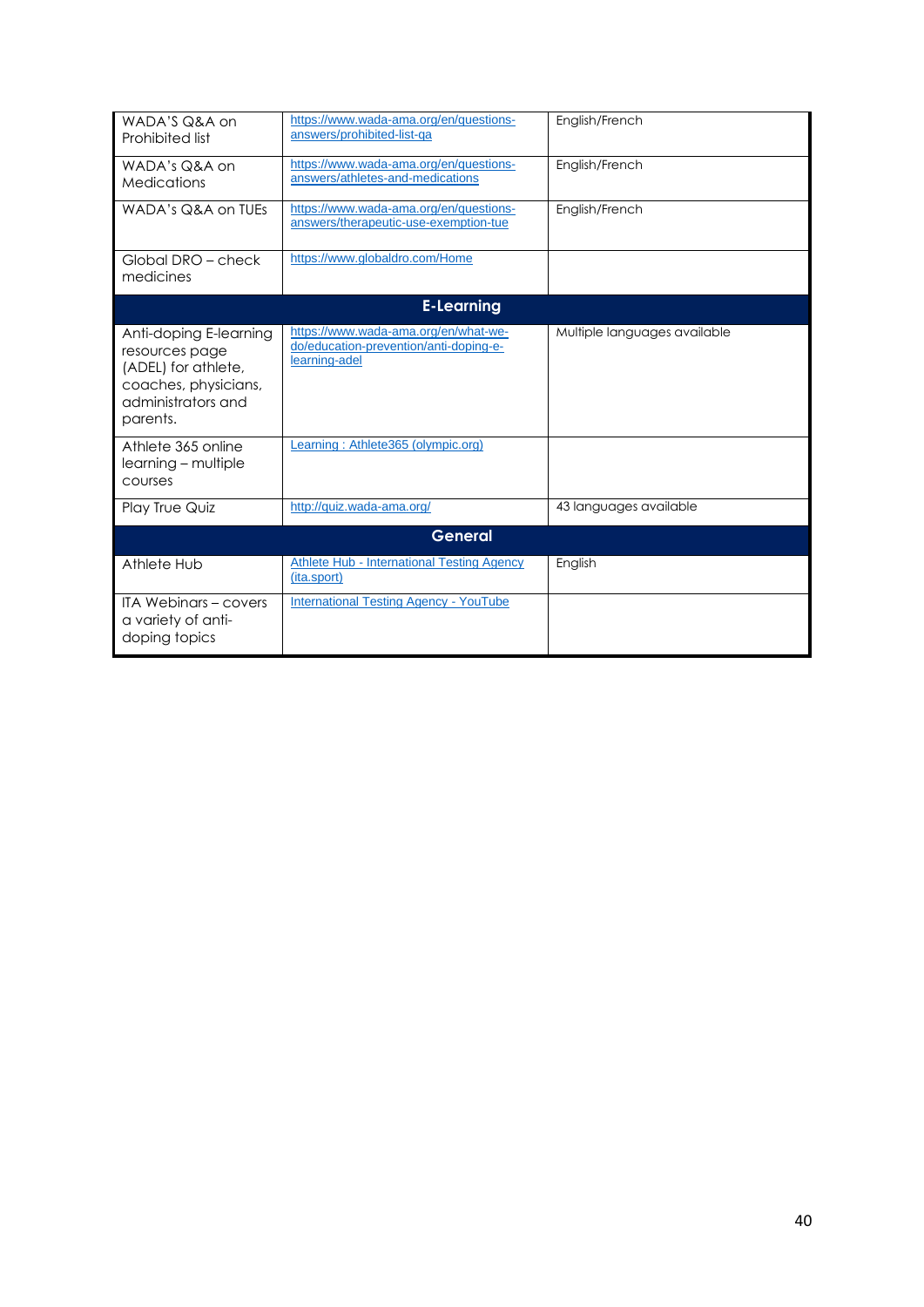| WADA'S Q&A on<br>Prohibited list                                                                                          | https://www.wada-ama.org/en/questions-<br>answers/prohibited-list-qa                            | English/French               |  |
|---------------------------------------------------------------------------------------------------------------------------|-------------------------------------------------------------------------------------------------|------------------------------|--|
| WADA's Q&A on<br>Medications                                                                                              | https://www.wada-ama.org/en/questions-<br>answers/athletes-and-medications                      | English/French               |  |
| WADA's Q&A on TUEs                                                                                                        | https://www.wada-ama.org/en/questions-<br>answers/therapeutic-use-exemption-tue                 | English/French               |  |
| Global DRO - check<br>medicines                                                                                           | https://www.globaldro.com/Home                                                                  |                              |  |
| <b>E-Learning</b>                                                                                                         |                                                                                                 |                              |  |
| Anti-doping E-learning<br>resources page<br>(ADEL) for athlete,<br>coaches, physicians,<br>administrators and<br>parents. | https://www.wada-ama.org/en/what-we-<br>do/education-prevention/anti-doping-e-<br>learning-adel | Multiple languages available |  |
| Athlete 365 online<br>learning – multiple<br>courses                                                                      | Learning: Athlete365 (olympic.org)                                                              |                              |  |
| Play True Quiz                                                                                                            | http://quiz.wada-ama.org/                                                                       | 43 languages available       |  |
| <b>General</b>                                                                                                            |                                                                                                 |                              |  |
| Athlete Hub                                                                                                               | <b>Athlete Hub - International Testing Agency</b><br>(ita.sport)                                | English                      |  |
| <b>ITA Webinars - covers</b><br>a variety of anti-<br>doping topics                                                       | <b>International Testing Agency - YouTube</b>                                                   |                              |  |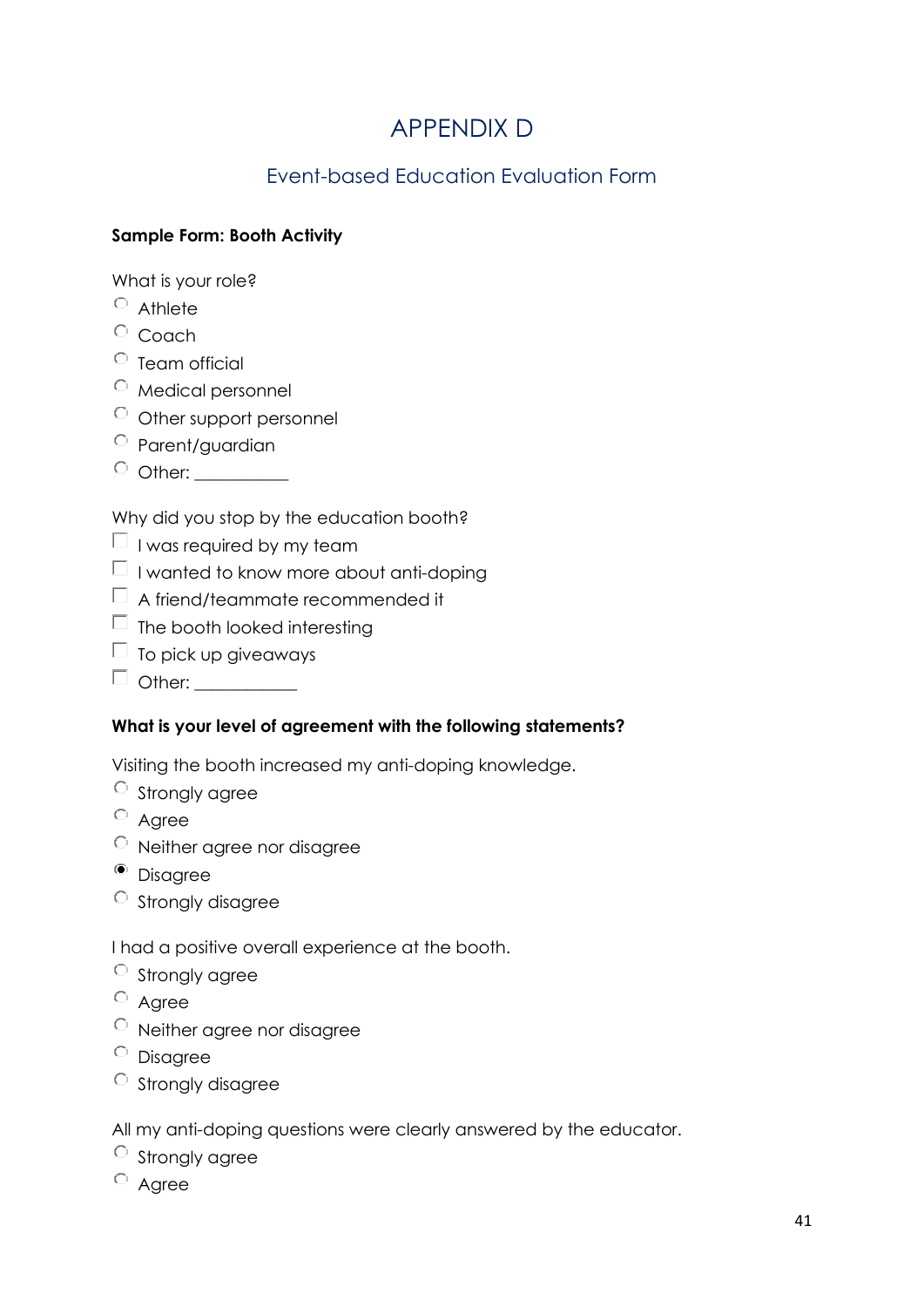## APPENDIX D

## Event-based Education Evaluation Form

#### <span id="page-40-1"></span><span id="page-40-0"></span>**Sample Form: Booth Activity**

What is your role?

- $\circ$  Athlete
- $\circ$  Coach
- $\circ$  Team official
- Medical personnel
- $\circ$  Other support personnel
- Parent/guardian
- $\circ$  Other:  $\_\_$

Why did you stop by the education booth?

- $\Box$  I was required by my team
- $\Box$  I wanted to know more about anti-doping
- $\Box$  A friend/teammate recommended it
- $\Box$  The booth looked interesting
- $\Box$  To pick up giveaways
- $\Box$  Other:

#### **What is your level of agreement with the following statements?**

Visiting the booth increased my anti-doping knowledge.

- $\circ$  Strongly agree
- $O$  Agree
- Neither agree nor disagree
- <sup>o</sup> Disagree
- $\circ$  Strongly disagree

I had a positive overall experience at the booth.

- $\circ$  Strongly agree
- Agree
- Neither agree nor disagree
- Disagree
- $\circ$  Strongly disagree

All my anti-doping questions were clearly answered by the educator.

- $\circ$  Strongly agree
- $\circ$  Agree